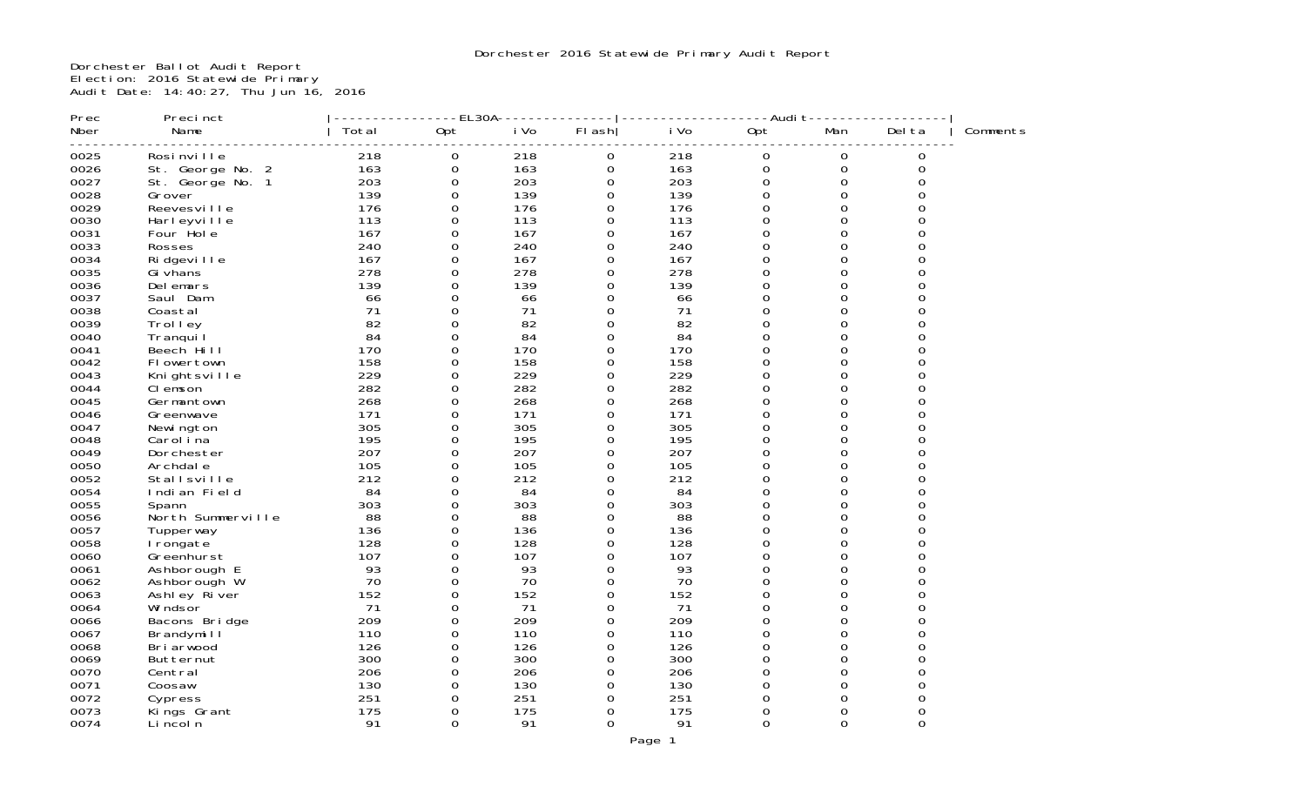Dorchester Ballot Audit Report Election: 2016 Statewide Primary Audit Date: 14:40:27, Thu Jun 16, 2016

| Prec | Precinct          |       | -EL3OA-             |      |                     |      | -Audi t     |                     |          |          |
|------|-------------------|-------|---------------------|------|---------------------|------|-------------|---------------------|----------|----------|
| Nber | Name              | Total | Opt                 | i Vo | FI ash              | i Vo | Opt         | Man                 | Del ta   | Comments |
| 0025 | Rosi nville       | 218   | 0                   | 218  | 0                   | 218  | 0           | 0                   | 0        |          |
| 0026 | St. George No. 2  | 163   | $\mathsf{O}\xspace$ | 163  | $\mathbf 0$         | 163  | $\mathbf 0$ | $\mathsf{O}\xspace$ | $\Omega$ |          |
| 0027 | St. George No. 1  | 203   | 0                   | 203  | 0                   | 203  | $\Omega$    | $\mathbf 0$         | $\Omega$ |          |
| 0028 | Grover            | 139   | $\mathbf 0$         | 139  | 0                   | 139  | $\Omega$    | $\Omega$            | $\Omega$ |          |
| 0029 | Reevesville       | 176   | 0                   | 176  | $\Omega$            | 176  | $\Omega$    | $\Omega$            | $\Omega$ |          |
| 0030 | Harleyville       | 113   | $\mathbf 0$         | 113  | $\mathbf 0$         | 113  | $\Omega$    | $\Omega$            | $\Omega$ |          |
| 0031 | Four Hole         | 167   | $\mathbf 0$         | 167  | $\Omega$            | 167  | $\Omega$    | $\Omega$            | O        |          |
| 0033 | Rosses            | 240   | $\mathsf 0$         | 240  | $\mathbf 0$         | 240  | $\mathbf 0$ | $\Omega$            | $\Omega$ |          |
| 0034 | Ri dgevi I I e    | 167   | $\Omega$            | 167  | $\mathbf 0$         | 167  | $\Omega$    | $\Omega$            | $\Omega$ |          |
| 0035 | Gi vhans          | 278   | 0                   | 278  | 0                   | 278  | $\Omega$    | $\Omega$            | $\Omega$ |          |
| 0036 | Del emars         | 139   | $\mathbf 0$         | 139  | $\mathbf 0$         | 139  | $\Omega$    | $\Omega$            | $\Omega$ |          |
| 0037 | Saul Dam          | 66    | 0                   | 66   | 0                   | 66   | $\Omega$    | $\Omega$            | 0        |          |
| 0038 | Coastal           | 71    | $\mathsf{O}\xspace$ | 71   | $\mathbf 0$         | 71   | $\Omega$    | $\Omega$            | $\Omega$ |          |
| 0039 | Trol I ey         | 82    | $\mathbf 0$         | 82   | $\Omega$            | 82   | $\Omega$    | $\Omega$            | $\Omega$ |          |
| 0040 | Tranqui I         | 84    | $\mathbf 0$         | 84   | $\mathbf 0$         | 84   | $\Omega$    | $\Omega$            | 0        |          |
| 0041 | Beech Hill        | 170   | $\Omega$            | 170  | $\Omega$            | 170  | $\Omega$    | $\Omega$            | $\Omega$ |          |
| 0042 | Flowertown        | 158   | 0                   | 158  | 0                   | 158  | $\Omega$    | $\Omega$            | $\Omega$ |          |
| 0043 | Knightsville      | 229   | 0                   | 229  | $\mathbf 0$         | 229  | $\Omega$    | $\Omega$            | $\Omega$ |          |
| 0044 | CI emson          | 282   | 0                   | 282  | 0                   | 282  | $\Omega$    | $\Omega$            | $\Omega$ |          |
| 0045 | Germantown        | 268   | 0                   | 268  | $\mathbf 0$         | 268  | 0           | 0                   | $\Omega$ |          |
| 0046 | Greenwave         | 171   | 0                   | 171  | $\Omega$            | 171  | $\Omega$    | $\Omega$            | $\Omega$ |          |
| 0047 | Newi ngton        | 305   | 0                   | 305  | 0                   | 305  | 0           | $\Omega$            | 0        |          |
| 0048 | Carol i na        | 195   | 0                   | 195  | $\Omega$            | 195  | $\Omega$    | $\Omega$            | $\Omega$ |          |
| 0049 | Dorchester        | 207   | 0                   | 207  | 0                   | 207  | $\Omega$    | $\Omega$            | $\Omega$ |          |
| 0050 | Archdal e         | 105   | $\Omega$            | 105  | $\mathbf 0$         | 105  | $\Omega$    | $\Omega$            | $\Omega$ |          |
| 0052 | Stallsville       | 212   | 0                   | 212  | $\Omega$            | 212  | $\Omega$    | $\Omega$            | $\Omega$ |          |
| 0054 | Indian Field      | 84    | $\mathbf 0$         | 84   | $\mathsf{O}\xspace$ | 84   | $\mathbf 0$ | $\Omega$            | 0        |          |
| 0055 | Spann             | 303   | 0                   | 303  | $\Omega$            | 303  | $\Omega$    | $\Omega$            | $\Omega$ |          |
| 0056 | North Summerville | 88    | 0                   | 88   | 0                   | 88   | 0           | $\Omega$            | 0        |          |
| 0057 | Tupperway         | 136   | 0                   | 136  | $\Omega$            | 136  | $\Omega$    | $\Omega$            | $\Omega$ |          |
| 0058 | I rongate         | 128   | $\mathbf 0$         | 128  | 0                   | 128  | $\Omega$    | $\Omega$            | $\Omega$ |          |
| 0060 | Greenhurst        | 107   | 0                   | 107  | $\Omega$            | 107  | $\Omega$    | $\Omega$            | $\Omega$ |          |
| 0061 | Ashborough E      | 93    | $\mathbf 0$         | 93   | 0                   | 93   | $\Omega$    | $\Omega$            | $\Omega$ |          |
| 0062 | Ashborough W      | 70    | $\overline{O}$      | 70   | $\mathbf 0$         | 70   | $\Omega$    | $\Omega$            | $\Omega$ |          |
| 0063 | Ashley River      | 152   | 0                   | 152  | $\mathbf 0$         | 152  | $\Omega$    | $\Omega$            | $\Omega$ |          |
| 0064 | Wi ndsor          | 71    | 0                   | 71   | $\mathbf 0$         | 71   | 0           | 0                   | 0        |          |
| 0066 | Bacons Bridge     | 209   | 0                   | 209  | $\Omega$            | 209  | $\Omega$    | $\Omega$            | $\Omega$ |          |
| 0067 | Brandymill        | 110   | 0                   | 110  | 0                   | 110  | 0           | $\Omega$            | 0        |          |
| 0068 | Bri arwood        | 126   | 0                   | 126  | 0                   | 126  | $\mathbf 0$ | 0                   | $\Omega$ |          |
| 0069 | Butternut         | 300   | $\mathbf 0$         | 300  | 0                   | 300  | $\Omega$    | $\Omega$            | $\Omega$ |          |
| 0070 | Central           | 206   | 0                   | 206  | 0                   | 206  | $\Omega$    | $\Omega$            | $\Omega$ |          |
| 0071 | Coosaw            | 130   | $\Omega$            | 130  | $\Omega$            | 130  | $\Omega$    | $\Omega$            | $\Omega$ |          |
| 0072 | Cypress           | 251   | $\boldsymbol{0}$    | 251  | 0                   | 251  | $\Omega$    | $\Omega$            | $\Omega$ |          |
| 0073 | Kings Grant       | 175   | 0                   | 175  | 0                   | 175  | 0           | $\Omega$            | $\Omega$ |          |
| 0074 | Li ncol n         | 91    | 0                   | 91   | $\Omega$            | 91   | $\Omega$    | $\Omega$            | $\Omega$ |          |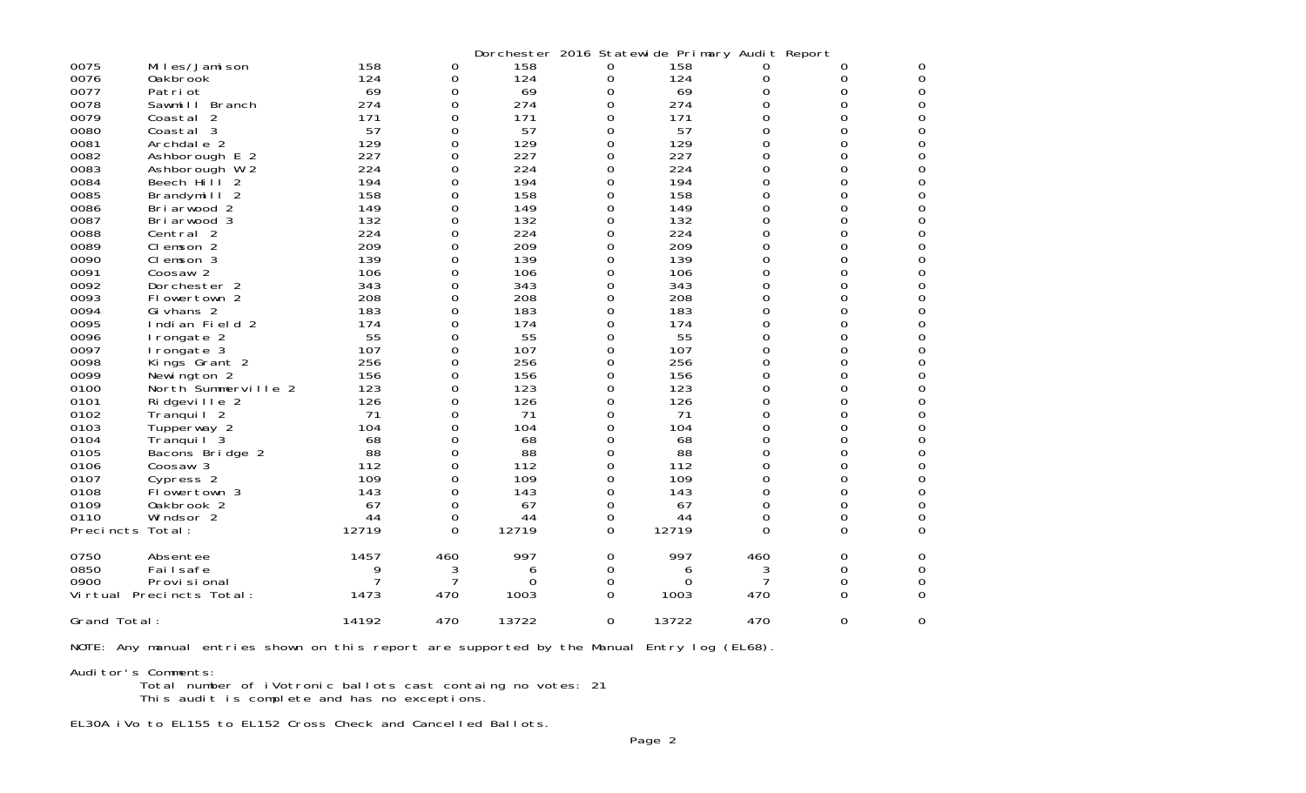|                  |                          |       |                | Dorchester 2016 Statewide Primary Audit Report |          |       |          |   |   |
|------------------|--------------------------|-------|----------------|------------------------------------------------|----------|-------|----------|---|---|
| 0075             | Miles/Jamison            | 158   | 0              | 158                                            | 0        | 158   |          | 0 | 0 |
| 0076             | <b>Oakbrook</b>          | 124   | 0              | 124                                            | 0        | 124   | 0        | 0 | 0 |
| 0077             | Patri ot                 | 69    | 0              | 69                                             | 0        | 69    | O        | 0 | 0 |
| 0078             | Sawmill Branch           | 274   | 0              | 274                                            | 0        | 274   | $\Omega$ | 0 | Ω |
| 0079             | Coastal<br>-2            | 171   | 0              | 171                                            | 0        | 171   | $\Omega$ | 0 | 0 |
| 0080             | Coastal 3                | 57    | 0              | 57                                             | 0        | 57    | 0        | 0 | 0 |
| 0081             | Archdale 2               | 129   | 0              | 129                                            | 0        | 129   | $\Omega$ | 0 | Ω |
| 0082             | Ashborough E 2           | 227   | 0              | 227                                            | 0        | 227   | $\Omega$ | 0 | 0 |
| 0083             | Ashborough W 2           | 224   | 0              | 224                                            | 0        | 224   | 0        | 0 | 0 |
| 0084             | Beech Hill<br>2          | 194   | 0              | 194                                            | 0        | 194   | $\Omega$ | 0 | Ω |
| 0085             | Brandymill 2             | 158   | 0              | 158                                            | 0        | 158   | 0        | 0 | 0 |
| 0086             | Briarwood 2              | 149   | 0              | 149                                            | 0        | 149   | 0        | 0 | 0 |
| 0087             | Briarwood 3              | 132   | 0              | 132                                            | 0        | 132   | 0        | 0 | Ω |
| 0088             | Central 2                | 224   | 0              | 224                                            | 0        | 224   | $\Omega$ | 0 | 0 |
| 0089             | Clemson 2                | 209   | 0              | 209                                            | 0        | 209   | $\Omega$ | 0 | 0 |
| 0090             | Clemson 3                | 139   | 0              | 139                                            | 0        | 139   | 0        | 0 | 0 |
| 0091             | Coosaw <sub>2</sub>      | 106   | 0              | 106                                            | 0        | 106   | 0        | 0 | 0 |
| 0092             | Dorchester 2             | 343   | 0              | 343                                            | 0        | 343   | 0        | 0 | 0 |
| 0093             | Flowertown 2             | 208   | 0              | 208                                            | 0        | 208   | 0        | 0 | Ω |
| 0094             | Gi vhans 2               | 183   | 0              | 183                                            | 0        | 183   | 0        | 0 | 0 |
| 0095             | Indian Field 2           | 174   | 0              | 174                                            | 0        | 174   | 0        | 0 | 0 |
| 0096             | I rongate 2              | 55    | 0              | 55                                             | 0        | 55    | 0        | 0 | 0 |
| 0097             | I rongate 3              | 107   | 0              | 107                                            | 0        | 107   | 0        | 0 | 0 |
| 0098             | Kings Grant 2            | 256   | 0              | 256                                            | 0        | 256   | 0        | 0 | 0 |
| 0099             | Newington 2              | 156   | 0              | 156                                            | 0        | 156   | 0        | 0 | 0 |
| 0100             | North Summerville 2      | 123   | 0              | 123                                            | 0        | 123   | 0        | 0 | 0 |
| 0101             | Ridgeville 2             | 126   | 0              | 126                                            | 0        | 126   | 0        | 0 | 0 |
| 0102             | Tranqui   2              | 71    | 0              | 71                                             | 0        | 71    | 0        | 0 | 0 |
| 0103             | Tupperway 2              | 104   | 0              | 104                                            | 0        | 104   | 0        | 0 | 0 |
| 0104             | Tranquil 3               | 68    | 0              | 68                                             | 0        | 68    | 0        | 0 | 0 |
| 0105             | Bacons Bridge 2          | 88    | 0              | 88                                             | 0        | 88    | 0        | 0 | 0 |
| 0106             | Coosaw 3                 | 112   | 0              | 112                                            | 0        | 112   | 0        | 0 | 0 |
| 0107             | Cypress 2                | 109   | 0              | 109                                            | 0        | 109   | 0        | 0 | 0 |
| 0108             | Flowertown 3             | 143   | 0              | 143                                            | 0        | 143   | 0        | 0 | 0 |
| 0109             | Oakbrook 2               | 67    | 0              | 67                                             | 0        | 67    | 0        | 0 | 0 |
| 0110             | Windsor 2                | 44    | 0              | 44                                             | 0        | 44    | 0        | 0 | 0 |
| Precincts Total: |                          | 12719 | 0              | 12719                                          | 0        | 12719 | $\Omega$ | 0 | 0 |
| 0750             | Absentee                 | 1457  | 460            | 997                                            | 0        | 997   | 460      | 0 | 0 |
| 0850             | Failsafe                 | 9     | 3              | 6                                              | 0        | 6     | 3        | 0 | 0 |
| 0900             | Provi si onal            | 7     | $\overline{7}$ | 0                                              | 0        | 0     | 7        | 0 | 0 |
|                  | Virtual Precincts Total: | 1473  | 470            | 1003                                           | 0        | 1003  | 470      | 0 | 0 |
| Grand Total:     |                          | 14192 | 470            | 13722                                          | $\Omega$ | 13722 | 470      | 0 | 0 |

NOTE: Any manual entries shown on this report are supported by the Manual Entry log (EL68).

Auditor's Comments: Total number of iVotronic ballots cast containg no votes: 21 This audit is complete and has no exceptions.

EL30A iVo to EL155 to EL152 Cross Check and Cancelled Ballots.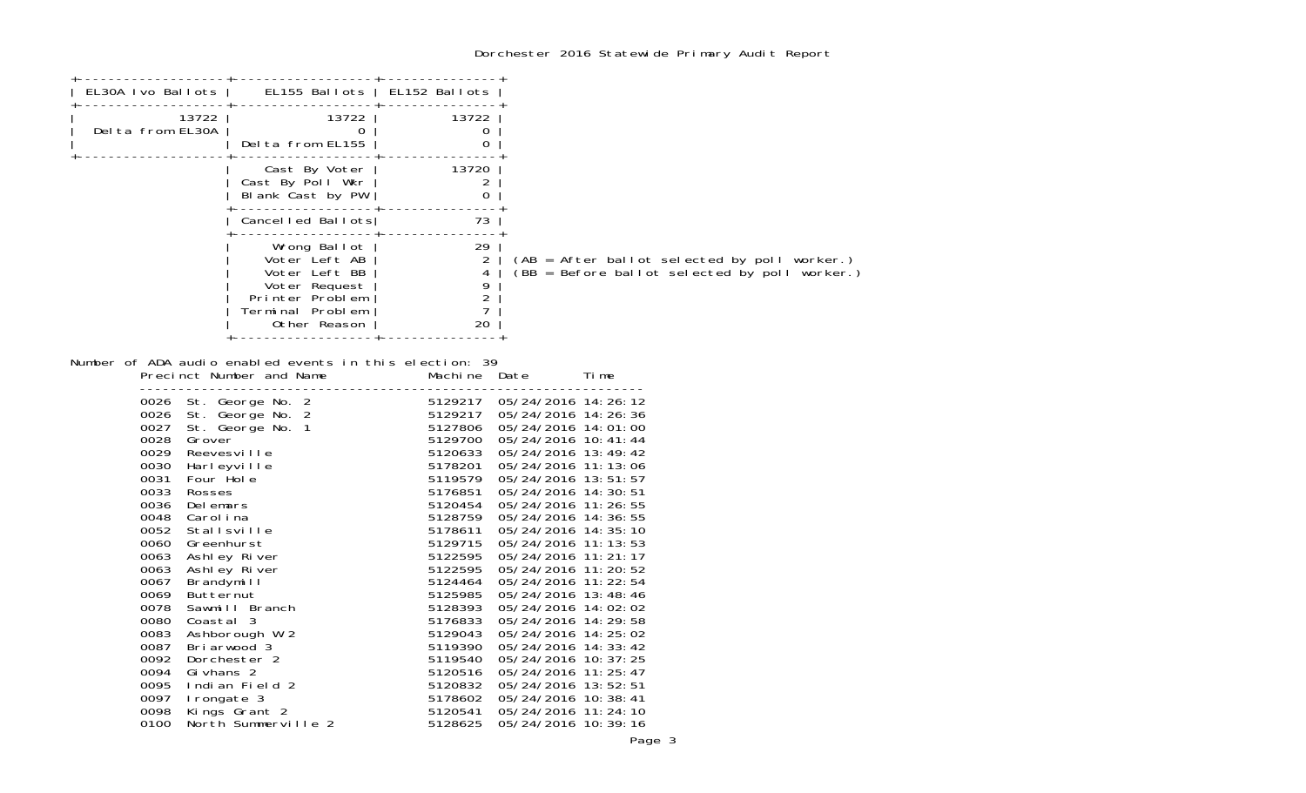|                                                                                                                                                                         | 13722<br>Del ta from EL30A<br>Del ta from EL155<br>Del ta from EL155<br>O          |                                                                                                                                                                                                                                                              |                                                                                                                                                                                                                                                                                                                                                                                                                                                                                                                       |
|-------------------------------------------------------------------------------------------------------------------------------------------------------------------------|------------------------------------------------------------------------------------|--------------------------------------------------------------------------------------------------------------------------------------------------------------------------------------------------------------------------------------------------------------|-----------------------------------------------------------------------------------------------------------------------------------------------------------------------------------------------------------------------------------------------------------------------------------------------------------------------------------------------------------------------------------------------------------------------------------------------------------------------------------------------------------------------|
|                                                                                                                                                                         | Cast By Voter $\vert$ 13720                                                        |                                                                                                                                                                                                                                                              |                                                                                                                                                                                                                                                                                                                                                                                                                                                                                                                       |
|                                                                                                                                                                         |                                                                                    |                                                                                                                                                                                                                                                              |                                                                                                                                                                                                                                                                                                                                                                                                                                                                                                                       |
|                                                                                                                                                                         | Printer Problem<br>Terminal Problem<br>Other Reason                                | Wrong Ballot<br>Voter Left AB<br>Voter Left BB<br>Voter Request<br>Tinter Problem<br>Thing Problem<br>Capacity Contains 2<br>Capacity Contains 2<br>Capacity Contains 2<br>Capacity Contains 2<br>Capacity Contains 2<br>Capacity Contains 2<br>Capaci<br>20 | (AB = After ballot selected by poll worker.)<br>$(BB = Before ballot selected by poll worker.)$                                                                                                                                                                                                                                                                                                                                                                                                                       |
| Number of ADA audio enabled events in this election: 39                                                                                                                 | Precinct Number and Name Machine Date Time                                         |                                                                                                                                                                                                                                                              |                                                                                                                                                                                                                                                                                                                                                                                                                                                                                                                       |
| 0063<br>0067<br>Brandymill<br>0069<br>Butternut<br>0078<br>0080<br>Coastal 3<br>0083<br>0087<br>Briarwood 3<br>0092<br>0094<br>Gi vhans 2<br>0095<br>0097<br>Irongate 3 | Ashley River<br>Sawmill Branch<br>Ashborough W 2<br>Dorchester 2<br>Indian Field 2 | 5122595<br>5124464<br>5125985<br>5128393<br>5176833<br>5129043<br>5119390<br>5119540<br>5120516<br>5120832<br>5178602                                                                                                                                        | 0026 St. George No. 2<br>0026 St. George No. 2<br>0027 St. George No. 2<br>5129217 05/24/2016 14: 26: 36<br>0027 St. George No. 1<br>5127806 05/24/2016 14: 01: 00<br>0028 Grover<br>0029 Reevesville<br>0029 Reevesville<br>0030 Harleyville<br>5<br>05/24/2016 11:20:52<br>05/24/2016 11:22:54<br>05/24/2016 13:48:46<br>05/24/2016 14:02:02<br>05/24/2016 14:29:58<br>05/24/2016 14: 25: 02<br>05/24/2016 14: 33: 42<br>05/24/2016 10: 37: 25<br>05/24/2016 11:25:47<br>05/24/2016 13:52:51<br>05/24/2016 10:38:41 |

0098 Kings Grant 2 5120541 05/24/2016 11:24:10 0100 North Summerville 2 5128625 05/24/2016 10:39:16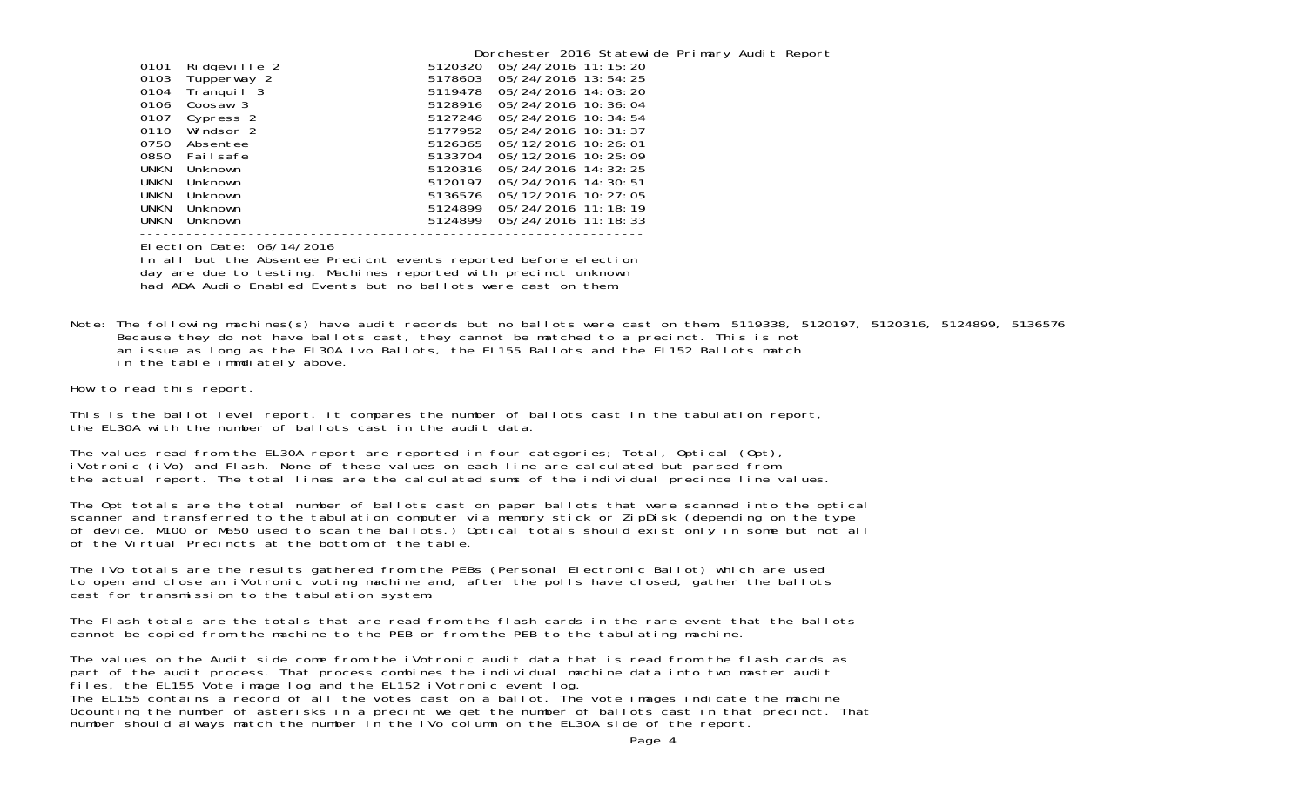|             |                       |         | Dorchester 2016 Statewide Primary Audit Report |  |  |
|-------------|-----------------------|---------|------------------------------------------------|--|--|
| 0101        | Ridgeville 2          | 5120320 | 05/24/2016 11: 15: 20                          |  |  |
| 0103        | Tupperway 2           | 5178603 | 05/24/2016 13:54:25                            |  |  |
| 0104        | Tranquil <sup>3</sup> | 5119478 | 05/24/2016 14:03:20                            |  |  |
| 0106        | Coosaw 3              | 5128916 | 05/24/2016 10:36:04                            |  |  |
| 0107        | Cypress 2             | 5127246 | 05/24/2016 10: 34: 54                          |  |  |
| 0110        | Windsor 2             | 5177952 | 05/24/2016 10: 31: 37                          |  |  |
| 0750        | Absentee              | 5126365 | 05/12/2016 10:26:01                            |  |  |
| 0850        | Failsafe              | 5133704 | 05/12/2016 10:25:09                            |  |  |
| <b>UNKN</b> | <b>Unknown</b>        | 5120316 | 05/24/2016 14: 32: 25                          |  |  |
| <b>UNKN</b> | Unknown               | 5120197 | 05/24/2016 14:30:51                            |  |  |
| <b>UNKN</b> | <b>Unknown</b>        | 5136576 | 05/12/2016 10: 27: 05                          |  |  |
| <b>UNKN</b> | <b>Unknown</b>        | 5124899 | 05/24/2016 11:18:19                            |  |  |
| <b>UNKN</b> | Unknown               | 5124899 | 05/24/2016 11:18:33                            |  |  |

Election Date: 06/14/2016

 In all but the Absentee Precicnt events reported before election day are due to testing. Machines reported with precinct unknown had ADA Audio Enabled Events but no ballots were cast on them.

-----------------------------------------------------------------

Note: The following machines(s) have audit records but no ballots were cast on them: 5119338, 5120197, 5120316, 5124899, 5136576 Because they do not have ballots cast, they cannot be matched to a precinct. This is not an issue as long as the EL30A Ivo Ballots, the EL155 Ballots and the EL152 Ballots match in the table immdiately above.

How to read this report.

This is the ballot level report. It compares the number of ballots cast in the tabulation report, the EL30A with the number of ballots cast in the audit data.

The values read from the EL30A report are reported in four categories; Total, Optical (Opt), iVotronic (iVo) and Flash. None of these values on each line are calculated but parsed from the actual report. The total lines are the calculated sums of the individual precince line values.

The Opt totals are the total number of ballots cast on paper ballots that were scanned into the optical scanner and transferred to the tabulation computer via memory stick or ZipDisk (depending on the type of device, M100 or M650 used to scan the ballots.) Optical totals should exist only in some but not all of the Virtual Precincts at the bottom of the table.

The iVo totals are the results gathered from the PEBs (Personal Electronic Ballot) which are used to open and close an iVotronic voting machine and, after the polls have closed, gather the ballots cast for transmission to the tabulation system.

The Flash totals are the totals that are read from the flash cards in the rare event that the ballotscannot be copied from the machine to the PEB or from the PEB to the tabulating machine.

The values on the Audit side come from the iVotronic audit data that is read from the flash cards as part of the audit process. That process combines the individual machine data into two master audit files, the EL155 Vote image log and the EL152 iVotronic event log. The EL155 contains a record of all the votes cast on a ballot. The vote images indicate the machine 0counting the number of asterisks in a precint we get the number of ballots cast in that precinct. That number should always match the number in the iVo column on the EL30A side of the report.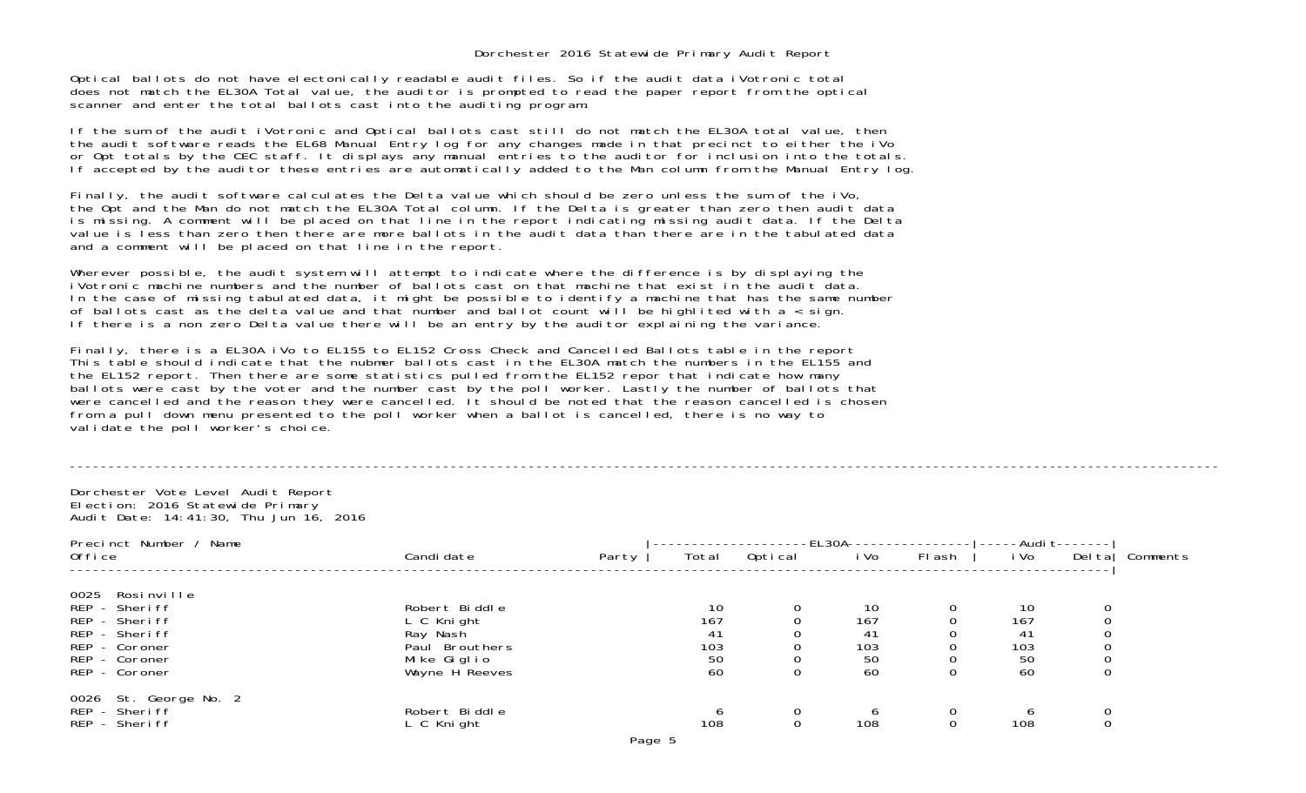Optical ballots do not have electonically readable audit files. So if the audit data iVotronic total does not match the EL30A Total value, the auditor is prompted to read the paper report from the optical scanner and enter the total ballots cast into the auditing program.

If the sum of the audit iVotronic and Optical ballots cast still do not match the EL30A total value, then the audit software reads the EL68 Manual Entry log for any changes made in that precinct to either the iVo or Opt totals by the CEC staff. It displays any manual entries to the auditor for inclusion into the totals. If accepted by the auditor these entries are automatically added to the Man column from the Manual Entry log.

Finally, the audit software calculates the Delta value which should be zero unless the sum of the iVo, the Opt and the Man do not match the EL30A Total column. If the Delta is greater than zero then audit data is missing. A comment will be placed on that line in the report indicating missing audit data. If the Delta value is less than zero then there are more ballots in the audit data than there are in the tabulated data and a comment will be placed on that line in the report.

Wherever possible, the audit system will attempt to indicate where the difference is by displaying the iVotronic machine numbers and the number of ballots cast on that machine that exist in the audit data. In the case of missing tabulated data, it might be possible to identify a machine that has the same number of ballots cast as the delta value and that number and ballot count will be highlited with a  $\overline{\cdot}$  sign. If there is a non zero Delta value there will be an entry by the auditor explaining the variance.

Finally, there is a EL30A iVo to EL155 to EL152 Cross Check and Cancelled Ballots table in the report This table should indicate that the nubmer ballots cast in the EL30A match the numbers in the EL155 and the EL152 report. Then there are some statistics pulled from the EL152 repor that indicate how many ballots were cast by the voter and the number cast by the poll worker. Lastly the number of ballots that were cancelled and the reason they were cancelled. It should be noted that the reason cancelled is chosen from a pull down menu presented to the poll worker when a ballot is cancelled, there is no way to validate the poll worker's choice.

#### Dorchester Vote Level Audit Report Election: 2016 Statewide Primary Audit Date: 14:41:30, Thu Jun 16, 2016

| Precinct Number / Name<br>Office                                                                                         | Candi date                                                                                 | Party | Total                              | Optical          | $-EL30A-$<br>i Vo                  | FI ash | i Vo                               | --Audi t------- <br>Del ta | Comments |
|--------------------------------------------------------------------------------------------------------------------------|--------------------------------------------------------------------------------------------|-------|------------------------------------|------------------|------------------------------------|--------|------------------------------------|----------------------------|----------|
| Rosinville<br>0025<br>REP - Sheriff<br>REP - Sheriff<br>REP - Sheriff<br>REP - Coroner<br>REP - Coroner<br>REP - Coroner | Robert Biddle<br>L C Knight<br>Ray Nash<br>Paul Brouthers<br>Mike Giglio<br>Wayne H Reeves |       | 10<br>167<br>41<br>103<br>50<br>60 | 0<br>0<br>0<br>0 | 10<br>167<br>41<br>103<br>50<br>60 |        | 10<br>167<br>41<br>103<br>50<br>60 | 0                          |          |
| 0026 St. Geor<br>REP - Sheriff<br>St. George No. 2<br>REP - Sheriff                                                      | Robert Biddle<br>L C Knight                                                                |       | 108                                |                  | 108                                |        | 108                                | 0<br>0                     |          |

----------------------------------------------------------------------------------------------------------------------------------------------------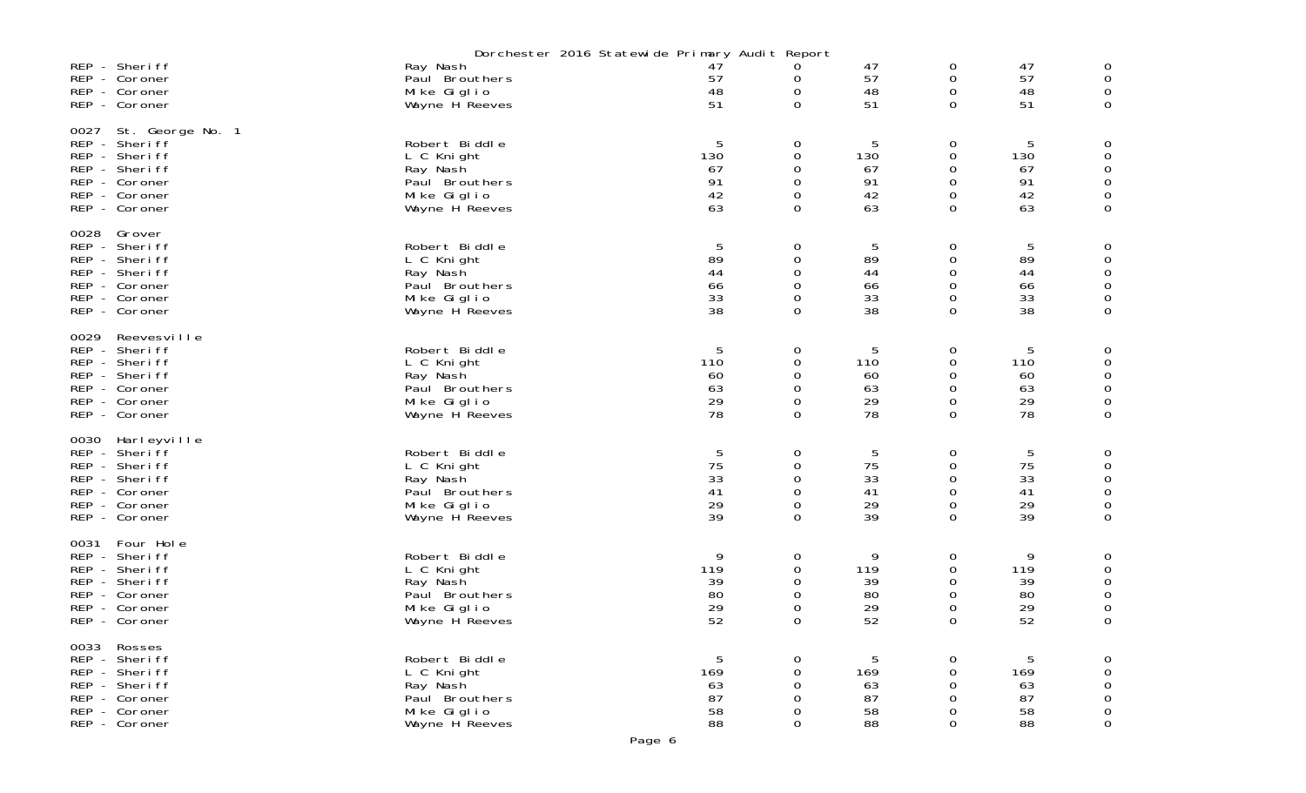|      |                                                                                                                        | Dorchester 2016 Statewide Primary Audit Report                                                          |                                  |                                             |                                  |                                   |                                  |                                                                                                                |
|------|------------------------------------------------------------------------------------------------------------------------|---------------------------------------------------------------------------------------------------------|----------------------------------|---------------------------------------------|----------------------------------|-----------------------------------|----------------------------------|----------------------------------------------------------------------------------------------------------------|
|      | REP - Sheriff<br>REP - Coroner<br>REP - Coroner<br>REP - Coroner                                                       | Ray Nash<br>Paul Brouthers<br>Mike Giglio<br>Wayne H Reeves                                             | 47<br>57<br>48<br>51             | 0<br>0<br>$\Omega$                          | 47<br>57<br>48<br>51             | 0<br>0<br>0<br>0                  | 47<br>57<br>48<br>51             | 0<br>$\mathbf 0$<br>$\overline{0}$<br>0                                                                        |
| 0027 | St. George No. 1<br>REP - Sheriff<br>REP - Sheriff<br>REP - Sheriff<br>REP - Coroner<br>REP - Coroner<br>REP - Coroner | Robert Biddle<br>L C Knight<br>Ray Nash<br>Paul Brouthers<br>Mike Giglio<br>Wayne H Reeves              | 5<br>130<br>67<br>91<br>42<br>63 | 0<br>0<br>0<br>0<br>0<br>$\mathbf{O}$       | 5<br>130<br>67<br>91<br>42<br>63 | 0<br>0<br>0<br>0<br>0<br>0        | 5<br>130<br>67<br>91<br>42<br>63 | 0<br>$\mathsf{O}\xspace$<br>$\mathbf 0$<br>$\mathsf{O}\xspace$<br>${\bf O}$<br>$\mathbf 0$                     |
| 0028 | Grover<br>REP - Sheriff<br>REP - Sheriff<br>REP - Sheriff<br>REP - Coroner<br>REP - Coroner<br>REP - Coroner           | Robert Biddle<br>L C Knight<br>Ray Nash<br>Paul Brouthers<br>Mike Giglio<br>Wayne H Reeves              | 5<br>89<br>44<br>66<br>33<br>38  | 0<br>0<br>0<br>0<br>0<br>0                  | 5<br>89<br>44<br>66<br>33<br>38  | 0<br>0<br>0<br>0<br>0<br>$\Omega$ | 5<br>89<br>44<br>66<br>33<br>38  | $\overline{0}$<br>$\mathbf 0$<br>$\mathsf{O}\xspace$<br>$\mathsf{O}\xspace$<br>$_{\rm 0}^{\rm 0}$              |
| 0029 | Reevesville<br>REP - Sheriff<br>REP - Sheriff<br>REP - Sheriff<br>REP - Coroner<br>REP - Coroner<br>REP - Coroner      | Robert Biddle<br>L C Knight<br>Ray Nash<br>Paul Brouthers<br>Mike Giglio<br>Wayne H Reeves              | 5<br>110<br>60<br>63<br>29<br>78 | 0<br>0<br>$\Omega$<br>0<br>0<br>$\Omega$    | 5<br>110<br>60<br>63<br>29<br>78 | 0<br>0<br>0<br>0<br>0<br>$\Omega$ | 5<br>110<br>60<br>63<br>29<br>78 | $\mathbf 0$<br>$\mathbf 0$<br>$\mathbf 0$<br>$\boldsymbol{0}$<br>$\mathsf{O}\xspace$<br>$\mathbf 0$            |
| 0030 | Harleyville<br>REP - Sheriff<br>REP - Sheriff<br>REP - Sheriff<br>REP - Coroner<br>REP - Coroner<br>REP - Coroner      | Robert Biddle<br>L C Knight<br>Ray Nash<br>Paul Brouthers<br>Mike Giglio<br>Wayne H Reeves              | 5<br>75<br>33<br>41<br>29<br>39  | 0<br>0<br>0<br>0<br>0<br>$\Omega$           | 5<br>75<br>33<br>41<br>29<br>39  | 0<br>0<br>0<br>0<br>0<br>0        | 5<br>75<br>33<br>41<br>29<br>39  | $\mathbf{O}$<br>0<br>$\overline{0}$<br>$\mathsf{O}\xspace$<br>$\mathsf{O}\xspace$<br>$\mathbf 0$               |
| 0031 | Four Hole<br>REP - Sheriff<br>REP - Sheriff<br>REP - Sheriff<br>REP - Coroner<br>REP - Coroner<br>REP - Coroner        | Robert Biddle<br>L C Knight<br>Ray Nash<br>Paul Brouthers<br>Mike Giglio<br>Wayne H Reeves              | 9<br>119<br>39<br>80<br>29<br>52 | 0<br>0<br>0<br>0<br>0<br>0                  | 9<br>119<br>39<br>80<br>29<br>52 | 0<br>0<br>0<br>0<br>0<br>$\Omega$ | 9<br>119<br>39<br>80<br>29<br>52 | $\overline{0}$<br>$\mathsf O$<br>$\boldsymbol{0}$<br>$\mathbf 0$<br>$\mathsf{O}\xspace$<br>$\mathsf{O}\xspace$ |
| 0033 | Rosses<br>REP - Sheriff<br>REP - Sheriff<br>REP - Sheriff<br>REP - Coroner<br>REP - Coroner<br>REP - Coroner           | Robert Biddle<br>L C Knight<br>Ray Nash<br>Paul Brouthers<br>Mike Giglio<br>Wayne H <sup>o</sup> Reeves | 5<br>169<br>63<br>87<br>58<br>88 | 0<br>0<br>0<br>$\Omega$<br>0<br>$\mathbf 0$ | 5<br>169<br>63<br>87<br>58<br>88 | 0<br>0<br>0<br>0<br>0<br>$\Omega$ | 5<br>169<br>63<br>87<br>58<br>88 | $\mathbf 0$<br>$\overline{0}$<br>$\begin{smallmatrix} 0\\0 \end{smallmatrix}$<br>$\mathsf{O}\xspace$           |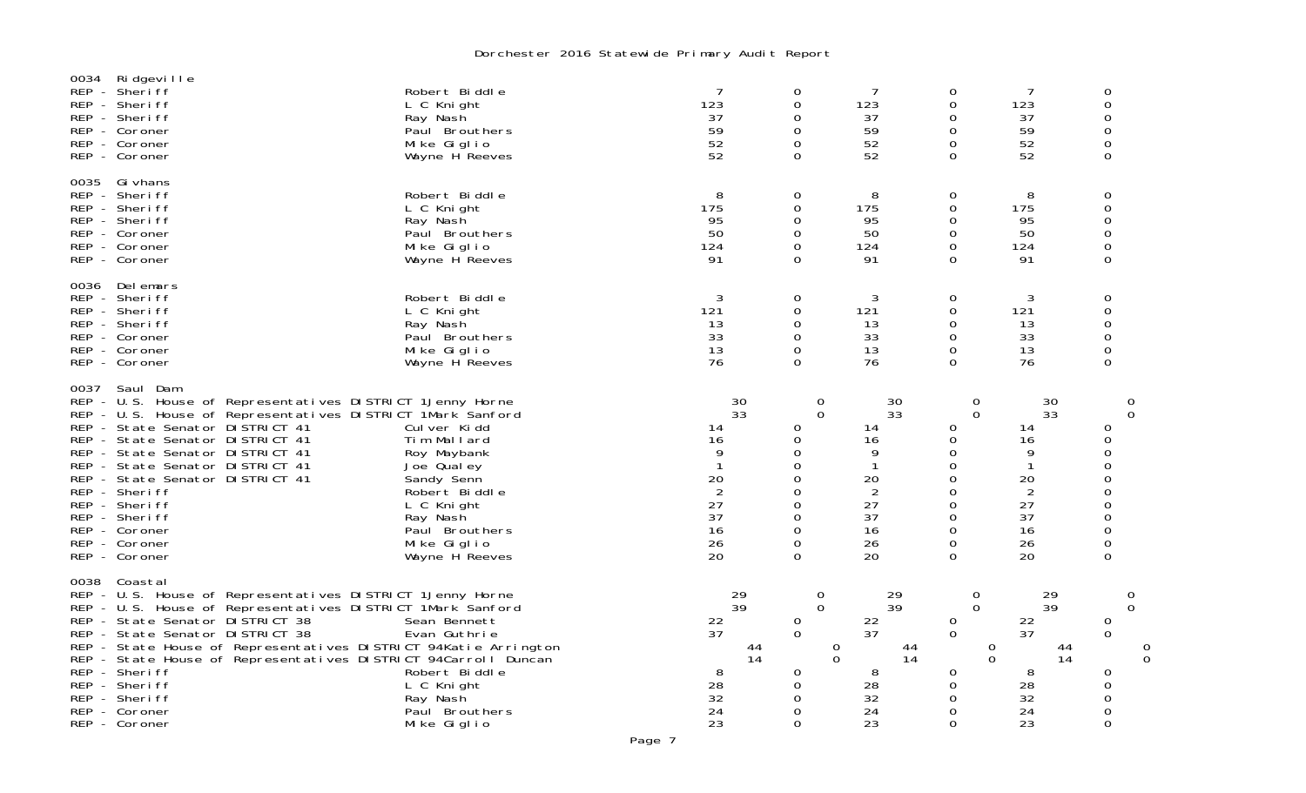| 0034 | Ridgeville<br>REP - Sheriff<br>REP - Sheriff<br>REP - Sheriff<br>REP - Coroner<br>REP - Coroner<br>REP - Coroner                                                                                                                                                                                                                                                                                                                    | Robert Biddle<br>L C Knight<br>Ray Nash<br>Paul Brouthers<br>Mike Giglio<br>Wayne H Reeves                                                                           | 7<br>123<br>37<br>59<br>52<br>52                                                                | 0<br>0<br>0<br>0<br>0<br>0                                                                   | 7<br>123<br>37<br>59<br>52<br>52                                                                | 0<br>$\mathbf 0$<br>0<br>0<br>$\Omega$<br>0                                                                                  | 7<br>123<br>37<br>59<br>52<br>52                                                                | 0<br>0<br>O<br>0<br>0<br>0                                                                          |
|------|-------------------------------------------------------------------------------------------------------------------------------------------------------------------------------------------------------------------------------------------------------------------------------------------------------------------------------------------------------------------------------------------------------------------------------------|----------------------------------------------------------------------------------------------------------------------------------------------------------------------|-------------------------------------------------------------------------------------------------|----------------------------------------------------------------------------------------------|-------------------------------------------------------------------------------------------------|------------------------------------------------------------------------------------------------------------------------------|-------------------------------------------------------------------------------------------------|-----------------------------------------------------------------------------------------------------|
| 0035 | Gi vhans<br>REP - Sheriff<br>REP - Sheriff<br>REP - Sheriff<br>REP - Coroner<br>REP - Coroner<br>REP - Coroner                                                                                                                                                                                                                                                                                                                      | Robert Biddle<br>L C Knight<br>Ray Nash<br>Paul Brouthers<br>Mike Giglio<br>Wayne H Reeves                                                                           | 8<br>175<br>95<br>50<br>124<br>91                                                               | 0<br>$\Omega$<br>0<br>0<br>0<br>$\Omega$                                                     | 8<br>175<br>95<br>50<br>124<br>91                                                               | 0<br>$\Omega$<br>0<br>$\Omega$<br>$\Omega$<br>$\Omega$                                                                       | 8<br>175<br>95<br>50<br>124<br>91                                                               | 0<br>$\Omega$<br>$\Omega$<br>$\Omega$<br>0<br>0                                                     |
| 0036 | Delemars<br>REP - Sheriff<br>REP - Sheriff<br>REP - Sheriff<br>REP - Coroner<br>REP - Coroner<br>REP - Coroner                                                                                                                                                                                                                                                                                                                      | Robert Biddle<br>L C Knight<br>Ray Nash<br>Paul Brouthers<br>Mike Giglio<br>Wayne H Reeves                                                                           | 3<br>121<br>13<br>33<br>13<br>76                                                                | 0<br>0<br>0<br>0<br>$\Omega$<br>$\Omega$                                                     | 3<br>121<br>13<br>33<br>13<br>76                                                                | 0<br>$\Omega$<br>0<br>0<br>$\Omega$<br>$\Omega$                                                                              | 3<br>121<br>13<br>33<br>13<br>76                                                                | 0<br>$\Omega$<br>$\Omega$<br>0<br>$\Omega$<br>$\Omega$                                              |
| 0037 | Saul Dam<br>REP - U.S. House of Representatives DISTRICT 1Jenny Horne<br>REP - U.S. House of Representatives DISTRICT 1Mark Sanford<br>REP - State Senator DISTRICT 41<br>REP - State Senator DISTRICT 41<br>REP - State Senator DISTRICT 41<br>REP - State Senator DISTRICT 41<br>REP - State Senator DISTRICT 41<br>REP - Sheriff<br>REP - Sheriff<br>REP - Sheriff<br>REP - Coroner<br>REP - Coroner<br>REP - Coroner            | Culver Kidd<br>Tim Mallard<br>Roy Maybank<br>Joe Qual ey<br>Sandy Senn<br>Robert Biddle<br>L C Knight<br>Ray Nash<br>Paul Brouthers<br>Mike Giglio<br>Wayne H Reeves | 30<br>33<br>14<br>16<br>9<br>$\mathbf{1}$<br>20<br>$\overline{2}$<br>27<br>37<br>16<br>26<br>20 | 0<br>$\mathbf 0$<br>0<br>0<br>$\Omega$<br>0<br>0<br>0<br>0<br>$\Omega$<br>0<br>0<br>$\Omega$ | 30<br>33<br>14<br>16<br>9<br>$\mathbf{1}$<br>20<br>$\overline{2}$<br>27<br>37<br>16<br>26<br>20 | 0<br>$\Omega$<br>0<br>$\mathsf{O}\xspace$<br>$\Omega$<br>0<br>$\mathbf 0$<br>$\Omega$<br>0<br>$\Omega$<br>0<br>0<br>$\Omega$ | 30<br>33<br>14<br>16<br>9<br>$\mathbf{1}$<br>20<br>$\overline{2}$<br>27<br>37<br>16<br>26<br>20 | 0<br>$\mathbf 0$<br>0<br>0<br>0<br>$\Omega$<br>O<br>$\Omega$<br>$\Omega$<br>O<br>0<br>0<br>$\Omega$ |
| 0038 | Coastal<br>REP - U.S. House of Representatives DISTRICT 1 Jenny Horne<br>REP - U.S. House of Representatives DISTRICT 1Mark Sanford<br>REP - State Senator DISTRICT 38<br>REP - State Senator DISTRICT 38<br>REP - State House of Representatives DISTRICT 94Katie Arrington<br>REP - State House of Representatives DISTRICT 94Carroll Duncan<br>REP - Sheriff<br>REP - Sheriff<br>REP - Sheriff<br>REP - Coroner<br>REP - Coroner | Sean Bennett<br>Evan Guthrie<br>Robert Biddle<br>L C Knight<br>Ray Nash<br>Paul Brouthers<br>Mike Giglio                                                             | 29<br>39<br>$\frac{22}{37}$<br>44<br>14<br>8<br>28<br>32<br>24<br>23                            | 0<br>0<br>0<br>$\Omega$<br>0<br>$\Omega$<br>0<br>0<br>0<br>$\Omega$<br>$\Omega$              | 29<br>39<br>$\frac{22}{37}$<br>44<br>14<br>8<br>28<br>32<br>24<br>23                            | 0<br>$\mathbf 0$<br>0<br>$\mathbf{O}$<br>0<br>$\Omega$<br>0<br>0<br>0<br>0<br>0                                              | 29<br>39<br>$\frac{22}{37}$<br>44<br>14<br>8<br>28<br>32<br>24<br>23                            | $\Omega$<br>$\mathbf 0$<br>0<br>$\Omega$<br>0<br>0<br>0<br>0<br>0<br>0                              |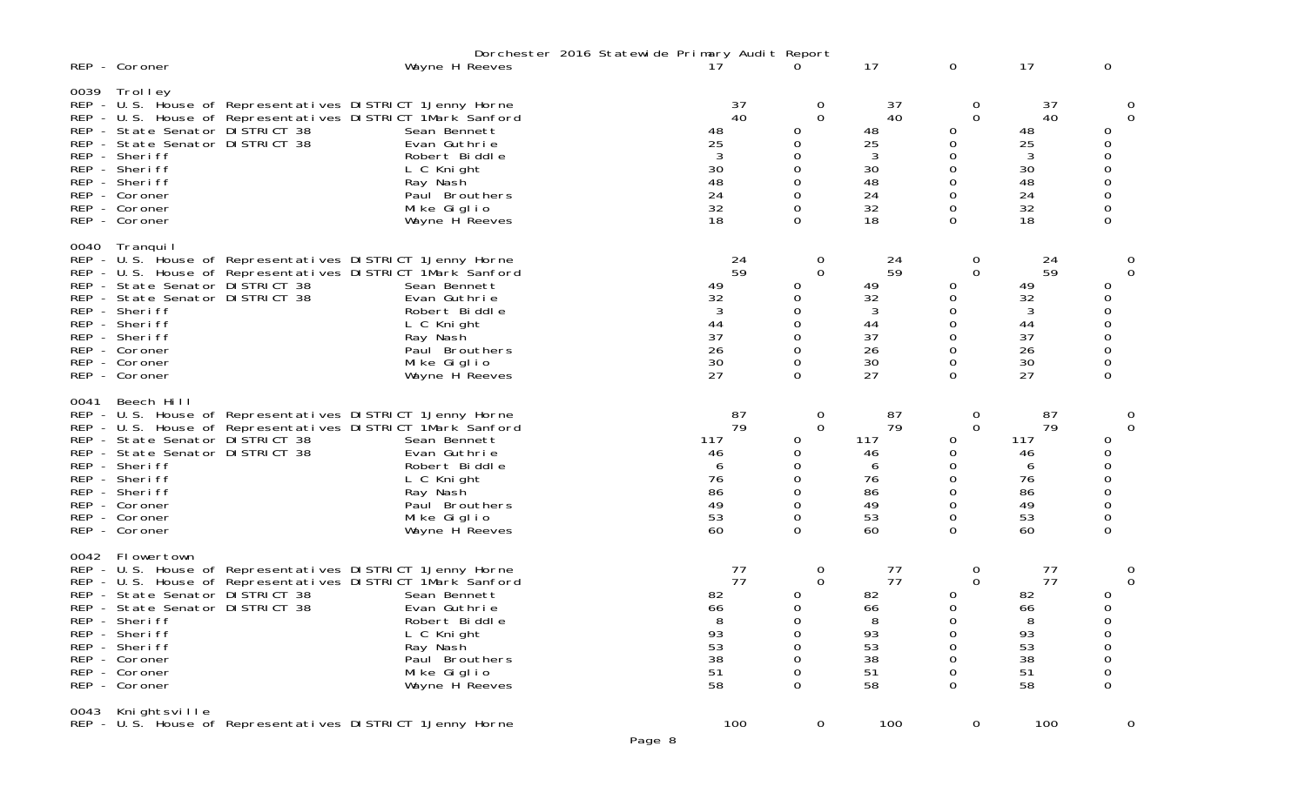|                           |                                                                                                                                                                                                                                                                                                                          | Dorchester 2016 Statewide Primary Audit Report                                                                                          |                                                             |                                                                        |                                                             |                                                                                         |                                                          |                                                              |
|---------------------------|--------------------------------------------------------------------------------------------------------------------------------------------------------------------------------------------------------------------------------------------------------------------------------------------------------------------------|-----------------------------------------------------------------------------------------------------------------------------------------|-------------------------------------------------------------|------------------------------------------------------------------------|-------------------------------------------------------------|-----------------------------------------------------------------------------------------|----------------------------------------------------------|--------------------------------------------------------------|
|                           | REP - Coroner                                                                                                                                                                                                                                                                                                            | Wayne H Reeves                                                                                                                          | 17                                                          |                                                                        | 17                                                          | $\mathbf 0$                                                                             | 17                                                       | 0                                                            |
| 0039<br><b>REP</b><br>REP | Trolley<br>REP - U.S. House of Representatives DISTRICT 1Jenny Horne<br>REP - U.S. House of Representatives DISTRICT 1Mark Sanford<br>- State Senator DISTRICT 38<br>- State Senator DISTRICT 38<br>REP - Sheriff<br>REP - Sheriff<br>REP - Sheriff<br>REP - Coroner<br>REP - Coroner<br>REP - Coroner                   | Sean Bennett<br>Evan Guthrie<br>Robert Biddle<br>L C Knight<br>Ray Nash<br>Paul Brouthers<br>Mike Giglio<br>Wayne H Reeves              | 37<br>40<br>48<br>25<br>3<br>30<br>48<br>24<br>32<br>18     | 0<br>$\mathbf 0$<br>0<br>0<br>$\Omega$<br>0<br>0<br>$\Omega$<br>0<br>0 | 37<br>40<br>48<br>25<br>3<br>30<br>48<br>24<br>32<br>18     | 0<br>$\mathbf 0$<br>0<br>0<br>$\Omega$<br>0<br>0<br>$\Omega$<br>0<br>$\Omega$           | 37<br>40<br>48<br>25<br>3<br>30<br>48<br>24<br>32<br>18  | 0<br>$\Omega$<br>0<br>0<br>0<br>0<br>0<br>0<br>0<br>0        |
| 0040                      | Tranqui I<br>REP - U.S. House of Representatives DISTRICT 1Jenny Horne<br>REP - U.S. House of Representatives DISTRICT 1Mark Sanford<br>REP - State Senator DISTRICT 38<br>REP - State Senator DISTRICT 38<br>REP - Sheriff<br>REP - Sheriff<br>REP - Sheriff<br>REP - Coroner<br>REP - Coroner<br>REP - Coroner         | Sean Bennett<br>Evan Guthrie<br>Robert Biddle<br>L C Knight<br>Ray Nash<br>Paul Brouthers<br>Mike Giglio<br>Wayne H Reeves              | $^{24}_{59}$<br>49<br>32<br>3<br>44<br>37<br>26<br>30<br>27 | 0<br>$\mathbf 0$<br>0<br>0<br>0<br>0<br>0<br>0<br>0<br>0               | $^{24}_{59}$<br>49<br>32<br>3<br>44<br>37<br>26<br>30<br>27 | 0<br>$\Omega$<br>0<br>0<br>$\Omega$<br>0<br>$\Omega$<br>0<br>0<br>$\Omega$              | 24<br>59<br>49<br>32<br>3<br>44<br>37<br>26<br>30<br>27  | 0<br>$\Omega$<br>0<br>0<br>0<br>0<br>0<br>0<br>0<br>$\Omega$ |
| 0041<br><b>REP</b>        | Beech Hill<br>REP - U.S. House of Representatives DISTRICT 1Jenny Horne<br>REP - U.S. House of Representatives DISTRICT 1Mark Sanford<br>- State Senator DISTRICT 38<br>REP - State Senator DISTRICT 38<br>REP - Sheriff<br>REP - Sheriff<br>REP - Sheriff<br>REP - Coroner<br>REP - Coroner<br>REP - Coroner            | Sean Bennett<br>Evan Guthrie<br>Robert Biddle<br>L C Knight<br>Ray Nash<br>Paul Brouthers<br>Mike Giglio<br>Wayne H Reeves              | 87<br>79<br>117<br>46<br>6<br>76<br>86<br>49<br>53<br>60    | 0<br>$\Omega$<br>0<br>0<br>0<br>0<br>0<br>0<br>0<br>$\Omega$           | 87<br>79<br>117<br>46<br>6<br>76<br>86<br>49<br>53<br>60    | $\overline{O}$<br>$\Omega$<br>0<br>0<br>$\Omega$<br>0<br>$\Omega$<br>0<br>0<br>$\Omega$ | 87<br>79<br>117<br>46<br>6<br>76<br>86<br>49<br>53<br>60 | 0<br>$\Omega$<br>0<br>0<br>0<br>0<br>0<br>0<br>0<br>$\Omega$ |
| 0042                      | <b>Flowertown</b><br>REP - U.S. House of Representatives DISTRICT 1Jenny Horne<br>REP - U.S. House of Representatives DISTRICT 1Mark Sanford<br>REP - State Senator DISTRICT 38<br>REP - State Senator DISTRICT 38<br>REP - Sheriff<br>REP - Sheriff<br>REP - Sheriff<br>REP - Coroner<br>REP - Coroner<br>REP - Coroner | Sean Bennett<br>Evan Guthrie<br>Robert Biddle<br>L C Knight<br>Ray Nash<br>Paul Brouthers<br>Mike Giglio<br>Wayne H <sup>o</sup> Reeves | 77<br>77<br>82<br>66<br>8<br>93<br>53<br>38<br>51<br>58     | 0<br>$\Omega$<br>0<br>$\Omega$<br>0<br>0<br>0<br>0<br>$\Omega$         | 77<br>77<br>82<br>66<br>8<br>93<br>53<br>38<br>51<br>58     | $\Omega$<br>$\overline{0}$<br>0<br>0<br>$\Omega$<br>0<br>$\Omega$<br>0<br>0<br>$\Omega$ | 77<br>77<br>82<br>66<br>8<br>93<br>53<br>38<br>51<br>58  | O<br>$\Omega$<br>0<br>0<br>0<br>0<br>0<br>0<br>0<br>$\Omega$ |
|                           | 0043 Knightsville<br>REP - U.S. House of Representatives DISTRICT 1 Jenny Horne                                                                                                                                                                                                                                          |                                                                                                                                         | 100                                                         | $\mathbf 0$                                                            | 100                                                         | $\overline{0}$                                                                          | 100                                                      | $\mathbf{0}$                                                 |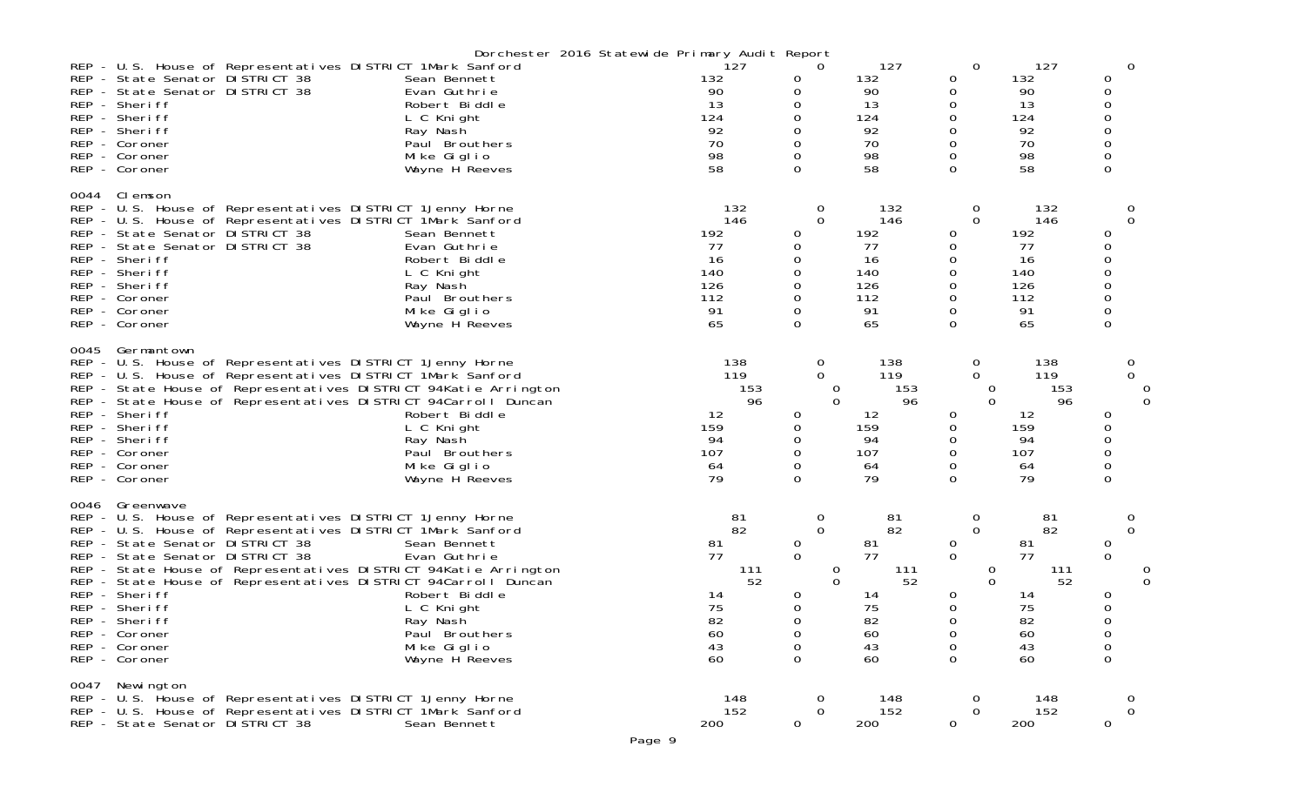|      |                                                                                                                                                                                                                                                                                                                                                                                                                                                        | Dorchester 2016 Statewide Primary Audit Report                                                                                          |                                                                       |                                                                               |                                                                       |                                                                                                      |                                                                       |                                                                                                             |
|------|--------------------------------------------------------------------------------------------------------------------------------------------------------------------------------------------------------------------------------------------------------------------------------------------------------------------------------------------------------------------------------------------------------------------------------------------------------|-----------------------------------------------------------------------------------------------------------------------------------------|-----------------------------------------------------------------------|-------------------------------------------------------------------------------|-----------------------------------------------------------------------|------------------------------------------------------------------------------------------------------|-----------------------------------------------------------------------|-------------------------------------------------------------------------------------------------------------|
|      | REP - U.S. House of Representatives DISTRICT 1Mark Sanford<br>REP - State Senator DISTRICT 38<br>REP - State Senator DISTRICT 38<br>REP - Sheriff<br>REP - Sheriff<br>REP - Sheriff<br>REP - Coroner<br>REP - Coroner<br>REP - Coroner                                                                                                                                                                                                                 | Sean Bennett<br>Evan Guthrie<br>Robert Biddle<br>L C Knight<br>Ray Nash<br>Paul Brouthers<br>Mike Giglio<br>Wayne H Reeves              | 127<br>132<br>90<br>13<br>124<br>92<br>70<br>98<br>58                 | 0<br>0<br>0<br>0<br>0<br>0<br>0<br>0<br>$\Omega$                              | 127<br>132<br>90<br>13<br>124<br>92<br>70<br>98<br>58                 | 0<br>0<br>0<br>0<br>0<br>0<br>0<br>0<br>0                                                            | 127<br>132<br>90<br>13<br>124<br>92<br>70<br>98<br>58                 | $\overline{0}$<br>0<br>$\Omega$<br>$\Omega$<br>$\Omega$<br>$\Omega$<br>$\mathbf 0$<br>0<br>0                |
| 0044 | CI emson<br>REP - U.S. House of Representatives DISTRICT 1 Jenny Horne<br>REP - U.S. House of Representatives DISTRICT 1Mark Sanford<br>REP - State Senator DISTRICT 38<br>REP - State Senator DISTRICT 38<br>REP - Sheriff<br>REP - Sheriff<br>REP - Sheriff<br>REP - Coroner<br>REP - Coroner<br>REP - Coroner                                                                                                                                       | Sean Bennett<br>Evan Guthrie<br>Robert Biddle<br>L C Knight<br>Ray Nash<br>Paul Brouthers<br>Mike Giglio<br>Wayne H Reeves              | 132<br>146<br>192<br>77<br>16<br>140<br>126<br>112<br>91<br>65        | 0<br>$\Omega$<br>0<br>0<br>0<br>0<br>0<br>0<br>0<br>$\Omega$                  | 132<br>146<br>192<br>77<br>16<br>140<br>126<br>112<br>91<br>65        | 0<br>0<br>0<br>0<br>0<br>0<br>0<br>0<br>0<br>0                                                       | 132<br>146<br>192<br>77<br>16<br>140<br>126<br>112<br>91<br>65        | 0<br>$\Omega$<br>0<br>$\Omega$<br>$\Omega$<br>$\Omega$<br>$\mathbf 0$<br>0<br>$\Omega$                      |
| 0045 | Germantown<br>REP - U.S. House of Representatives DISTRICT 1 Jenny Horne<br>REP - U.S. House of Representatives DISTRICT 1Mark Sanford<br>REP - State House of Representatives DISTRICT 94Katie Arrington<br>REP - State House of Representatives DISTRICT 94Carroll Duncan<br>REP - Sheriff<br>REP - Sheriff<br>REP - Sheriff<br>REP - Coroner<br>REP - Coroner<br>REP - Coroner                                                                      | Robert Biddle<br>L C Knight<br>Ray Nash<br>Paul Brouthers<br>Mike Giglio<br>Wayne H Reeves                                              | 138<br>119<br>153<br>96<br>12<br>159<br>94<br>107<br>64<br>79         | 0<br>$\Omega$<br>0<br>$\Omega$<br>0<br>0<br>0<br>0<br>0<br>$\Omega$           | 138<br>119<br>153<br>96<br>12<br>159<br>94<br>107<br>64<br>79         | 0<br>0<br>0<br>$\Omega$<br>0<br>0<br>0<br>0<br>0<br>0                                                | 138<br>119<br>153<br>96<br>12<br>159<br>94<br>107<br>64<br>79         | 0<br>0<br>0<br>$\Omega$<br>$\Omega$<br>$\Omega$<br>0<br>0                                                   |
| 0046 | Greenwave<br>REP - U.S. House of Representatives DISTRICT 1 Jenny Horne<br>REP - U.S. House of Representatives DISTRICT 1Mark Sanford<br>REP - State Senator DISTRICT 38<br>REP - State Senator DISTRICT 38<br>REP - State House of Representatives DISTRICT 94Katie Arrington<br>REP - State House of Representatives DISTRICT 94Carroll Duncan<br>REP - Sheriff<br>REP - Sheriff<br>REP - Sheriff<br>REP - Coroner<br>REP - Coroner<br>REP - Coroner | Sean Bennett<br>Evan Guthrie<br>Robert Biddle<br>L C Knight<br>Ray Nash<br>Paul Brouthers<br>Mike Giglio<br>Wayne H <sup>o</sup> Reeves | 81<br>82<br>81<br>77<br>111<br>52<br>14<br>75<br>82<br>60<br>43<br>60 | 0<br>0<br>0<br>0<br>0<br>$\Omega$<br>0<br>0<br>$\Omega$<br>0<br>0<br>$\Omega$ | 81<br>82<br>81<br>77<br>111<br>52<br>14<br>75<br>82<br>60<br>43<br>60 | 0<br>$\Omega$<br>0<br>$\mathbf 0$<br>$\overline{0}$<br>$\Omega$<br>0<br>0<br>$\Omega$<br>0<br>0<br>0 | 81<br>82<br>81<br>77<br>111<br>52<br>14<br>75<br>82<br>60<br>43<br>60 | 0<br>$\Omega$<br>0<br>$\mathbf 0$<br>0<br>$\Omega$<br>0<br>0<br>$\Omega$<br>$\mathbf 0$<br>0<br>$\mathbf 0$ |
| 0047 | Newi ngton<br>REP - U.S. House of Representatives DISTRICT 1 Jenny Horne<br>REP - U.S. House of Representatives DISTRICT 1Mark Sanford<br>REP - State Senator DISTRICT 38                                                                                                                                                                                                                                                                              | Sean Bennett                                                                                                                            | 148<br>152<br>200                                                     | 0<br>0<br>$\overline{0}$                                                      | 148<br>152<br>200                                                     | 0<br>$\mathbf{0}$                                                                                    | 148<br>152<br>200                                                     | $\Omega$<br>$\mathbf{O}$                                                                                    |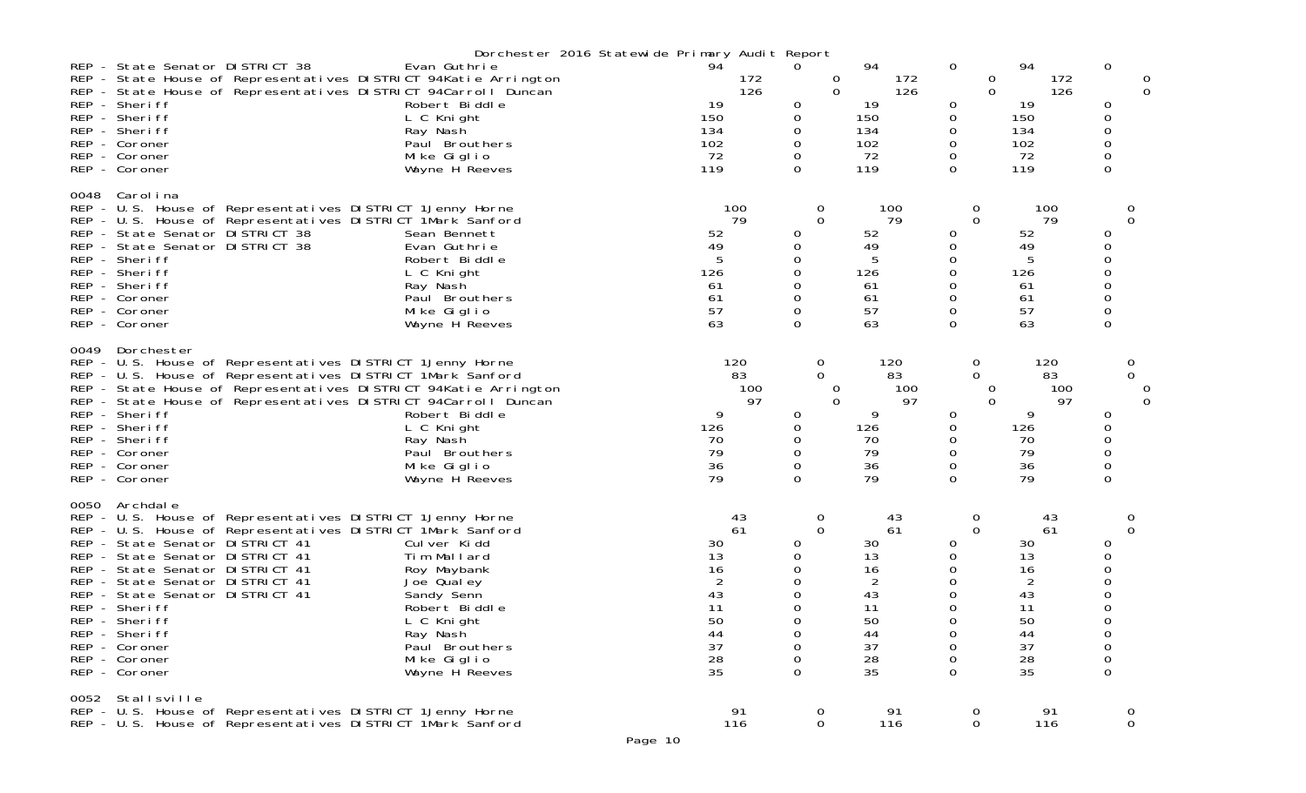|                                    |                                                                                                                                                                                                                                                                                                                                                                                                              | Dorchester 2016 Statewide Primary Audit Report                                                                                                                        |                                                                           |                                                                     |                                                                           |                                                                     |                                                                                        |                                                                 |        |
|------------------------------------|--------------------------------------------------------------------------------------------------------------------------------------------------------------------------------------------------------------------------------------------------------------------------------------------------------------------------------------------------------------------------------------------------------------|-----------------------------------------------------------------------------------------------------------------------------------------------------------------------|---------------------------------------------------------------------------|---------------------------------------------------------------------|---------------------------------------------------------------------------|---------------------------------------------------------------------|----------------------------------------------------------------------------------------|-----------------------------------------------------------------|--------|
|                                    | REP - State Senator DISTRICT 38<br>REP - State House of Representatives DISTRICT 94Katie Arrington<br>REP - State House of Representatives DISTRICT 94Carroll Duncan<br>REP - Sheriff<br>REP - Sheriff<br>REP - Sheriff<br>REP - Coroner<br>REP - Coroner<br>REP - Coroner                                                                                                                                   | Evan Guthrie<br>Robert Biddle<br>L C Knight<br>Ray Nash<br>Paul Brouthers<br>Mike Giglio<br>Wayne H Reeves                                                            | 94<br>172<br>126<br>19<br>150<br>134<br>102<br>72<br>119                  | 0<br>0<br>$\Omega$<br>0<br>0<br>0<br>0<br>0<br>$\Omega$             | 94<br>172<br>126<br>19<br>150<br>134<br>102<br>72<br>119                  | $\mathbf 0$<br>0<br>$\Omega$<br>0<br>0<br>0<br>0<br>0<br>$\Omega$   | 94<br>172<br>126<br>19<br>150<br>134<br>102<br>72<br>119                               | $\mathbf 0$<br>0<br>0<br>0<br>0<br>0<br>0                       | O<br>0 |
| 0048                               | Carol i na<br>REP - U.S. House of Representatives DISTRICT 1 Jenny Horne<br>REP - U.S. House of Representatives DISTRICT 1Mark Sanford<br>REP - State Senator DISTRICT 38<br>REP - State Senator DISTRICT 38<br>REP - Sheriff<br>REP - Sheriff<br>REP - Sheriff<br>REP - Coroner<br>REP - Coroner<br>REP - Coroner                                                                                           | Sean Bennett<br>Evan Guthrie<br>Robert Biddle<br>L C Knight<br>Ray Nash<br>Paul Brouthers<br>Mike Giglio<br>Wayne H Reeves                                            | 100<br>79<br>52<br>49<br>5<br>126<br>61<br>61<br>57<br>63                 | 0<br>$\Omega$<br>0<br>0<br>0<br>0<br>0<br>0<br>0<br>$\Omega$        | 100<br>79<br>52<br>49<br>5<br>126<br>61<br>61<br>57<br>63                 | 0<br>0<br>0<br>0<br>0<br>0<br>$\Omega$<br>0<br>0<br>$\Omega$        | 100<br>79<br>52<br>49<br>5<br>126<br>61<br>61<br>57<br>63                              | 0<br>Ü<br>0<br>0<br>0<br>0<br>0<br>0<br>$\Omega$                |        |
| 0049                               | Dorchester<br>REP - U.S. House of Representatives DISTRICT 1 Jenny Horne<br>REP - U.S. House of Representatives DISTRICT 1Mark Sanford<br>REP - State House of Representatives DISTRICT 94Katie Arrington<br>REP - State House of Representatives DISTRICT 94Carroll Duncan<br>REP - Sheriff<br>REP - Sheriff<br>REP - Sheriff<br>REP - Coroner<br>REP - Coroner<br>REP - Coroner                            | Robert Biddle<br>L C Knight<br>Ray Nash<br>Paul Brouthers<br>Mike Giglio<br>Wayne H Reeves                                                                            | 120<br>83<br>100<br>97<br>9<br>126<br>70<br>79<br>36<br>79                | 0<br>$\Omega$<br>0<br>$\Omega$<br>0<br>0<br>0<br>0<br>0<br>$\Omega$ | 120<br>83<br>100<br>97<br>9<br>126<br>70<br>79<br>36<br>79                | 0<br>0<br>$\sigma$<br>$\Omega$<br>0<br>0<br>0<br>0<br>0<br>$\Omega$ | 120<br>83<br>100<br>97<br>9<br>126<br>70<br>79<br>36<br>79                             | 0<br>0<br>0<br>0<br>0<br>0<br>0<br>0                            | O<br>0 |
| 0050<br>REP –<br>REP<br><b>REP</b> | Archdal e<br>REP - U.S. House of Representatives DISTRICT 1 Jenny Horne<br>REP - U.S. House of Representatives DISTRICT 1Mark Sanford<br>REP - State Senator DISTRICT 41<br>State Senator DISTRICT 41<br>- State Senator DISTRICT 41<br>- State Senator DISTRICT 41<br>REP - State Senator DISTRICT 41<br>REP - Sheriff<br>REP - Sheriff<br>REP - Sheriff<br>REP - Coroner<br>REP - Coroner<br>REP - Coroner | Culver Kidd<br>Tim Mallard<br>Roy Maybank<br>Joe Qualey<br>Sandy Senn<br>Robert Biddle<br>$L$ C Knight<br>Ray Nash<br>Paul Brouthers<br>Mike Giglio<br>Wayne H Reeves | 43<br>61<br>30<br>13<br>16<br>2<br>43<br>11<br>50<br>44<br>37<br>28<br>35 | 0<br>0<br>0<br>0<br>O<br>0<br>0<br>$\Omega$<br>0<br>$\Omega$        | 43<br>61<br>30<br>13<br>16<br>2<br>43<br>11<br>50<br>44<br>37<br>28<br>35 | 0<br>0<br>0<br>0<br>0<br>0<br>0<br>0<br>∩<br>0<br>0<br>0<br>0       | 43<br>61<br>30<br>13<br>16<br>$\overline{2}$<br>43<br>11<br>50<br>44<br>37<br>28<br>35 | O<br>0<br>0<br>ი<br>0<br>0<br>0<br>$\Omega$<br>0<br>0<br>0<br>0 |        |
|                                    | 0052 Stallsville<br>REP - U.S. House of Representatives DISTRICT 1 Jenny Horne<br>REP - U.S. House of Representatives DISTRICT 1Mark Sanford                                                                                                                                                                                                                                                                 |                                                                                                                                                                       | 91<br>116                                                                 | $\mathbf{0}$<br>0                                                   | 91<br>116                                                                 | 0<br>$\mathbf 0$                                                    | 91<br>116                                                                              | 0<br>0                                                          |        |

Page 10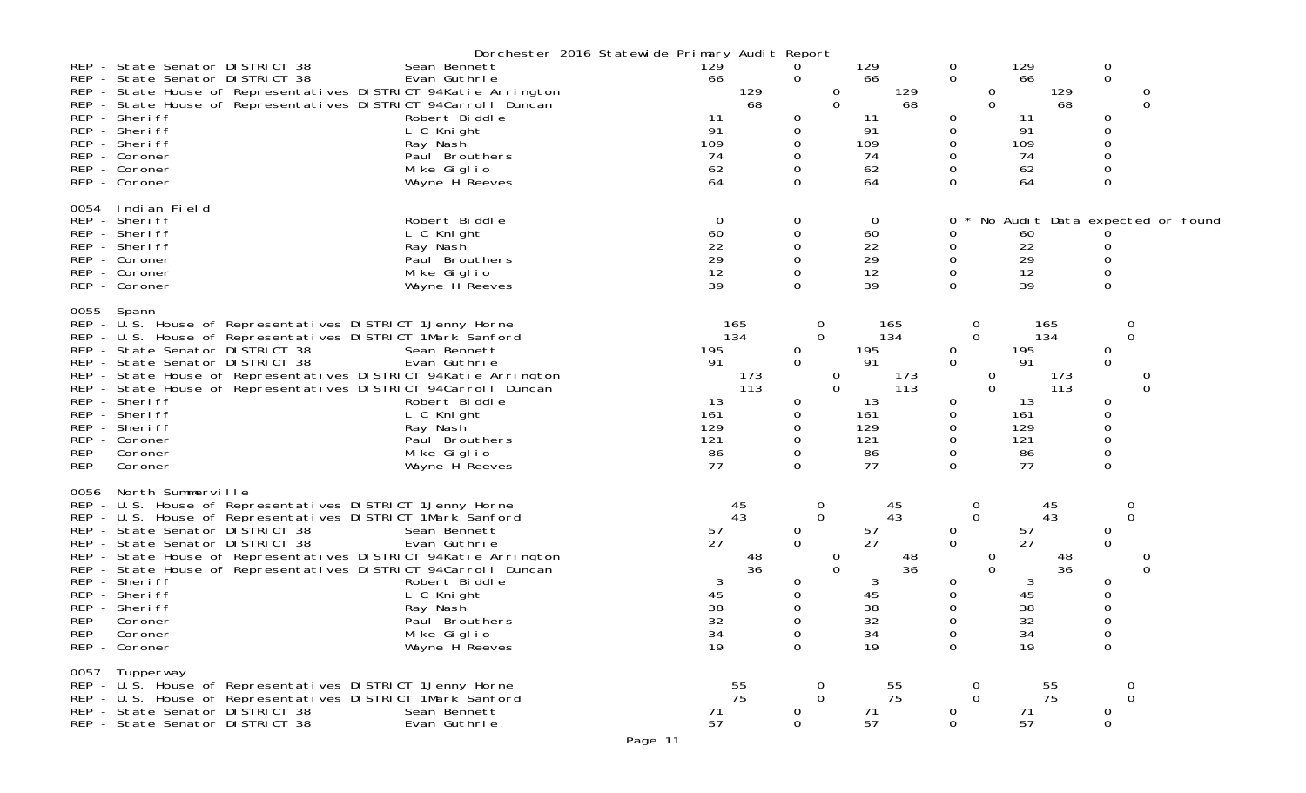|                            | REP - State Senator DISTRICT 38<br>REP - State Senator DISTRICT 38<br>REP - State House of Representatives DISTRICT 94Katie Arrington<br>REP - State House of Representatives DISTRICT 94Carroll Duncan<br>REP - Sheriff<br>REP - Sheriff<br>REP - Sheriff<br>REP - Coroner<br>REP - Coroner                                                                                                                                                       | Dorchester 2016 Statewide Primary Audit Report<br>Sean Bennett<br>Evan Guthrie<br>Robert Biddle<br>L C Knight<br>Ray Nash<br>Paul Brouthers<br>Mike Giglio | 129<br>66<br>129<br>68<br>11<br>91<br>109<br>74<br>62                                         | 0<br>0<br>0<br>0<br>0                                | 129<br>66<br>129<br>0<br>68<br>$\Omega$<br>11<br>91<br>109<br>74<br>62                        | 0<br>$\mathbf 0$<br>0<br>$\Omega$<br>0<br>0<br>0<br>0<br>0                                             | 129<br>66<br>129<br>68<br>11<br>91<br>109<br>74<br>62                        | 0<br>$\mathbf 0$<br>0<br>0<br>0<br>$\Omega$<br>0                          | $\Omega$                        |
|----------------------------|----------------------------------------------------------------------------------------------------------------------------------------------------------------------------------------------------------------------------------------------------------------------------------------------------------------------------------------------------------------------------------------------------------------------------------------------------|------------------------------------------------------------------------------------------------------------------------------------------------------------|-----------------------------------------------------------------------------------------------|------------------------------------------------------|-----------------------------------------------------------------------------------------------|--------------------------------------------------------------------------------------------------------|------------------------------------------------------------------------------|---------------------------------------------------------------------------|---------------------------------|
| 0054                       | REP - Coroner<br>Indian Field<br>REP - Sheriff<br>REP - Sheriff<br>REP - Sheriff<br>REP - Coroner<br>REP - Coroner<br>REP - Coroner                                                                                                                                                                                                                                                                                                                | Wayne H Reeves<br>Robert Biddle<br>L C Knight<br>Ray Nash<br>Paul Brouthers<br>Mike Giglio<br>Wayne H Reeves                                               | 64<br>$\overline{0}$<br>60<br>22<br>29<br>12<br>39                                            | 0<br>0<br>0<br>0<br>0                                | 64<br>0<br>60<br>22<br>29<br>12<br>39                                                         | 0<br>0<br>0<br>0<br>0<br>0<br>$\Omega$                                                                 | 64<br>60<br>22<br>29<br>12<br>39                                             | 0<br>0<br>$\Omega$                                                        | No Audit Data expected or found |
| 0055                       | Spann<br>REP - U.S. House of Representatives DISTRICT 1 Jenny Horne<br>REP - U.S. House of Representatives DISTRICT 1Mark Sanford<br>REP - State Senator DISTRICT 38<br>REP - State Senator DISTRICT 38<br>REP - State House of Representatives DISTRICT 94Katie Arrington<br>REP - State House of Representatives DISTRICT 94Carroll Duncan<br>REP - Sheriff<br>REP - Sheriff<br>REP - Sheriff<br>REP - Coroner<br>REP - Coroner<br>REP - Coroner | Sean Bennett<br>Evan Guthrie<br>Robert Biddle<br>L C Knight<br>Ray Nash<br>Paul Brouthers<br>Mike Giglio<br>Wayne H Reeves                                 | 165<br>134<br>195<br>91<br>173<br>113<br>13<br>161<br>129<br>121<br>86<br>77                  | $\sigma$<br>$\Omega$<br>0<br>0<br>0<br>0<br>$\Omega$ | 165<br>134<br>195<br>91<br>173<br>0<br>$\Omega$<br>113<br>13<br>161<br>129<br>121<br>86<br>77 | 0<br>$\Omega$<br>0<br>$\mathbf 0$<br>0<br>$\Omega$<br>0<br>0<br>0<br>0<br>0<br>$\Omega$                | 165<br>134<br>195<br>91<br>173<br>113<br>13<br>161<br>129<br>121<br>86<br>77 | 0<br>0<br>0<br>$\mathbf 0$<br>0<br>0<br>$\Omega$<br>0<br>0<br>$\Omega$    | $\Omega$                        |
| 0056<br>$REP -$<br>$REP -$ | North Summerville<br>REP - U.S. House of Representatives DISTRICT 1Jenny Horne<br>REP - U.S. House of Representatives DISTRICT 1Mark Sanford<br>State Senator DISTRICT 38<br>REP - State Senator DISTRICT 38<br>REP - State House of Representatives DISTRICT 94Katie Arrington<br>State House of Representatives DISTRICT 94Carroll Duncan<br>REP - Sheriff<br>REP - Sheriff<br>REP - Sheriff<br>REP - Coroner<br>REP - Coroner<br>REP - Coroner  | Sean Bennett<br>Evan Guthrie<br>Robert Biddle<br>L C Knight<br>Ray Nash<br>Paul Brouthers<br>Mike Giglio<br>Wayne H Reeves                                 | 45<br>43<br>57<br>27<br>48<br>36<br>$\begin{array}{c} 45 \\ 38 \end{array}$<br>32<br>34<br>19 | 0<br>0<br>0<br>0<br>O<br>0<br>0<br>0                 | 45<br>43<br>$\frac{57}{27}$<br>48<br>0<br>36<br>$\Omega$<br>3<br>45<br>38<br>32<br>34<br>19   | 0<br>$\mathbf 0$<br>0<br>$\Omega$<br>0<br>$\Omega$<br>0<br>0<br>$\Omega$<br>$\mathbf 0$<br>$\mathbf 0$ | 45<br>43<br>$\frac{57}{27}$<br>48<br>36<br>3<br>45<br>38<br>32<br>34<br>19   | 0<br>$\mathbf 0$<br>0<br>$\Omega$<br>0<br>0<br>0<br>0<br>0<br>$\mathbf 0$ | 0<br>0                          |
|                            | 0057 Tupperway<br>REP - U.S. House of Representatives DISTRICT 1 Jenny Horne<br>REP - U.S. House of Representatives DISTRICT 1Mark Sanford<br>REP - State Senator DISTRICT 38<br>REP - State Senator DISTRICT 38                                                                                                                                                                                                                                   | Sean Bennett<br>Evan Guthrie                                                                                                                               | 55<br>75<br>71<br>57                                                                          | 0<br>$\Omega$<br>0<br>$\overline{0}$                 | 55<br>75<br>71<br>57                                                                          | 0<br>$\Omega$<br>0<br>$\mathbf 0$                                                                      | 55<br>75<br>71<br>57                                                         | 0<br>$\mathbf 0$<br>0<br>$\mathbf 0$                                      |                                 |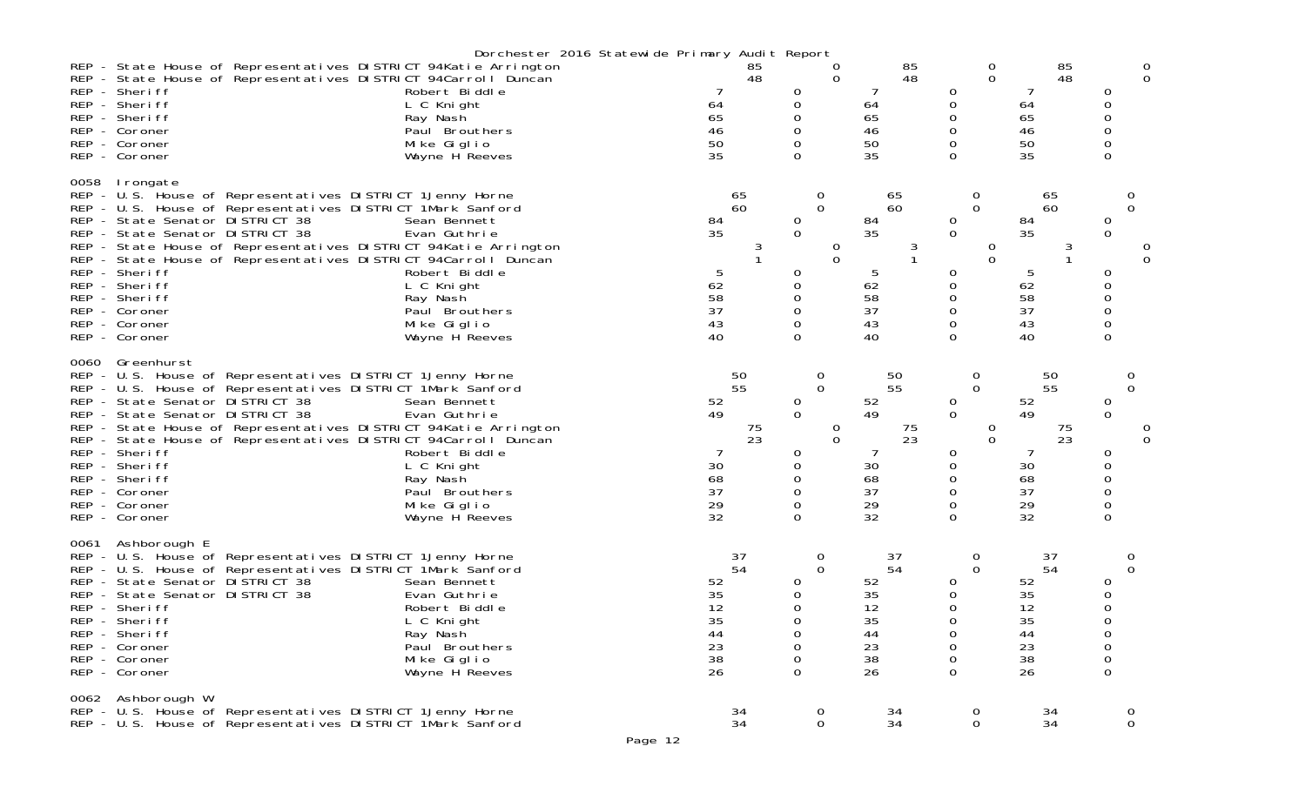|                      |                                                                                                                                                                                                                                                                                                                                                                                                                                                         | Dorchester 2016 Statewide Primary Audit Report                                                                               |                                                                                               |                                                                                             |                                                                              |                                                                                      |                                                                |                                                                   |
|----------------------|---------------------------------------------------------------------------------------------------------------------------------------------------------------------------------------------------------------------------------------------------------------------------------------------------------------------------------------------------------------------------------------------------------------------------------------------------------|------------------------------------------------------------------------------------------------------------------------------|-----------------------------------------------------------------------------------------------|---------------------------------------------------------------------------------------------|------------------------------------------------------------------------------|--------------------------------------------------------------------------------------|----------------------------------------------------------------|-------------------------------------------------------------------|
|                      | REP - State House of Representatives DISTRICT 94Katie Arrington<br>REP - State House of Representatives DISTRICT 94Carroll Duncan<br>REP - Sheriff<br>REP - Sheriff<br>REP - Sheriff<br>REP - Coroner<br>REP - Coroner<br>REP - Coroner                                                                                                                                                                                                                 | Robert Biddle<br>L C Knight<br>Ray Nash<br>Paul Brouthers<br>Mike Giglio<br>Wayne H Reeves                                   | 85<br>48<br>64<br>65<br>46<br>50<br>35                                                        | 0<br>$\Omega$<br>0<br>0<br>0<br>$\Omega$<br>$\Omega$<br>0                                   | 85<br>48<br>64<br>65<br>46<br>50<br>35                                       | 0<br>0<br>0<br>0<br>0<br>0<br>0<br>0                                                 | 85<br>48<br>64<br>65<br>46<br>50<br>35                         | $\Omega$<br>0<br>0<br>0<br>$\Omega$<br>0<br>0                     |
| 0058<br>REP.<br>REP. | Irongate<br>REP - U.S. House of Representatives DISTRICT 1 Jenny Horne<br>- U.S. House of Representatives DISTRICT 1Mark Sanford<br>- State Senator DISTRICT 38<br>REP - State Senator DISTRICT 38<br>REP - State House of Representatives DISTRICT 94Katie Arrington<br>REP - State House of Representatives DISTRICT 94Carroll Duncan<br>REP - Sheriff<br>REP - Sheriff<br>REP - Sheriff<br>REP - Coroner<br>REP - Coroner<br>REP - Coroner           | Sean Bennett<br>Evan Guthrie<br>Robert Biddle<br>L C Knight<br>Ray Nash<br>Paul Brouthers<br>Mike Giglio<br>Wayne H Reeves   | 65<br>60<br>84<br>35<br>3<br>1<br>5<br>62<br>58<br>37<br>43<br>40                             | 0<br>0<br>0<br>$\Omega$<br>0<br>$\Omega$<br>0<br>$\Omega$<br>0<br>0<br>$\Omega$<br>$\Omega$ | 65<br>60<br>84<br>35<br>3<br>$\mathbf{1}$<br>5<br>62<br>58<br>37<br>43<br>40 | 0<br>$\Omega$<br>0<br>0<br>0<br>$\Omega$<br>0<br>0<br>0<br>0<br>$\Omega$<br>$\Omega$ | 65<br>60<br>84<br>35<br>3<br>5<br>62<br>58<br>37<br>43<br>40   | O<br>$\Omega$<br>0<br>0<br>0<br>0<br>0<br>0<br>0<br>$\Omega$<br>0 |
| 0060                 | Greenhurst<br>REP - U.S. House of Representatives DISTRICT 1 Jenny Horne<br>REP - U.S. House of Representatives DISTRICT 1Mark Sanford<br>REP - State Senator DISTRICT 38<br>REP - State Senator DISTRICT 38<br>REP - State House of Representatives DISTRICT 94Katie Arrington<br>REP - State House of Representatives DISTRICT 94Carroll Duncan<br>REP - Sheriff<br>REP - Sheriff<br>REP - Sheriff<br>REP - Coroner<br>REP - Coroner<br>REP - Coroner | Sean Bennett<br>Evan Guthrie<br>Robert Biddle<br>L C Knight<br>Ray Nash<br>Paul Brouthers<br>Mike Giglio<br>Wayne H Reeves   | 50<br>55<br>52<br>49<br>75<br>23<br>30<br>68<br>37<br>$\begin{array}{c} 29 \\ 32 \end{array}$ | 0<br>$\Omega$<br>0<br>0<br>0<br>$\mathbf 0$<br>0<br>0<br>0<br>0<br>0<br>$\Omega$            | 50<br>55<br>52<br>49<br>75<br>23<br>30<br>68<br>37<br>29<br>32               | 0<br>0<br>0<br>$\mathbf 0$<br>0<br>$\Omega$<br>0<br>0<br>0<br>0<br>0<br>$\Omega$     | 50<br>55<br>52<br>49<br>75<br>23<br>30<br>68<br>37<br>29<br>32 | $\Omega$<br>0<br>0<br>0<br>$\Omega$<br>0<br>0<br>0<br>0<br>0      |
| 0061<br>REP.         | Ashborough E<br>REP - U.S. House of Representatives DISTRICT 1Jenny Horne<br>REP - U.S. House of Representatives DISTRICT 1Mark Sanford<br>- State Senator DISTRICT 38<br>REP - State Senator DISTRICT 38<br>REP - Sheriff<br>REP - Sheriff<br>REP - Sheriff<br>REP - Coroner<br>REP - Coroner<br>REP - Coroner                                                                                                                                         | Sean Bennett<br>Evan Guthrie<br>Robert Biddle<br>$L$ C Knight<br>Ray Nash<br>Paul Brouthers<br>Mike Giglio<br>Wayne H Reeves | 37<br>54<br>52<br>35<br>12<br>35<br>44<br>23<br>38<br>26                                      | 0<br>0<br>0<br>0<br>0<br>$\Omega$<br>$\Omega$<br>$\Omega$                                   | 37<br>54<br>52<br>35<br>12<br>35<br>44<br>23<br>38<br>26                     | 0<br>$\mathbf 0$<br>0<br>0<br>0<br>$\Omega$<br>0<br>0<br>0<br>$\Omega$               | 37<br>54<br>52<br>35<br>12<br>35<br>44<br>23<br>38<br>26       | O<br>$\Omega$<br>O<br>0<br>U<br>0<br>0<br>0<br>0                  |
|                      | 0062 Ashborough W<br>REP - U.S. House of Representatives DISTRICT 1 Jenny Horne<br>REP - U.S. House of Representatives DISTRICT 1Mark Sanford                                                                                                                                                                                                                                                                                                           |                                                                                                                              | 34<br>34                                                                                      | 0<br>0                                                                                      | 34<br>34                                                                     | $\mathbf 0$<br>0                                                                     | 34<br>34                                                       | 0<br>$\mathbf 0$                                                  |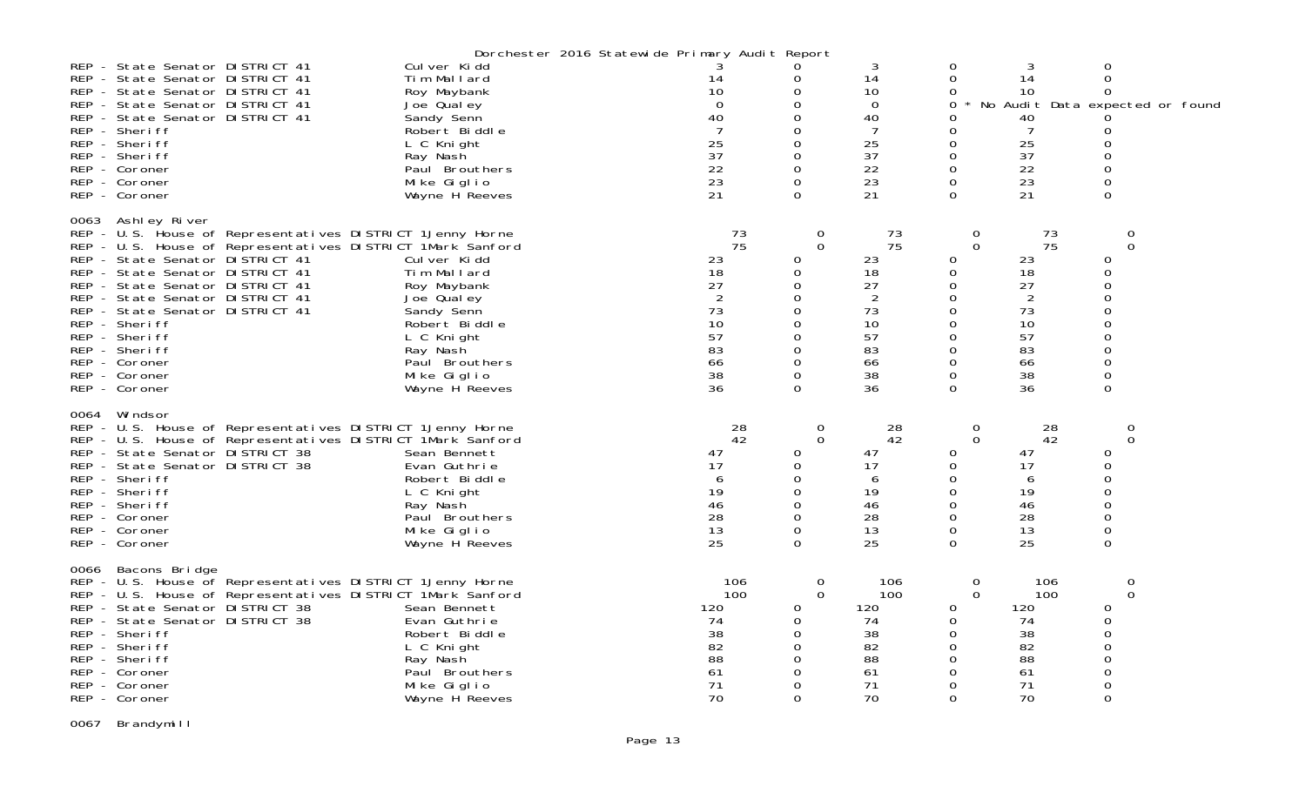|      |                                                                                                                                                                                                                                                                                                                                                                                                                                    | Dorchester 2016 Statewide Primary Audit Report                                                                                                                       |                                                                      |                                                                                         |                                                                           |                                                                                                                                      |                                                                           |                                                                                                       |
|------|------------------------------------------------------------------------------------------------------------------------------------------------------------------------------------------------------------------------------------------------------------------------------------------------------------------------------------------------------------------------------------------------------------------------------------|----------------------------------------------------------------------------------------------------------------------------------------------------------------------|----------------------------------------------------------------------|-----------------------------------------------------------------------------------------|---------------------------------------------------------------------------|--------------------------------------------------------------------------------------------------------------------------------------|---------------------------------------------------------------------------|-------------------------------------------------------------------------------------------------------|
|      | REP - State Senator DISTRICT 41<br>REP - State Senator DISTRICT 41<br>REP - State Senator DISTRICT 41<br>REP - State Senator DISTRICT 41<br>REP - State Senator DISTRICT 41<br>REP - Sheriff<br>REP - Sheriff<br>REP - Sheriff<br>REP - Coroner<br>REP - Coroner<br>REP - Coroner                                                                                                                                                  | Culver Kidd<br>Tim Mallard<br>Roy Maybank<br>Joe Qualey<br>Sandy Senn<br>Robert Biddle<br>L C Knight<br>Ray Nash<br>Paul Brouthers<br>Mike Giglio<br>Wayne H Reeves  | 14<br>10<br>$\Omega$<br>40<br>25<br>37<br>22<br>23<br>21             | 0<br>0<br>0<br>0<br>0<br>$\Omega$                                                       | 3<br>14<br>10<br>0<br>40<br>7<br>25<br>37<br>22<br>23<br>21               | 0<br>0<br>0<br>0<br>0<br>$\Omega$<br>0<br>$\mathbf 0$<br>0<br>$\Omega$<br>$\Omega$                                                   | 3<br>14<br>10<br>40<br>$\overline{7}$<br>25<br>37<br>22<br>23<br>21       | 0<br>$\mathsf{O}\xspace$<br>0<br>No Audit Data expected or found<br>0<br>0<br>0<br>0<br>0<br>$\Omega$ |
|      | 0063 Ashley River<br>REP - U.S. House of Representatives DISTRICT 1 Jenny Horne<br>REP - U.S. House of Representatives DISTRICT 1Mark Sanford<br>REP - State Senator DISTRICT 41<br>REP - State Senator DISTRICT 41<br>REP - State Senator DISTRICT 41<br>REP - State Senator DISTRICT 41<br>REP - State Senator DISTRICT 41<br>REP - Sheriff<br>REP - Sheriff<br>REP - Sheriff<br>REP - Coroner<br>REP - Coroner<br>REP - Coroner | Culver Kidd<br>Tim Mallard<br>Roy Maybank<br>Joe Qual ey<br>Sandy Senn<br>Robert Biddle<br>L C Knight<br>Ray Nash<br>Paul Brouthers<br>Mike Giglio<br>Wayne H Reeves | 73<br>75<br>23<br>18<br>27<br>73<br>10<br>57<br>83<br>66<br>38<br>36 | 0<br>$\overline{0}$<br>0<br>0<br>$\Omega$<br>$\Omega$<br>0<br>0<br>$\Omega$<br>$\Omega$ | 73<br>75<br>23<br>18<br>27<br>2<br>73<br>10<br>57<br>83<br>66<br>38<br>36 | 0<br>$\overline{0}$<br>0<br>$\mathbf 0$<br>$\Omega$<br>$\Omega$<br>$\Omega$<br>0<br>$\mathbf 0$<br>0<br>$\mathbf 0$<br>0<br>$\Omega$ | 73<br>75<br>23<br>18<br>27<br>2<br>73<br>10<br>57<br>83<br>66<br>38<br>36 | 0<br>$\mathbf 0$<br>0<br>0<br>0<br>0<br>0<br>0<br>0<br>0<br>0<br>0<br>$\mathbf 0$                     |
| 0064 | Wi ndsor<br>REP - U.S. House of Representatives DISTRICT 1 Jenny Horne<br>REP - U.S. House of Representatives DISTRICT 1Mark Sanford<br>REP - State Senator DISTRICT 38<br>REP - State Senator DISTRICT 38<br>REP - Sheriff<br>REP - Sheriff<br>REP - Sheriff<br>REP - Coroner<br>REP - Coroner<br>REP - Coroner                                                                                                                   | Sean Bennett<br>Evan Guthrie<br>Robert Biddle<br>L C Knight<br>Ray Nash<br>Paul Brouthers<br>Mike Giglio<br>Wayne H Reeves                                           | 28<br>42<br>47<br>17<br>6<br>19<br>46<br>28<br>13<br>25              | 0<br>0<br>0<br>0<br>0<br>O<br>0<br>$\Omega$                                             | 28<br>42<br>47<br>17<br>6<br>19<br>46<br>28<br>13<br>25                   | 0<br>$\mathbf 0$<br>0<br>$\mathbf 0$<br>$\mathbf 0$<br>$\Omega$<br>0<br>$\mathbf 0$<br>0<br>$\Omega$                                 | 28<br>42<br>47<br>17<br>6<br>19<br>46<br>28<br>13<br>25                   | 0<br>$\Omega$<br>0<br>0<br>0<br>0<br>0<br>0<br>0<br>$\mathbf 0$                                       |
| 0066 | Bacons Bridge<br>REP - U.S. House of Representatives DISTRICT 1Jenny Horne<br>REP - U.S. House of Representatives DISTRICT 1Mark Sanford<br>REP - State Senator DISTRICT 38<br>REP - State Senator DISTRICT 38<br>REP - Sheriff<br>REP - Sheriff<br>REP - Sheriff<br>REP - Coroner<br>REP - Coroner<br>REP - Coroner                                                                                                               | Sean Bennett<br>Evan Guthrie<br>Robert Biddle<br>L C Knight<br>Ray Nash<br>Paul Brouthers<br>Mike Giglio<br>Wayne H Reeves                                           | 106<br>100<br>120<br>74<br>38<br>82<br>88<br>61<br>71<br>70          | 0<br>$\Omega$<br>0<br>0<br>O<br>$\Omega$                                                | 106<br>100<br>120<br>74<br>38<br>82<br>88<br>61<br>71<br>70               | 0<br>$\Omega$<br>$\mathbf 0$<br>$\mathbf 0$<br>0<br>$\Omega$<br>$\Omega$<br>$\Omega$<br>$\Omega$<br>$\Omega$                         | 106<br>100<br>120<br>74<br>38<br>82<br>88<br>61<br>71<br>70               | 0<br>$\Omega$<br>0<br>$\Omega$<br>0<br>0<br>0<br>0<br>0<br>0                                          |

0067 Brandymill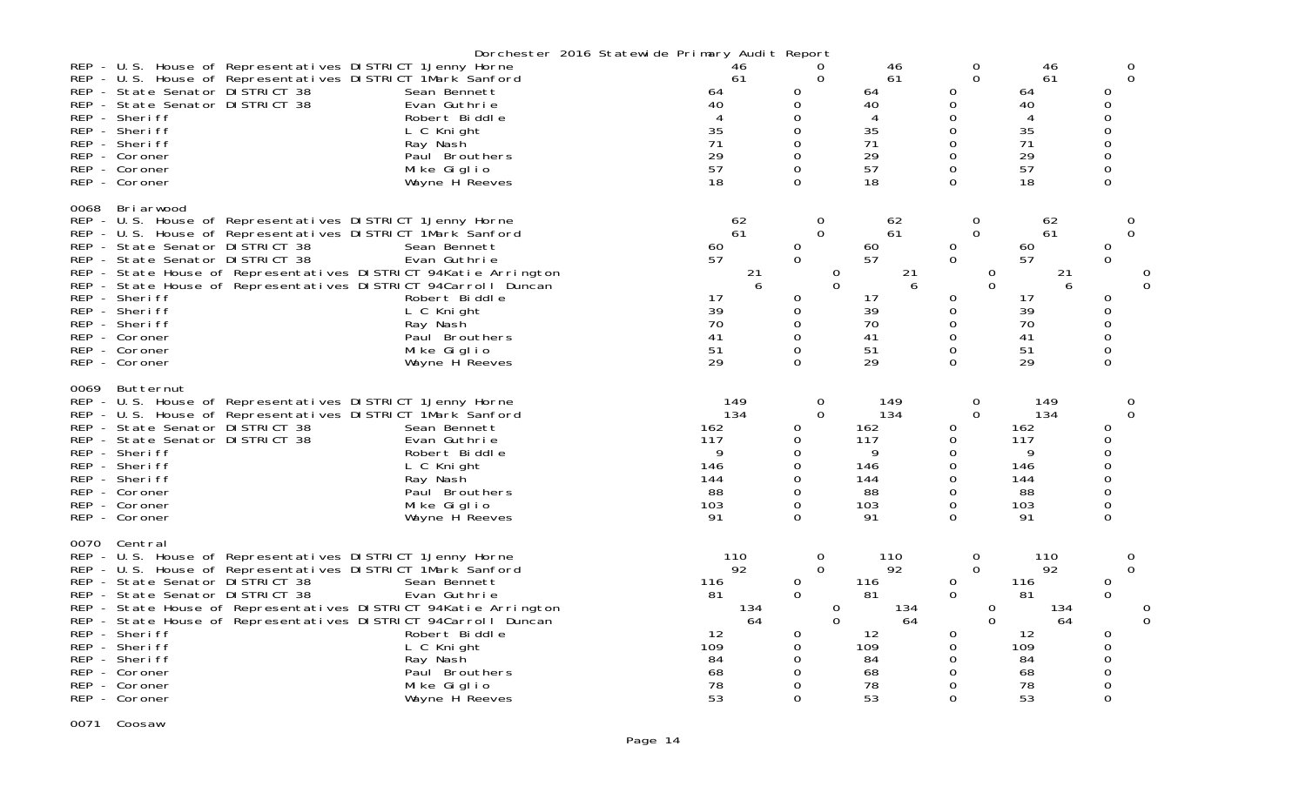|             |                                                                                                                                                                                                                                                                                                                                                                                                                                                         | Dorchester 2016 Statewide Primary Audit Report                                                                             |                                                                          |                                                                                                    |                                                                          |                                                                           |                                                                          |                                                                                     |               |
|-------------|---------------------------------------------------------------------------------------------------------------------------------------------------------------------------------------------------------------------------------------------------------------------------------------------------------------------------------------------------------------------------------------------------------------------------------------------------------|----------------------------------------------------------------------------------------------------------------------------|--------------------------------------------------------------------------|----------------------------------------------------------------------------------------------------|--------------------------------------------------------------------------|---------------------------------------------------------------------------|--------------------------------------------------------------------------|-------------------------------------------------------------------------------------|---------------|
|             | REP - U.S. House of Representatives DISTRICT 1Jenny Horne<br>REP - U.S. House of Representatives DISTRICT 1Mark Sanford<br>REP - State Senator DISTRICT 38<br>REP - State Senator DISTRICT 38<br>REP - Sheriff<br>REP - Sheriff<br>REP - Sheriff<br>REP - Coroner<br>REP - Coroner<br>REP - Coroner                                                                                                                                                     | Sean Bennett<br>Evan Guthrie<br>Robert Biddle<br>L C Knight<br>Ray Nash<br>Paul Brouthers<br>Mike Giglio<br>Wayne H Reeves | 61<br>64<br>40<br>4<br>35<br>71<br>29<br>57<br>18                        | $\Omega$<br>0<br>0<br>$\Omega$<br>0<br>$\Omega$<br>$\Omega$<br>0<br>$\Omega$                       | 46<br>61<br>64<br>40<br>4<br>35<br>71<br>29<br>57<br>18                  | 0<br>$\mathbf 0$<br>0<br>$\mathbf 0$<br>0<br>0<br>0<br>0<br>0<br>$\Omega$ | 46<br>61<br>64<br>40<br>4<br>35<br>71<br>29<br>57<br>18                  | 0<br>$\Omega$<br>Ω<br>0<br>0<br>0<br>$\Omega$<br>0<br>$\mathbf 0$<br>$\Omega$       |               |
| 0068        | Bri arwood<br>REP - U.S. House of Representatives DISTRICT 1 Jenny Horne<br>REP - U.S. House of Representatives DISTRICT 1Mark Sanford<br>REP - State Senator DISTRICT 38<br>REP - State Senator DISTRICT 38<br>REP - State House of Representatives DISTRICT 94Katie Arrington<br>REP - State House of Representatives DISTRICT 94Carroll Duncan<br>REP - Sheriff<br>REP - Sheriff<br>REP - Sheriff<br>REP - Coroner<br>REP - Coroner<br>REP - Coroner | Sean Bennett<br>Evan Guthrie<br>Robert Biddle<br>L C Knight<br>Ray Nash<br>Paul Brouthers<br>Mike Giglio<br>Wayne H Reeves | 62<br>61<br>60<br>57<br>21<br>6<br>17<br>39<br>70<br>41<br>51<br>29      | 0<br>$\Omega$<br>0<br>0<br>0<br>$\Omega$<br>0<br>0<br>$\Omega$<br>$\Omega$<br>$\Omega$<br>0        | 62<br>61<br>60<br>57<br>21<br>6<br>17<br>39<br>70<br>41<br>51<br>29      | 0<br>$\Omega$<br>0<br>0<br>0<br>$\mathbf 0$<br>0<br>0<br>0<br>0<br>0<br>0 | 62<br>61<br>60<br>57<br>21<br>6<br>17<br>39<br>70<br>41<br>51<br>29      | 0<br>$\Omega$<br>0<br>$\mathbf 0$<br>0<br>0<br>0<br>0<br>$\mathbf 0$<br>$\mathbf 0$ | 0<br>$\Omega$ |
| 0069        | Butternut<br>REP - U.S. House of Representatives DISTRICT 1 Jenny Horne<br>REP - U.S. House of Representatives DISTRICT 1Mark Sanford<br>REP - State Senator DISTRICT 38<br>REP - State Senator DISTRICT 38<br>REP - Sheriff<br>REP - Sheriff<br>REP - Sheriff<br>REP - Coroner<br>REP - Coroner<br>REP - Coroner                                                                                                                                       | Sean Bennett<br>Evan Guthrie<br>Robert Biddle<br>L C Knight<br>Ray Nash<br>Paul Brouthers<br>Mike Giglio<br>Wayne H Reeves | 149<br>134<br>162<br>117<br>9<br>146<br>144<br>88<br>103<br>91           | 0<br>$\Omega$<br>0<br>0<br>0<br>$\Omega$<br>0<br>0<br>0<br>$\Omega$                                | 149<br>134<br>162<br>117<br>9<br>146<br>144<br>88<br>103<br>91           | 0<br>$\Omega$<br>0<br>$\Omega$<br>0<br>0<br>0<br>0<br>0<br>0              | 149<br>134<br>162<br>117<br>9<br>146<br>144<br>88<br>103<br>91           | $\Omega$<br>0<br>0<br>0<br>$\Omega$<br>0<br>$\mathbf 0$<br>$\mathbf 0$<br>$\Omega$  |               |
| 0070<br>REP | Central<br>REP - U.S. House of Representatives DISTRICT 1Jenny Horne<br>- U.S. House of Representatives DISTRICT 1Mark Sanford<br>REP - State Senator DISTRICT 38<br>REP - State Senator DISTRICT 38<br>REP - State House of Representatives DISTRICT 94Katie Arrington<br>REP - State House of Representatives DISTRICT 94Carroll Duncan<br>REP - Sheriff<br>REP - Sheriff<br>REP - Sheriff<br>REP - Coroner<br>REP - Coroner<br>REP - Coroner         | Sean Bennett<br>Evan Guthrie<br>Robert Biddle<br>L C Knight<br>Ray Nash<br>Paul Brouthers<br>Mike Giglio<br>Wayne H Reeves | 110<br>92<br>116<br>81<br>134<br>64<br>12<br>109<br>84<br>68<br>78<br>53 | 0<br>$\Omega$<br>0<br>0<br>0<br>$\Omega$<br>0<br>$\Omega$<br>$\Omega$<br>$\Omega$<br>0<br>$\Omega$ | 110<br>92<br>116<br>81<br>134<br>64<br>12<br>109<br>84<br>68<br>78<br>53 | 0<br>$\mathbf 0$<br>0<br>0<br>0<br>$\Omega$<br>0<br>0<br>0<br>0<br>0<br>0 | 110<br>92<br>116<br>81<br>134<br>64<br>12<br>109<br>84<br>68<br>78<br>53 | 0<br>$\Omega$<br>0<br>0<br>0<br>0<br>0<br>0<br>0<br>$\Omega$                        | 0<br>0        |

0071 Coosaw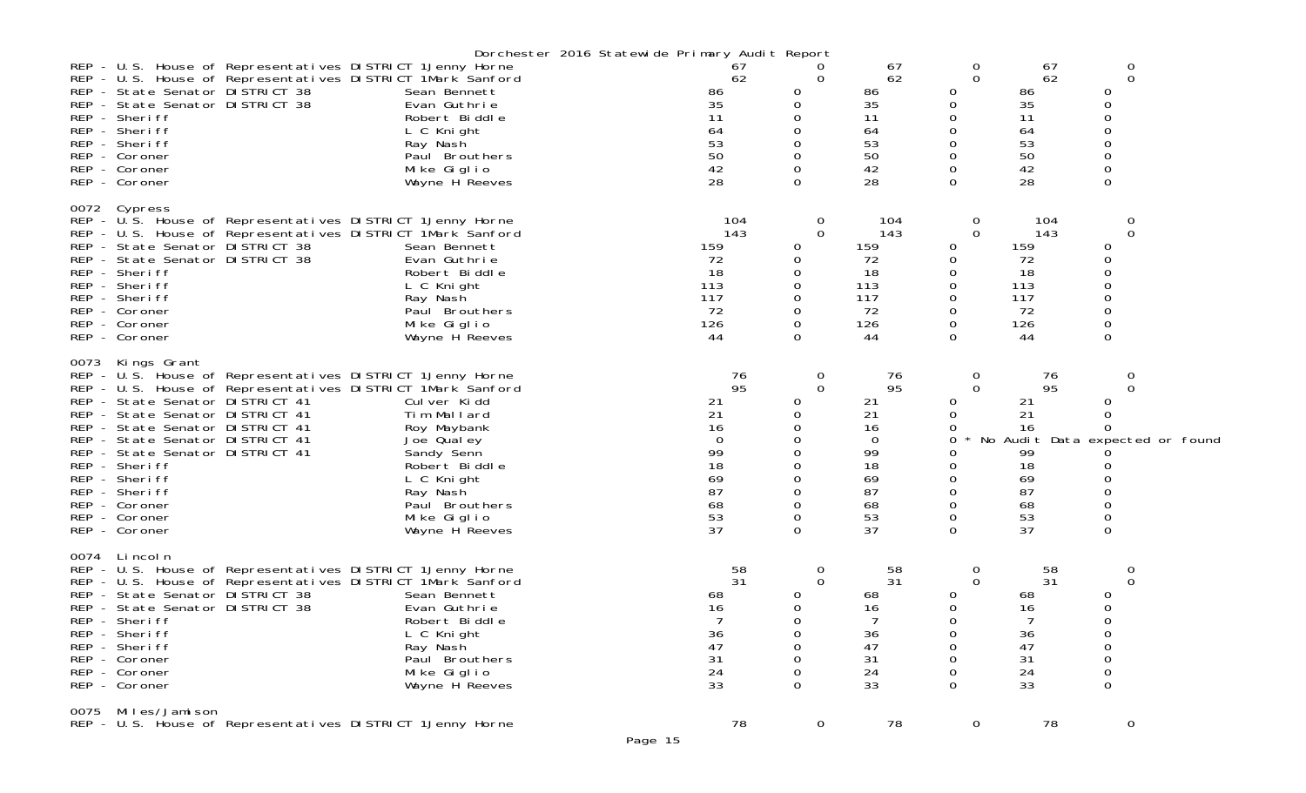|                                                                                                                                                                                                                                                                                                                                                                                                                                   | Dorchester 2016 Statewide Primary Audit Report                                                                                                                       |                                                                                  |                           |                                                                                  |                                                                     |                                                                      |                                                                                  |                                 |
|-----------------------------------------------------------------------------------------------------------------------------------------------------------------------------------------------------------------------------------------------------------------------------------------------------------------------------------------------------------------------------------------------------------------------------------|----------------------------------------------------------------------------------------------------------------------------------------------------------------------|----------------------------------------------------------------------------------|---------------------------|----------------------------------------------------------------------------------|---------------------------------------------------------------------|----------------------------------------------------------------------|----------------------------------------------------------------------------------|---------------------------------|
| REP - U.S. House of Representatives DISTRICT 1Jenny Horne<br>REP - U.S. House of Representatives DISTRICT 1Mark Sanford<br>REP - State Senator DISTRICT 38<br>REP - State Senator DISTRICT 38<br>REP - Sheriff<br>REP - Sheriff<br>REP - Sheriff<br>REP - Coroner<br>REP - Coroner<br>REP - Coroner                                                                                                                               | Sean Bennett<br>Evan Guthrie<br>Robert Biddle<br>L C Knight<br>Ray Nash<br>Paul Brouthers<br>Mike Giglio<br>Wayne H Reeves                                           | 61<br>62<br>86<br>35<br>11<br>64<br>53<br>50<br>42<br>28                         | 0                         | 67<br>62<br>86<br>35<br>11<br>64<br>53<br>50<br>42<br>28                         | 0<br>$\Omega$<br>0<br>0<br>0<br>0                                   | 67<br>62<br>86<br>35<br>11<br>64<br>53<br>50<br>42<br>28             | $\mathbf 0$<br>$\Omega$<br>$\Omega$<br>$\mathbf 0$<br>$\mathbf 0$                |                                 |
| 0072 Cypress<br>REP - U.S. House of Representatives DISTRICT 1 Jenny Horne<br>REP - U.S. House of Representatives DISTRICT 1Mark Sanford<br>REP - State Senator DISTRICT 38<br>REP - State Senator DISTRICT 38<br>REP - Sheriff<br>REP - Sheriff<br>REP - Sheriff<br>REP - Coroner<br>REP - Coroner<br>REP - Coroner                                                                                                              | Sean Bennett<br>Evan Guthrie<br>Robert Biddle<br>L C Knight<br>Ray Nash<br>Paul Brouthers<br>Mike Giglio<br>Wayne H Reeves                                           | 104<br>143<br>159<br>72<br>18<br>113<br>117<br>72<br>126<br>44                   | 0<br>$\Omega$             | 104<br>143<br>159<br>72<br>18<br>113<br>117<br>72<br>126<br>44                   | 0<br>$\Omega$<br>0<br>0<br>0<br>0<br>0<br>0                         | 104<br>143<br>159<br>72<br>18<br>113<br>117<br>72<br>126<br>44       | 0<br>$\Omega$<br>O<br>$\Omega$<br>$\mathbf 0$<br>0                               |                                 |
| 0073 Kings Grant<br>REP - U.S. House of Representatives DISTRICT 1 Jenny Horne<br>REP - U.S. House of Representatives DISTRICT 1Mark Sanford<br>REP - State Senator DISTRICT 41<br>REP - State Senator DISTRICT 41<br>REP - State Senator DISTRICT 41<br>REP - State Senator DISTRICT 41<br>REP - State Senator DISTRICT 41<br>REP - Sheriff<br>REP - Sheriff<br>REP - Sheriff<br>REP - Coroner<br>REP - Coroner<br>REP - Coroner | Culver Kidd<br>Tim Mallard<br>Roy Maybank<br>Joe Qual ey<br>Sandy Senn<br>Robert Biddle<br>L C Knight<br>Ray Nash<br>Paul Brouthers<br>Mike Giglio<br>Wayne H Reeves | 76<br>95<br>21<br>21<br>16<br>$\Omega$<br>99<br>18<br>69<br>87<br>68<br>53<br>37 | 0<br>$\Omega$<br>0<br>0   | 76<br>95<br>21<br>21<br>16<br>$\Omega$<br>99<br>18<br>69<br>87<br>68<br>53<br>37 | 0<br>$\Omega$<br>Ω<br>0<br>0<br>0<br>0                              | 76<br>95<br>21<br>21<br>16<br>99<br>18<br>69<br>87<br>68<br>53<br>37 | 0<br>$\Omega$<br>0<br>0<br>0<br>$\Omega$                                         | No Audit Data expected or found |
| 0074 Lincoln<br>REP - U.S. House of Representatives DISTRICT 1Jenny Horne<br>REP - U.S. House of Representatives DISTRICT 1Mark Sanford<br>REP - State Senator DISTRICT 38<br>REP - State Senator DISTRICT 38<br>REP - Sheriff<br>REP - Sheriff<br>REP - Sheriff<br>REP - Coroner<br>REP - Coroner<br>REP - Coroner                                                                                                               | Sean Bennett<br>Evan Guthrie<br>Robert Biddle<br>L C Knight<br>Ray Nash<br>Paul Brouthers<br>Mike Giglio<br>Wayne H Reeves                                           | 58<br>31<br>68<br>16<br>$\overline{7}$<br>36<br>47<br>31<br>24<br>33             | $\theta$<br>$\Omega$<br>0 | 58<br>31<br>68<br>16<br>$\mathcal{L}$<br>36<br>47<br>31<br>24<br>33              | 0<br>$\Omega$<br>0<br>0<br>$\Omega$<br>0<br>Ω<br>Ω<br>0<br>$\Omega$ | 58<br>31<br>68<br>16<br>7<br>36<br>47<br>31<br>24<br>33              | 0<br>$\Omega$<br>O<br>0<br>$\Omega$<br>$\mathbf 0$<br>0<br>0<br>$\mathbf 0$<br>0 |                                 |
| 0075 Miles/Jamison<br>REP - U.S. House of Representatives DISTRICT 1Jenny Horne                                                                                                                                                                                                                                                                                                                                                   |                                                                                                                                                                      | 78                                                                               | 0                         | 78                                                                               | 0                                                                   | 78                                                                   | $\mathbf 0$                                                                      |                                 |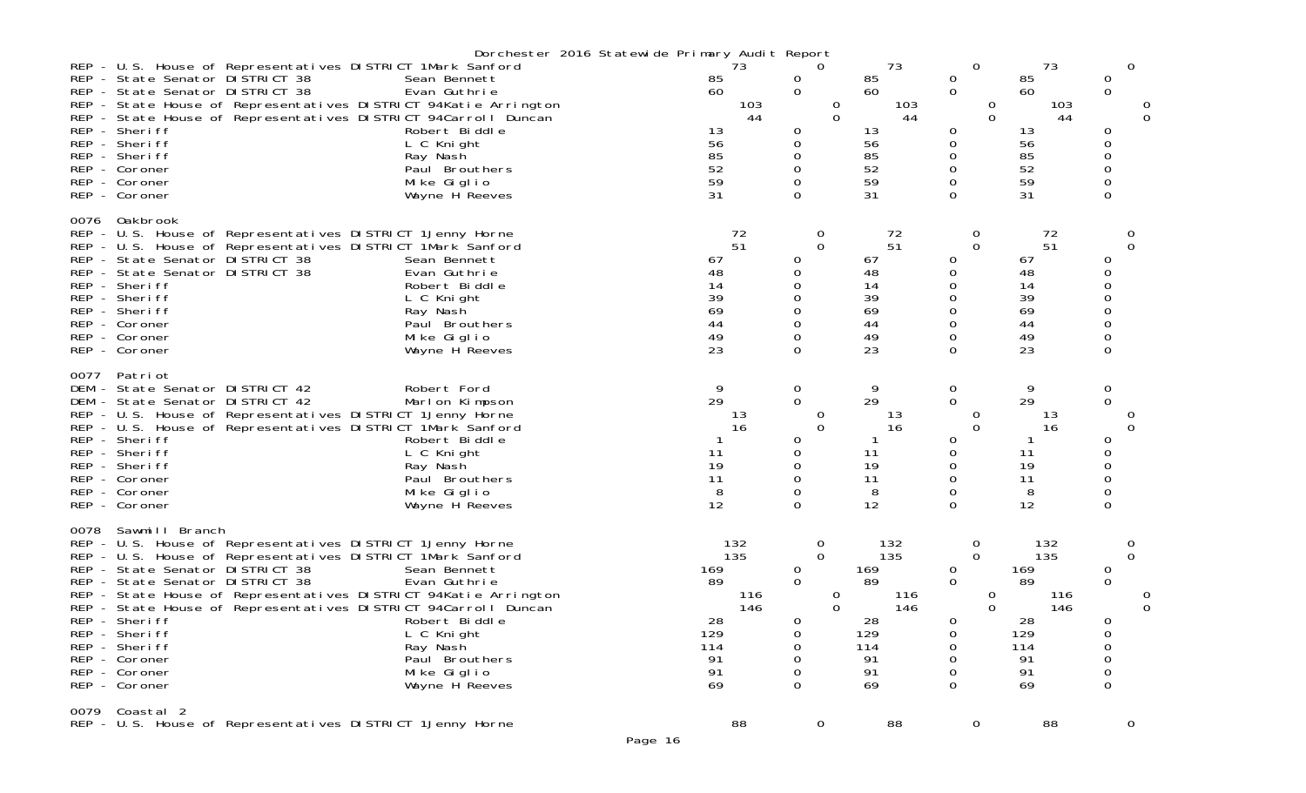|                 |                                                                                                                                                                                                                                                                                                                                                                                                                                                       | Dorchester 2016 Statewide Primary Audit Report                                                                              |                                                                             |                                                                                    |                                                                             |                                                                                       |                                                                             |                                          |                       |
|-----------------|-------------------------------------------------------------------------------------------------------------------------------------------------------------------------------------------------------------------------------------------------------------------------------------------------------------------------------------------------------------------------------------------------------------------------------------------------------|-----------------------------------------------------------------------------------------------------------------------------|-----------------------------------------------------------------------------|------------------------------------------------------------------------------------|-----------------------------------------------------------------------------|---------------------------------------------------------------------------------------|-----------------------------------------------------------------------------|------------------------------------------|-----------------------|
|                 | REP - U.S. House of Representatives DISTRICT 1Mark Sanford<br>REP - State Senator DISTRICT 38<br>REP - State Senator DISTRICT 38<br>REP - State House of Representatives DISTRICT 94Katie Arrington<br>REP - State House of Representatives DISTRICT 94Carroll Duncan<br>REP - Sheriff<br>REP - Sheriff<br>REP - Sheriff<br>REP - Coroner<br>REP - Coroner<br>REP - Coroner                                                                           | Sean Bennett<br>Evan Guthrie<br>Robert Biddle<br>L C Knight<br>Ray Nash<br>Paul Brouthers<br>Mike Giglio<br>Wayne H Reeves  | 73<br>85<br>60<br>103<br>44<br>13<br>56<br>85<br>52<br>59<br>31             | 0<br>0<br>$\mathbf 0$<br>0<br>$\Omega$<br>0<br>0<br>$\Omega$<br>0<br>0<br>$\Omega$ | 73<br>85<br>60<br>103<br>44<br>13<br>56<br>85<br>52<br>59<br>31             | 0<br>0<br>$\mathbf 0$<br>$\mathbf 0$<br>$\Omega$<br>0<br>0<br>0<br>0<br>0<br>$\Omega$ | 73<br>85<br>60<br>103<br>44<br>13<br>56<br>85<br>52<br>59<br>31             | 0<br>0<br>0<br>0<br>0<br>0<br>$\Omega$   | 0<br>0<br>$\mathbf 0$ |
| 0076            | Oakbrook<br>REP - U.S. House of Representatives DISTRICT 1 Jenny Horne<br>REP - U.S. House of Representatives DISTRICT 1Mark Sanford<br>REP - State Senator DISTRICT 38<br>REP - State Senator DISTRICT 38<br>REP - Sheriff<br>REP - Sheriff<br>REP - Sheriff<br>REP - Coroner<br>REP - Coroner<br>REP - Coroner                                                                                                                                      | Sean Bennett<br>Evan Guthrie<br>Robert Biddle<br>L C Knight<br>Ray Nash<br>Paul Brouthers<br>Mike Giglio<br>Wayne H Reeves  | 72<br>51<br>67<br>48<br>14<br>39<br>69<br>44<br>49<br>23                    | 0<br>$\mathbf 0$<br>0<br>0<br>0<br>0<br>$\Omega$<br>0<br>0<br>$\Omega$             | 72<br>51<br>67<br>48<br>14<br>39<br>69<br>44<br>49<br>23                    | 0<br>$\mathbf 0$<br>0<br>0<br>0<br>0<br>0<br>0<br>0<br>$\Omega$                       | 72<br>51<br>67<br>48<br>14<br>39<br>69<br>44<br>49<br>23                    | 0<br>0<br>0                              | 0<br>$\Omega$         |
| 0077            | Patri ot<br>DEM - State Senator DISTRICT 42<br>DEM - State Senator DISTRICT 42<br>REP - U.S. House of Representatives DISTRICT 1 Jenny Horne<br>REP - U.S. House of Representatives DISTRICT 1Mark Sanford<br>REP - Sheriff<br>REP - Sheriff<br>REP - Sheriff<br>REP - Coroner<br>REP - Coroner<br>REP - Coroner                                                                                                                                      | Robert Ford<br>Marlon Kimpson<br>Robert Biddle<br>L C Knight<br>Ray Nash<br>Paul Brouthers<br>Mike Giglio<br>Wayne H Reeves | 9<br>29<br>13<br>16<br>11<br>19<br>11<br>8<br>12                            | 0<br>$\mathbf 0$<br>0<br>$\Omega$<br>0<br>0<br>0<br>0<br>0<br>$\Omega$             | 9<br>29<br>13<br>16<br>11<br>19<br>11<br>8<br>12                            | 0<br>$\Omega$<br>0<br>$\Omega$<br>0<br>0<br>0<br>0<br>0<br>$\Omega$                   | 9<br>29<br>13<br>16<br>-11<br>19<br>11<br>8<br>12                           | 0<br>$\Omega$<br>Ω<br>0<br>0<br>$\Omega$ | O<br>$\Omega$         |
| 0078<br>$REP -$ | Sawmill Branch<br>REP - U.S. House of Representatives DISTRICT 1 Jenny Horne<br>REP - U.S. House of Representatives DISTRICT 1Mark Sanford<br>State Senator DISTRICT 38<br>REP - State Senator DISTRICT 38<br>REP - State House of Representatives DISTRICT 94Katie Arrington<br>REP - State House of Representatives DISTRICT 94Carroll Duncan<br>REP - Sheriff<br>REP - Sheriff<br>REP - Sheriff<br>REP - Coroner<br>REP - Coroner<br>REP - Coroner | Sean Bennett<br>Evan Guthrie<br>Robert Biddle<br>L C Knight<br>Ray Nash<br>Paul Brouthers<br>Mike Giglio<br>Wayne H Reeves  | 132<br>135<br>169<br>89<br>116<br>146<br>28<br>129<br>114<br>91<br>91<br>69 | 0<br>0<br>0<br>$\mathbf 0$<br>0<br>$\Omega$<br>0<br>0<br>Ω<br>0<br>0<br>0          | 132<br>135<br>169<br>89<br>116<br>146<br>28<br>129<br>114<br>91<br>91<br>69 | 0<br>$\mathbf 0$<br>0<br>$\mathbf 0$<br>0<br>0<br>0<br>0<br>0<br>0<br>$\Omega$        | 132<br>135<br>169<br>89<br>116<br>146<br>28<br>129<br>114<br>91<br>91<br>69 | 0<br>0<br>0<br>0<br>0<br>0<br>0<br>0     | 0<br>0<br>$\Omega$    |
|                 | 0079 Coastal 2<br>REP - U.S. House of Representatives DISTRICT 1Jenny Horne                                                                                                                                                                                                                                                                                                                                                                           |                                                                                                                             | 88                                                                          | 0                                                                                  | 88                                                                          | $\mathbf 0$                                                                           | 88                                                                          |                                          | 0                     |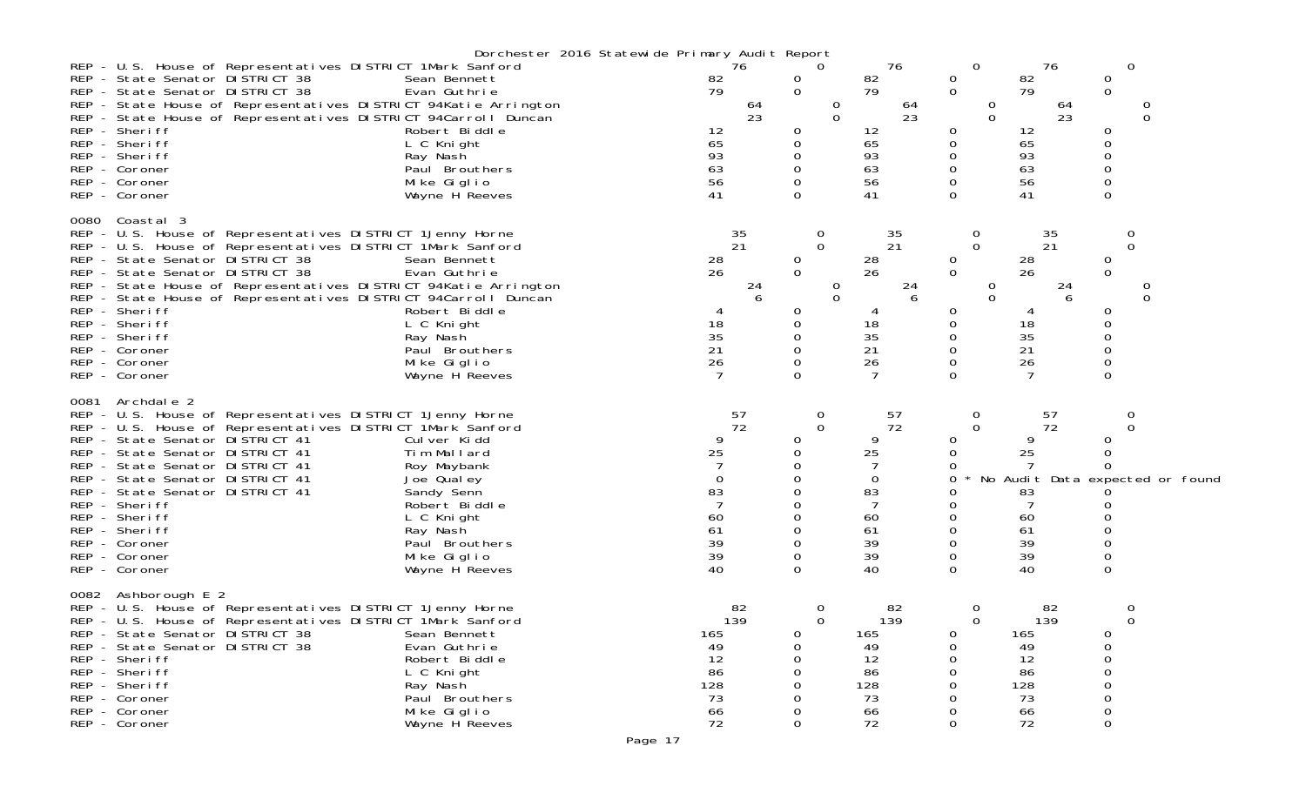|         |                                                                                                                                                                                                                                                                                                                                                                                                                                                       | Dorchester 2016 Statewide Primary Audit Report                                                                                                                       |                                                                        |                                                              |                                                                           |                                                                                  |                                                                          |                                                                                       |  |
|---------|-------------------------------------------------------------------------------------------------------------------------------------------------------------------------------------------------------------------------------------------------------------------------------------------------------------------------------------------------------------------------------------------------------------------------------------------------------|----------------------------------------------------------------------------------------------------------------------------------------------------------------------|------------------------------------------------------------------------|--------------------------------------------------------------|---------------------------------------------------------------------------|----------------------------------------------------------------------------------|--------------------------------------------------------------------------|---------------------------------------------------------------------------------------|--|
| $REP -$ | REP - U.S. House of Representatives DISTRICT 1Mark Sanford<br>REP - State Senator DISTRICT 38<br>REP - State Senator DISTRICT 38<br>REP - State House of Representatives DISTRICT 94Katie Arrington<br>REP - State House of Representatives DISTRICT 94Carroll Duncan<br>Sheri ff<br>REP - Sheriff<br>REP - Sheriff<br>REP - Coroner<br>REP - Coroner<br>REP - Coroner                                                                                | Sean Bennett<br>Evan Guthrie<br>Robert Biddle<br>L C Knight<br>Ray Nash<br>Paul Brouthers<br>Mike Giglio<br>Wayne H Reeves                                           | 76<br>82<br>79<br>64<br>23<br>12<br>65<br>93<br>63<br>56<br>41         | 0<br>0<br>0<br>$\Omega$<br>0<br>0<br>0<br>$\Omega$           | 76<br>82<br>79<br>64<br>23<br>12<br>65<br>93<br>63<br>56<br>41            | 0<br>0<br>$\mathbf 0$<br>0<br>$\Omega$<br>0<br>0<br>0<br>0<br>0<br>$\Omega$      | 76<br>82<br>79<br>$^{64}_{23}$<br>12<br>65<br>93<br>63<br>56<br>41       | 0<br>0<br>$\mathbf 0$<br>0<br>$\Omega$<br>0<br>0<br>0<br>$\mathbf 0$<br>$\Omega$      |  |
| 0080    | Coastal 3<br>REP - U.S. House of Representatives DISTRICT 1Jenny Horne<br>REP - U.S. House of Representatives DISTRICT 1Mark Sanford<br>REP - State Senator DISTRICT 38<br>REP - State Senator DISTRICT 38<br>REP - State House of Representatives DISTRICT 94Katie Arrington<br>REP - State House of Representatives DISTRICT 94Carroll Duncan<br>REP - Sheriff<br>REP - Sheriff<br>REP - Sheriff<br>REP - Coroner<br>REP - Coroner<br>REP - Coroner | Sean Bennett<br>Evan Guthrie<br>Robert Biddle<br>L C Knight<br>Ray Nash<br>Paul Brouthers<br>Mike Giglio<br>Wayne H Reeves                                           | $\frac{35}{21}$<br>28<br>26<br>24<br>18<br>35<br>21<br>26              | 0<br>$\Omega$<br>0<br>0<br>O<br>$\Omega$<br>0<br>0<br>0<br>0 | 35<br>21<br>28<br>26<br>24<br>6<br>18<br>35<br>21<br>26                   | 0<br>$\Omega$<br>0<br>$\mathbf 0$<br>0<br>$\Omega$<br>0<br>0<br>0<br>0<br>0<br>0 | $\frac{35}{21}$<br>28<br>26<br>24<br>6<br>18<br>35<br>21<br>26           | 0<br>0<br>0<br>$\mathbf 0$<br>0<br>0<br>0<br>0<br>$\Omega$<br>$\mathbf 0$<br>$\Omega$ |  |
| 0081    | Archdale 2<br>REP - U.S. House of Representatives DISTRICT 1 Jenny Horne<br>REP - U.S. House of Representatives DISTRICT 1Mark Sanford<br>REP - State Senator DISTRICT 41<br>REP - State Senator DISTRICT 41<br>REP - State Senator DISTRICT 41<br>REP - State Senator DISTRICT 41<br>REP - State Senator DISTRICT 41<br>REP - Sheriff<br>REP - Sheriff<br>REP - Sheriff<br>REP - Coroner<br>REP - Coroner<br>REP - Coroner                           | Culver Kidd<br>Tim Mallard<br>Roy Maybank<br>Joe Qual ey<br>Sandy Senn<br>Robert Biddle<br>L C Knight<br>Ray Nash<br>Paul Brouthers<br>Mike Giglio<br>Wayne H Reeves | 57<br>72<br>9<br>25<br>$\mathbf 0$<br>83<br>60<br>61<br>39<br>39<br>40 | 0<br>$\Omega$<br>0<br>0<br>0<br>0<br>0                       | 57<br>72<br>9<br>25<br>$\overline{0}$<br>83<br>60<br>61<br>39<br>39<br>40 | 0<br>$\Omega$<br>0<br>0<br>0<br>0<br>0<br>0<br>$\Omega$                          | 57<br>72<br>9<br>25<br>$\mathcal{L}$<br>83<br>60<br>61<br>39<br>39<br>40 | 0<br>$\Omega$<br>0<br>0<br>∩<br>No Audit Data expected or found<br>$\mathbf 0$<br>0   |  |
|         | 0082 Ashborough E 2<br>REP - U.S. House of Representatives DISTRICT 1 Jenny Horne<br>REP - U.S. House of Representatives DISTRICT 1Mark Sanford<br>REP - State Senator DISTRICT 38<br>REP - State Senator DISTRICT 38<br>REP - Sheriff<br>REP - Sheriff<br>REP - Sheriff<br>REP - Coroner<br>REP - Coroner<br>REP - Coroner                                                                                                                           | Sean Bennett<br>Evan Guthrie<br>Robert Biddle<br>L C Knight<br>Ray Nash<br>Paul Brouthers<br>Mike Giglio<br>Wayne H Reeves                                           | 82<br>139<br>165<br>49<br>12<br>86<br>128<br>73<br>66<br>72            | 0<br>$\Omega$<br>0                                           | 82<br>139<br>165<br>49<br>12<br>86<br>128<br>73<br>66<br>72               | 0<br>0<br>0<br>0                                                                 | 82<br>139<br>165<br>49<br>12<br>86<br>128<br>73<br>66<br>72              | 0<br>0<br>0<br>0                                                                      |  |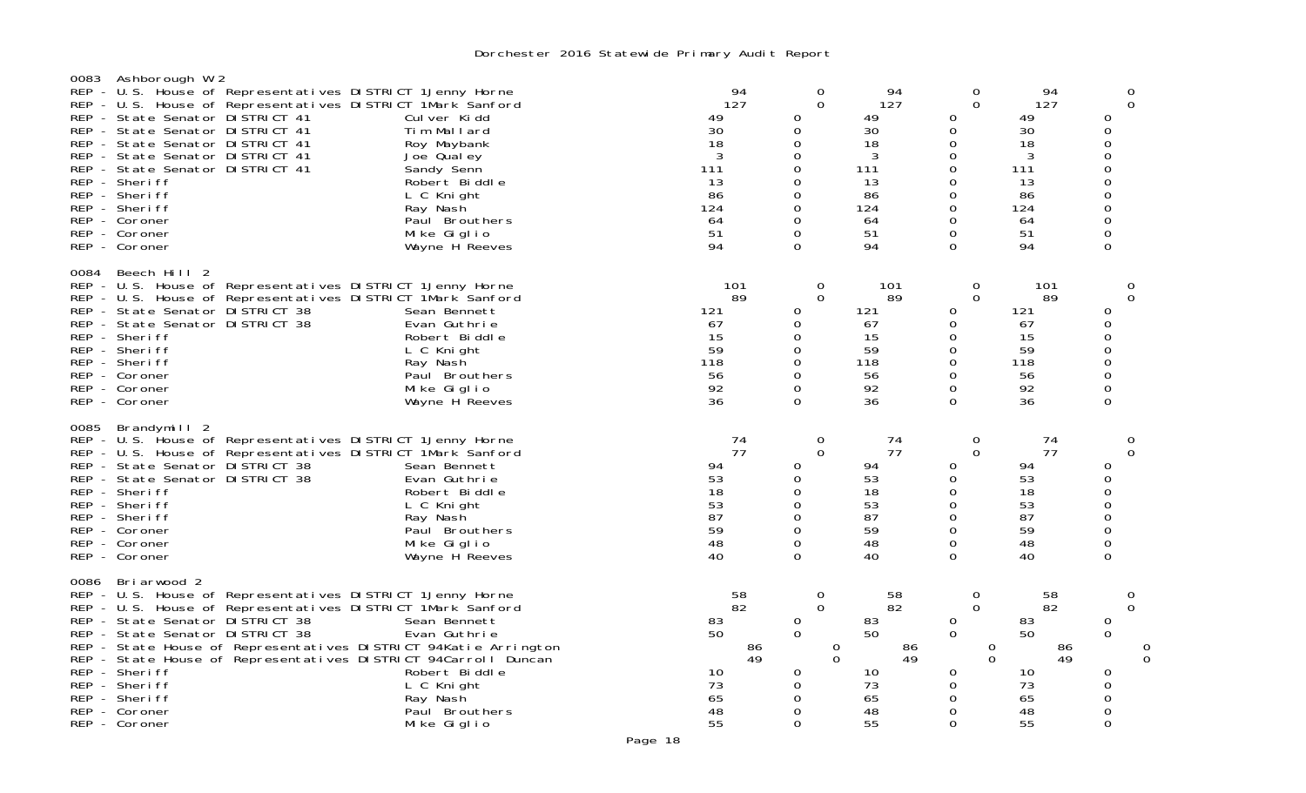| 0083 | Ashborough W 2<br>REP - U.S. House of Representatives DISTRICT 1 Jenny Horne<br>REP - U.S. House of Representatives DISTRICT 1Mark Sanford<br>REP - State Senator DISTRICT 41<br>REP - State Senator DISTRICT 41<br>REP - State Senator DISTRICT 41<br>REP - State Senator DISTRICT 41<br>REP - State Senator DISTRICT 41<br>REP - Sheriff<br>REP - Sheriff<br>REP - Sheriff<br>REP - Coroner<br>REP - Coroner<br>REP - Coroner        | Culver Kidd<br>Tim Mallard<br>Roy Maybank<br>Joe Qualey<br>Sandy Senn<br>Robert Biddle<br>L C Knight<br>Ray Nash<br>Paul Brouthers<br>Mike Giglio<br>Wayne H Reeves | 94<br>127<br>49<br>30<br>18<br>3<br>111<br>13<br>86<br>124<br>64<br>51<br>94 | 0<br>$\mathbf 0$<br>0<br>$\Omega$<br>$\Omega$<br>$\Omega$<br>$\Omega$<br>0<br>0<br>$\Omega$<br>$\Omega$<br>0<br>0 | 94<br>127<br>49<br>30<br>18<br>3<br>111<br>13<br>86<br>124<br>64<br>51<br>94 | 0<br>$\Omega$<br>0<br>0<br>0<br>$\mathbf 0$<br>$\Omega$<br>0<br>0<br>$\Omega$<br>$\Omega$<br>0<br>0 | 94<br>127<br>49<br>30<br>18<br>3<br>111<br>13<br>86<br>124<br>64<br>51<br>94 | 0<br>$\mathbf 0$<br>0<br>$\Omega$<br>$\Omega$<br>0<br>$\Omega$<br>0<br>$\Omega$<br>0<br>0<br>0 |
|------|----------------------------------------------------------------------------------------------------------------------------------------------------------------------------------------------------------------------------------------------------------------------------------------------------------------------------------------------------------------------------------------------------------------------------------------|---------------------------------------------------------------------------------------------------------------------------------------------------------------------|------------------------------------------------------------------------------|-------------------------------------------------------------------------------------------------------------------|------------------------------------------------------------------------------|-----------------------------------------------------------------------------------------------------|------------------------------------------------------------------------------|------------------------------------------------------------------------------------------------|
| 0084 | Beech Hill 2<br>REP - U.S. House of Representatives DISTRICT 1Jenny Horne<br>REP - U.S. House of Representatives DISTRICT 1Mark Sanford<br>REP - State Senator DISTRICT 38<br>REP - State Senator DISTRICT 38<br>REP - Sheriff<br>REP - Sheriff<br>REP - Sheriff<br>REP - Coroner<br>REP - Coroner<br>REP - Coroner                                                                                                                    | Sean Bennett<br>Evan Guthrie<br>Robert Biddle<br>L C Knight<br>Ray Nash<br>Paul Brouthers<br>Mike Giglio<br>Wayne H <sup>o</sup> Reeves                             | 101<br>89<br>121<br>67<br>15<br>59<br>118<br>56<br>92<br>36                  | 0<br>$\Omega$<br>0<br>0<br>0<br>$\Omega$<br>0<br>$\Omega$<br>0<br>$\Omega$                                        | 101<br>89<br>121<br>67<br>15<br>59<br>118<br>56<br>92<br>36                  | 0<br>$\Omega$<br>0<br>0<br>0<br>$\Omega$<br>$\mathbf 0$<br>0<br>$\boldsymbol{0}$<br>$\Omega$        | 101<br>89<br>121<br>67<br>15<br>59<br>118<br>56<br>92<br>36                  | 0<br>$\Omega$<br>0<br>0<br>0<br>$\Omega$<br>0<br>0<br>0<br>$\Omega$                            |
| 0085 | Brandymill 2<br>REP - U.S. House of Representatives DISTRICT 1 Jenny Horne<br>REP - U.S. House of Representatives DISTRICT 1Mark Sanford<br>REP - State Senator DISTRICT 38<br>REP - State Senator DISTRICT 38<br>REP - Sheriff<br>REP - Sheriff<br>REP - Sheriff<br>REP - Coroner<br>REP - Coroner<br>REP - Coroner                                                                                                                   | Sean Bennett<br>Evan Guthrie<br>Robert Biddle<br>L C Knight<br>Ray Nash<br>Paul Brouthers<br>Mike Giglio<br>Wayne H Reeves                                          | 74<br>77<br>94<br>53<br>18<br>53<br>87<br>59<br>48<br>40                     | 0<br>$\Omega$<br>0<br>0<br>0<br>$\Omega$<br>0<br>0<br>0<br>$\Omega$                                               | 74<br>77<br>94<br>53<br>18<br>53<br>87<br>59<br>48<br>40                     | 0<br>$\Omega$<br>0<br>0<br>$\boldsymbol{0}$<br>0<br>0<br>$\boldsymbol{0}$<br>0<br>$\Omega$          | 74<br>77<br>94<br>53<br>18<br>53<br>87<br>59<br>48<br>40                     | 0<br>$\mathbf{0}$<br>0<br>$\Omega$<br>$\Omega$<br>0<br>0<br>0<br>0<br>$\Omega$                 |
| 0086 | Briarwood 2<br>REP - U.S. House of Representatives DISTRICT 1Jenny Horne<br>REP - U.S. House of Representatives DISTRICT 1Mark Sanford<br>REP - State Senator DISTRICT 38<br>REP - State Senator DISTRICT 38<br>REP - State House of Representatives DISTRICT 94Katie Arrington<br>REP - State House of Representatives DISTRICT 94Carroll Duncan<br>REP - Sheriff<br>REP - Sheriff<br>REP - Sheriff<br>REP - Coroner<br>REP - Coroner | Sean Bennett<br>Evan Guthrie<br>Robert Biddle<br>L C Knight<br>Ray Nash<br>Paul Brouthers<br>Mike Giglio                                                            | 58<br>82<br>83<br>50<br>86<br>49<br>10<br>73<br>65<br>48<br>55               | 0<br>$\Omega$<br>0<br>$\Omega$<br>$\boldsymbol{0}$<br>$\Omega$<br>0<br>$\Omega$<br>$\Omega$<br>0<br>$\Omega$      | 58<br>82<br>83<br>50<br>86<br>49<br>10<br>73<br>65<br>48<br>55               | 0<br>$\Omega$<br>0<br>$\mathbf 0$<br>0<br>$\Omega$<br>0<br>0<br>0<br>$\Omega$<br>0                  | 58<br>82<br>83<br>50<br>86<br>49<br>10<br>73<br>65<br>48<br>55               | 0<br>$\Omega$<br>0<br>$\Omega$<br>0<br>0<br>$\Omega$<br>0<br>0<br>0                            |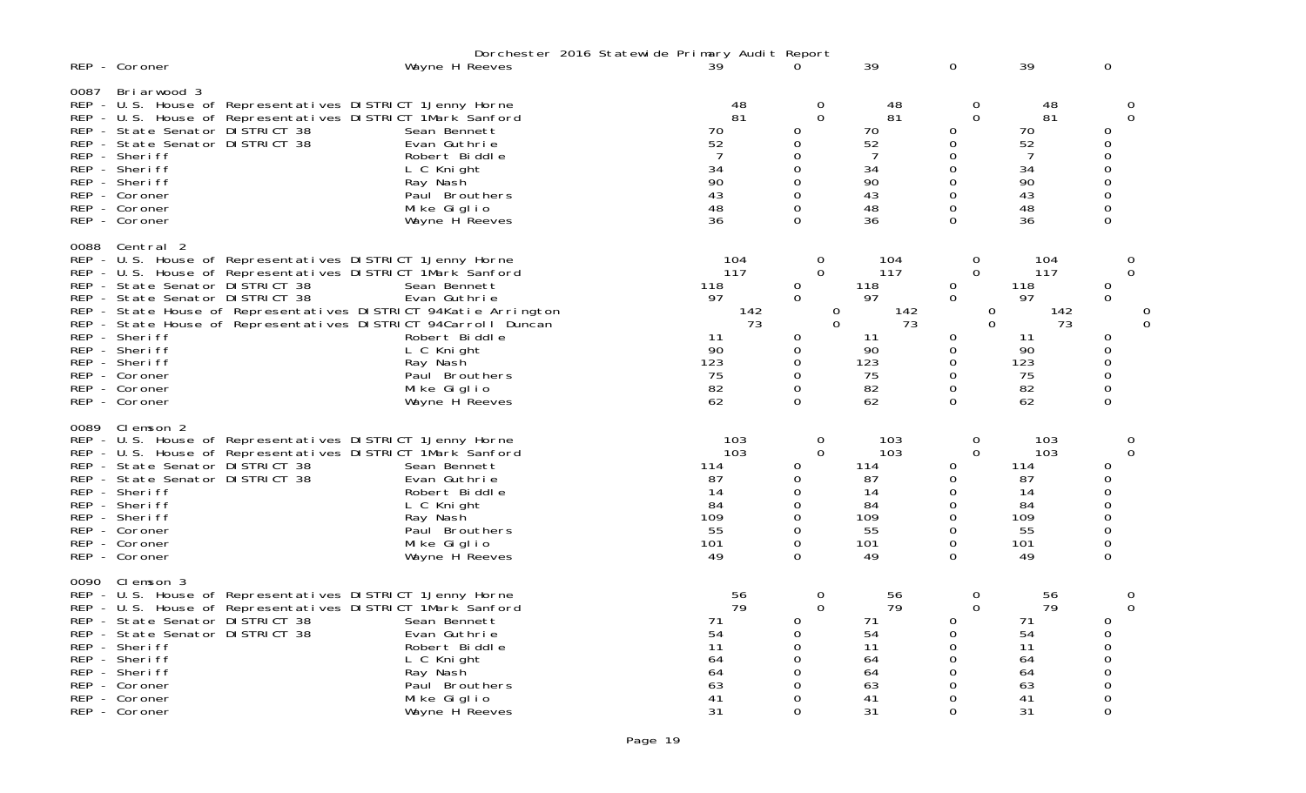|                      | REP - Coroner                                                                                                                                                                                                                                                                                                                                                                                                                                      | Dorchester 2016 Statewide Primary Audit Report<br>Wayne H Reeves                                                           | 39                                                                        | $\Omega$                                                                                                               | 39                                                                        | 0                                                                                                                 | 39                                                                        | 0                                                                             |
|----------------------|----------------------------------------------------------------------------------------------------------------------------------------------------------------------------------------------------------------------------------------------------------------------------------------------------------------------------------------------------------------------------------------------------------------------------------------------------|----------------------------------------------------------------------------------------------------------------------------|---------------------------------------------------------------------------|------------------------------------------------------------------------------------------------------------------------|---------------------------------------------------------------------------|-------------------------------------------------------------------------------------------------------------------|---------------------------------------------------------------------------|-------------------------------------------------------------------------------|
| 0087<br>REP.<br>REP. | Briarwood 3<br>REP - U.S. House of Representatives DISTRICT 1 Jenny Horne<br>REP - U.S. House of Representatives DISTRICT 1Mark Sanford<br>- State Senator DISTRICT 38<br>- State Senator DISTRICT 38<br>REP - Sheriff<br>REP - Sheriff<br>REP - Sheriff<br>REP - Coroner<br>REP - Coroner<br>REP - Coroner                                                                                                                                        | Sean Bennett<br>Evan Guthrie<br>Robert Biddle<br>L C Knight<br>Ray Nash<br>Paul Brouthers<br>Mike Giglio<br>Wayne H Reeves | 48<br>81<br>70<br>52<br>7<br>34<br>90<br>43<br>48<br>36                   | 0<br>$\Omega$<br>0<br>0<br>$\Omega$<br>0<br>$\Omega$<br>0<br>0<br>$\mathbf 0$                                          | 48<br>81<br>70<br>52<br>7<br>34<br>90<br>43<br>48<br>36                   | 0<br>$\Omega$<br>0<br>0<br>0<br>$\mathbf 0$<br>$\mathbf 0$<br>$\mathbf 0$<br>$\mathbf 0$<br>$\Omega$              | 48<br>81<br>70<br>52<br>7<br>34<br>90<br>43<br>48<br>36                   | 0<br>$\mathbf 0$<br>0<br>0<br>0<br>$\Omega$<br>0<br>$\Omega$<br>0<br>$\Omega$ |
| 0088<br>REP.         | Central 2<br>REP - U.S. House of Representatives DISTRICT 1 Jenny Horne<br>REP - U.S. House of Representatives DISTRICT 1Mark Sanford<br>REP - State Senator DISTRICT 38<br>REP - State Senator DISTRICT 38<br>- State House of Representatives DISTRICT 94Katie Arrington<br>REP - State House of Representatives DISTRICT 94Carroll Duncan<br>REP - Sheriff<br>REP - Sheriff<br>REP - Sheriff<br>REP - Coroner<br>REP - Coroner<br>REP - Coroner | Sean Bennett<br>Evan Guthrie<br>Robert Biddle<br>L C Knight<br>Ray Nash<br>Paul Brouthers<br>Mike Giglio<br>Wayne H Reeves | 104<br>117<br>118<br>97<br>142<br>73<br>11<br>90<br>123<br>75<br>82<br>62 | 0<br>$\Omega$<br>$\mathbf{0}$<br>$\mathbf 0$<br>0<br>$\mathbf 0$<br>0<br>0<br>$\Omega$<br>$\mathbf 0$<br>0<br>$\Omega$ | 104<br>117<br>118<br>97<br>142<br>73<br>11<br>90<br>123<br>75<br>82<br>62 | 0<br>$\Omega$<br>0<br>$\mathbf 0$<br>0<br>$\overline{0}$<br>0<br>$\mathbf 0$<br>0<br>$\mathbf 0$<br>0<br>$\Omega$ | 104<br>117<br>118<br>97<br>142<br>73<br>11<br>90<br>123<br>75<br>82<br>62 | 0<br>$\mathbf 0$<br>0<br>0<br>Ω<br>0<br>$\Omega$<br>0<br>0<br>0<br>0          |
| 0089<br>REP.<br>REP. | Clemson 2<br>REP - U.S. House of Representatives DISTRICT 1Jenny Horne<br>REP - U.S. House of Representatives DISTRICT 1Mark Sanford<br>- State Senator DISTRICT 38<br>- State Senator DISTRICT 38<br>REP - Sheriff<br>REP - Sheriff<br>REP - Sheriff<br>REP - Coroner<br>REP - Coroner<br>REP - Coroner                                                                                                                                           | Sean Bennett<br>Evan Guthrie<br>Robert Biddle<br>L C Knight<br>Ray Nash<br>Paul Brouthers<br>Mike Giglio<br>Wayne H Reeves | 103<br>103<br>114<br>87<br>14<br>84<br>109<br>55<br>101<br>49             | 0<br>$\Omega$<br>0<br>0<br>0<br>0<br>0<br>0<br>0<br>$\Omega$                                                           | 103<br>103<br>114<br>87<br>14<br>84<br>109<br>55<br>101<br>49             | $\mathbf 0$<br>$\Omega$<br>0<br>0<br>$\mathbf 0$<br>$\mathbf 0$<br>0<br>0<br>0<br>$\Omega$                        | 103<br>103<br>114<br>87<br>14<br>84<br>109<br>55<br>101<br>49             | 0<br>$\Omega$<br>0<br>0<br>0<br>0<br>0<br>0<br>0<br>0                         |
| 0090<br>REP.<br>REP. | Clemson 3<br>REP - U.S. House of Representatives DISTRICT 1Jenny Horne<br>REP - U.S. House of Representatives DISTRICT 1Mark Sanford<br>- State Senator DISTRICT 38<br>- State Senator DISTRICT 38<br>REP - Sheriff<br>REP - Sheriff<br>REP - Sheriff<br>REP - Coroner<br>REP - Coroner<br>REP - Coroner                                                                                                                                           | Sean Bennett<br>Evan Guthrie<br>Robert Biddle<br>L C Knight<br>Ray Nash<br>Paul Brouthers<br>Mike Giglio<br>Wayne H Reeves | 56<br>79<br>71<br>54<br>11<br>64<br>64<br>63<br>41<br>31                  | 0<br>$\Omega$<br>0<br>0<br>0<br>$\Omega$<br>0<br>0<br>$\Omega$<br>$\Omega$                                             | 56<br>79<br>71<br>54<br>11<br>64<br>64<br>63<br>41<br>31                  | 0<br>$\Omega$<br>0<br>0<br>$\mathbf 0$<br>$\Omega$<br>0<br>0<br>0<br>$\Omega$                                     | 56<br>79<br>71<br>54<br>11<br>64<br>64<br>63<br>41<br>31                  | 0<br>$\mathbf 0$<br>0<br>0<br>O<br>0<br>$\Omega$<br>0<br>$\Omega$<br>0        |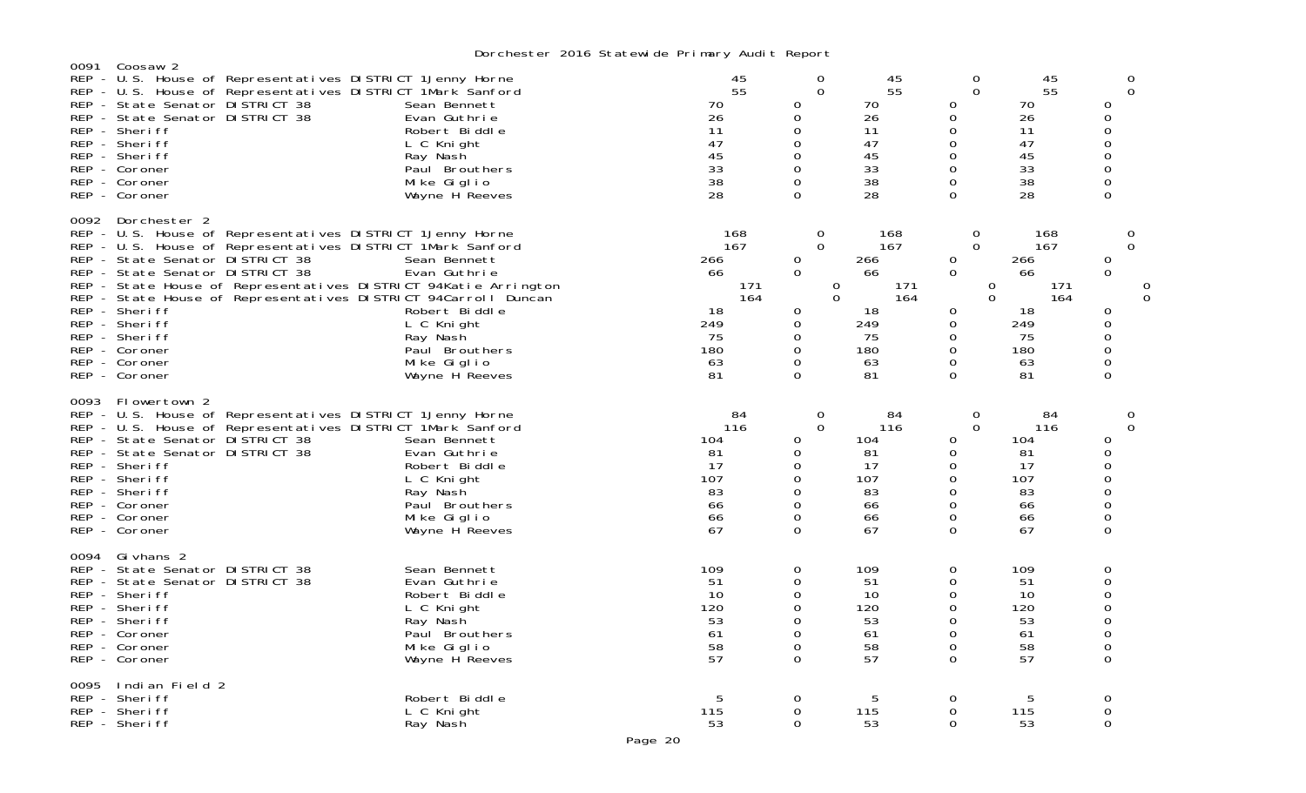| 0091<br>$REP -$ | Coosaw 2<br>REP - U.S. House of Representatives DISTRICT 1 Jenny Horne<br>REP - U.S. House of Representatives DISTRICT 1Mark Sanford<br>REP - State Senator DISTRICT 38<br>State Senator DI STRICT 38<br>REP - Sheriff<br>REP - Sheriff<br>REP - Sheriff<br>REP - Coroner<br>REP - Coroner<br>REP - Coroner                                                                                                                                              | Sean Bennett<br>Evan Guthrie<br>Robert Biddle<br>L C Knight<br>Ray Nash<br>Paul Brouthers<br>Mike Giglio<br>Wayne H Reeves | 45<br>55<br>70<br>26<br>11<br>47<br>45<br>33<br>38<br>28                    | 0<br>$\mathbf 0$<br>0<br>$\Omega$<br>0<br>$\Omega$<br>$\Omega$<br>$\Omega$<br>$\Omega$<br>$\mathbf 0$    | 45<br>55<br>70<br>26<br>11<br>47<br>45<br>33<br>38<br>28                    | 0<br>$\Omega$<br>0<br>0<br>$\mathbf 0$<br>$\Omega$<br>$\mathbf 0$<br>$\Omega$<br>$\Omega$<br>$\mathbf 0$        | 45<br>55<br>70<br>26<br>11<br>47<br>45<br>33<br>38<br>28                    | 0<br>$\mathbf 0$<br>0<br>0<br>0<br>$\Omega$<br>$\Omega$<br>$\Omega$<br>$\Omega$<br>$\Omega$ |
|-----------------|----------------------------------------------------------------------------------------------------------------------------------------------------------------------------------------------------------------------------------------------------------------------------------------------------------------------------------------------------------------------------------------------------------------------------------------------------------|----------------------------------------------------------------------------------------------------------------------------|-----------------------------------------------------------------------------|----------------------------------------------------------------------------------------------------------|-----------------------------------------------------------------------------|-----------------------------------------------------------------------------------------------------------------|-----------------------------------------------------------------------------|---------------------------------------------------------------------------------------------|
| 0092            | Dorchester 2<br>REP - U.S. House of Representatives DISTRICT 1Jenny Horne<br>REP - U.S. House of Representatives DISTRICT 1Mark Sanford<br>REP - State Senator DISTRICT 38<br>REP - State Senator DISTRICT 38<br>REP - State House of Representatives DISTRICT 94Katie Arrington<br>REP - State House of Representatives DISTRICT 94Carroll Duncan<br>REP - Sheriff<br>REP - Sheriff<br>REP - Sheriff<br>REP - Coroner<br>REP - Coroner<br>REP - Coroner | Sean Bennett<br>Evan Guthrie<br>Robert Biddle<br>L C Knight<br>Ray Nash<br>Paul Brouthers<br>Mike Giglio<br>Wayne H Reeves | 168<br>167<br>266<br>66<br>171<br>164<br>18<br>249<br>75<br>180<br>63<br>81 | 0<br>$\Omega$<br>0<br>$\mathbf 0$<br>0<br>$\Omega$<br>0<br>$\mathbf 0$<br>0<br>$\Omega$<br>0<br>$\Omega$ | 168<br>167<br>266<br>66<br>171<br>164<br>18<br>249<br>75<br>180<br>63<br>81 | $\Omega$<br>$\Omega$<br>0<br>$\mathbf 0$<br>0<br>$\Omega$<br>0<br>0<br>$\mathbf 0$<br>$\Omega$<br>0<br>$\Omega$ | 168<br>167<br>266<br>66<br>171<br>164<br>18<br>249<br>75<br>180<br>63<br>81 | 0<br>$\mathbf 0$<br>0<br>0<br>0<br>0<br>0<br>0<br>$\Omega$<br>0<br>$\Omega$                 |
| 0093            | Flowertown 2<br>REP - U.S. House of Representatives DISTRICT 1Jenny Horne<br>REP - U.S. House of Representatives DISTRICT 1Mark Sanford<br>REP - State Senator DISTRICT 38<br>REP - State Senator DISTRICT 38<br>REP - Sheriff<br>REP - Sheriff<br>REP - Sheriff<br>REP - Coroner<br>REP - Coroner<br>REP - Coroner                                                                                                                                      | Sean Bennett<br>Evan Guthrie<br>Robert Biddle<br>L C Knight<br>Ray Nash<br>Paul Brouthers<br>Mike Giglio<br>Wayne H Reeves | 84<br>116<br>104<br>81<br>17<br>107<br>83<br>66<br>66<br>67                 | 0<br>$\Omega$<br>0<br>0<br>0<br>$\Omega$<br>0<br>$\Omega$<br>0<br>$\Omega$                               | 84<br>116<br>104<br>81<br>17<br>107<br>83<br>66<br>66<br>67                 | $\Omega$<br>$\Omega$<br>0<br>0<br>$\Omega$<br>$\Omega$<br>0<br>$\Omega$<br>$\mathbf 0$<br>$\Omega$              | 84<br>116<br>104<br>81<br>17<br>107<br>83<br>66<br>66<br>67                 | 0<br>$\Omega$<br>0<br>0<br>0<br>$\Omega$<br>0<br>$\Omega$<br>0<br>0                         |
| 0094            | Gi vhans 2<br>REP - State Senator DISTRICT 38<br>REP - State Senator DISTRICT 38<br>REP - Sheriff<br>REP - Sheriff<br>REP - Sheriff<br>REP - Coroner<br>REP - Coroner<br>REP - Coroner                                                                                                                                                                                                                                                                   | Sean Bennett<br>Evan Guthrie<br>Robert Biddle<br>L C Knight<br>Ray Nash<br>Paul Brouthers<br>Mike Giglio<br>Wayne H Reeves | 109<br>51<br>10<br>120<br>53<br>61<br>58<br>57                              | $\mathbf 0$<br>0<br>$\Omega$<br>0<br>$\Omega$<br>$\Omega$<br>0<br>$\Omega$                               | 109<br>51<br>10<br>120<br>53<br>61<br>58<br>57                              | $\mathbf 0$<br>$\mathbf 0$<br>$\Omega$<br>$\mathbf 0$<br>0<br>$\Omega$<br>$\mathbf 0$<br>$\Omega$               | 109<br>51<br>10<br>120<br>53<br>61<br>58<br>57                              | $\mathbf 0$<br>0<br>$\overline{0}$<br>0<br>$\Omega$<br>0<br>0<br>$\Omega$                   |
| 0095            | Indian Field 2<br>REP - Sheriff<br>REP - Sheriff<br>REP - Sheriff                                                                                                                                                                                                                                                                                                                                                                                        | Robert Biddle<br>L C Knight<br>Ray Nash                                                                                    | 5<br>115<br>53                                                              | $\mathbf 0$<br>$\mathbf 0$<br>$\Omega$                                                                   | 5<br>115<br>53                                                              | 0<br>$\Omega$<br>$\Omega$                                                                                       | 5<br>115<br>53                                                              | 0<br>0<br>0                                                                                 |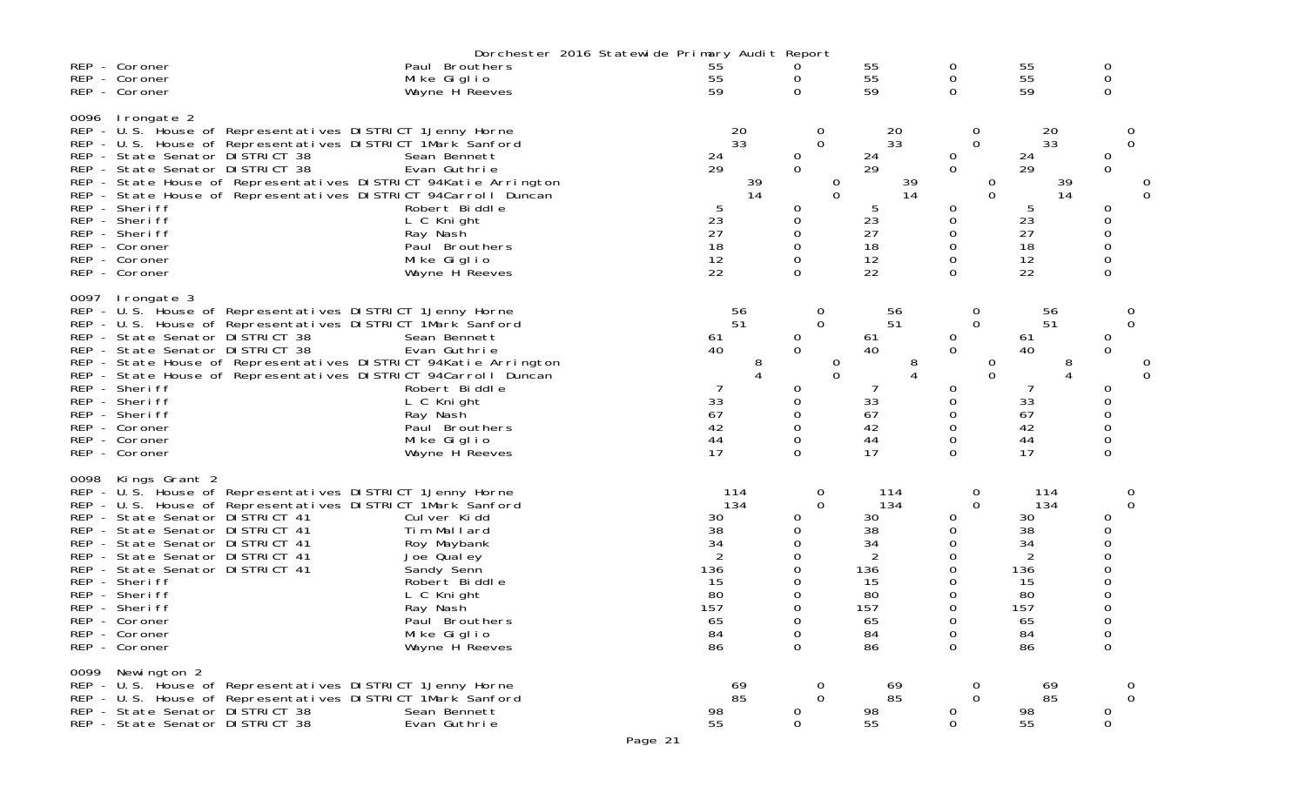|                                                          |                                                                                                                                                                                                                                                                                                                                                                                                                                                         | Dorchester 2016 Statewide Primary Audit Report                                                                                                                      |                                                                               |                                                                                            |                                                                               |                                                                                                                      |                                                                                            |                                                          |
|----------------------------------------------------------|---------------------------------------------------------------------------------------------------------------------------------------------------------------------------------------------------------------------------------------------------------------------------------------------------------------------------------------------------------------------------------------------------------------------------------------------------------|---------------------------------------------------------------------------------------------------------------------------------------------------------------------|-------------------------------------------------------------------------------|--------------------------------------------------------------------------------------------|-------------------------------------------------------------------------------|----------------------------------------------------------------------------------------------------------------------|--------------------------------------------------------------------------------------------|----------------------------------------------------------|
|                                                          | REP - Coroner<br>REP - Coroner<br>REP - Coroner                                                                                                                                                                                                                                                                                                                                                                                                         | Paul Brouthers<br>Mike Giglio<br>Wayne H Reeves                                                                                                                     | 55<br>55<br>59                                                                | 0<br>0<br>$\Omega$                                                                         | 55<br>55<br>59                                                                | 0<br>0<br>$\Omega$                                                                                                   | 55<br>55<br>59                                                                             | 0<br>0<br>0                                              |
| 0096                                                     | lrongate 2<br>REP - U.S. House of Representatives DISTRICT 1 Jenny Horne<br>REP - U.S. House of Representatives DISTRICT 1Mark Sanford<br>REP - State Senator DISTRICT 38<br>REP - State Senator DISTRICT 38<br>REP - State House of Representatives DISTRICT 94Katie Arrington<br>REP - State House of Representatives DISTRICT 94Carroll Duncan<br>REP - Sheriff<br>REP - Sheriff<br>REP - Sheriff<br>REP - Coroner<br>REP - Coroner<br>REP - Coroner | Sean Bennett<br>Evan Guthrie<br>Robert Biddle<br>L C Knight<br>Ray Nash<br>Paul Brouthers<br>Mike Giglio<br>Wayne H Reeves                                          | 20<br>33<br>24<br>29<br>39<br>14<br>5<br>23<br>27<br>18<br>12<br>22           | 0<br>$\mathbf 0$<br>0<br>0<br>$\mathbf 0$<br>$\Omega$<br>0<br>0<br>0<br>0<br>0<br>$\Omega$ | 20<br>33<br>24<br>29<br>39<br>14<br>5<br>23<br>27<br>18<br>12<br>22           | 0<br>0<br>$\overline{0}$<br>$\mathbf 0$<br>$\overline{0}$<br>$\Omega$<br>0<br>0<br>0<br>0<br>$\mathbf 0$<br>$\Omega$ | 20<br>33<br>24<br>29<br>39<br>14<br>5<br>23<br>27<br>18<br>12<br>22                        | 0<br>$\mathbf 0$<br>0<br>0<br>0<br>0<br>0<br>0<br>0<br>0 |
| 0097<br>REP.                                             | lrongate 3<br>REP - U.S. House of Representatives DISTRICT 1 Jenny Horne<br>REP - U.S. House of Representatives DISTRICT 1Mark Sanford<br>REP - State Senator DISTRICT 38<br>- State Senator DISTRICT 38<br>REP - State House of Representatives DISTRICT 94Katie Arrington<br>REP - State House of Representatives DISTRICT 94Carroll Duncan<br>REP - Sheriff<br>REP - Sheriff<br>REP - Sheriff<br>REP - Coroner<br>REP - Coroner<br>REP - Coroner     | Sean Bennett<br>Evan Guthrie<br>Robert Biddle<br>L C Knight<br>Ray Nash<br>Paul Brouthers<br>Mike Giglio<br>Wayne H Reeves                                          | 56<br>51<br>61<br>40<br>8<br>4<br>7<br>33<br>67<br>42<br>44<br>17             | O<br>$\Omega$<br>0<br>0<br>0<br>$\mathbf 0$<br>0<br>0<br>0<br>0<br>0<br>0                  | 56<br>51<br>61<br>40<br>8<br>4<br>33<br>67<br>42<br>44<br>17                  | 0<br>$\Omega$<br>0<br>$\Omega$<br>0<br>$\Omega$<br>0<br>0<br>0<br>$\Omega$<br>0<br>$\Omega$                          | 56<br>51<br>61<br>40<br>8<br>$\overline{4}$<br>7<br>33<br>67<br>42<br>44<br>17             | 0<br>$\Omega$<br>0<br>0<br>0<br>0<br>0<br>0<br>0         |
| 0098<br>REP.<br>REP.<br><b>REP</b><br>REP.<br>REP<br>REP | Kings Grant 2<br>REP - U.S. House of Representatives DISTRICT 1 Jenny Horne<br>- U.S. House of Representatives DISTRICT 1Mark Sanford<br>- State Senator DISTRICT 41<br>- State Senator DISTRICT 41<br>- State Senator DISTRICT 41<br>- State Senator DISTRICT 41<br>- State Senator DISTRICT 41<br>REP - Sheriff<br>REP - Sheriff<br>REP - Sheriff<br>REP - Coroner<br>REP - Coroner<br>REP - Coroner                                                  | Culver Kidd<br>Tim Mallard<br>Roy Maybank<br>Joe Qualey<br>Sandy Senn<br>Robert Biddle<br>L C Knight<br>Ray Nash<br>Paul Brouthers<br>Mike Giglio<br>Wayne H Reeves | 114<br>134<br>30<br>38<br>34<br>2<br>136<br>15<br>80<br>157<br>65<br>84<br>86 | 0<br>$\Omega$<br>0<br>0<br>0<br>0<br>0<br>0<br>0<br>0<br>$\Omega$<br>0<br>$\Omega$         | 114<br>134<br>30<br>38<br>34<br>2<br>136<br>15<br>80<br>157<br>65<br>84<br>86 | $\overline{O}$<br>$\Omega$<br>0<br>0<br>0<br>0<br>0<br>0<br>0<br>0<br>$\Omega$<br>0<br>$\Omega$                      | 114<br>134<br>30<br>38<br>34<br>$\overline{2}$<br>136<br>15<br>80<br>157<br>65<br>84<br>86 | 0<br>$\Omega$<br>0<br>0<br>0<br>0<br>$\Omega$<br>0<br>0  |
| 0099                                                     | Newington 2<br>REP - U.S. House of Representatives DISTRICT 1 Jenny Horne<br>REP - U.S. House of Representatives DISTRICT 1Mark Sanford<br>REP - State Senator DISTRICT 38<br>REP - State Senator DISTRICT 38                                                                                                                                                                                                                                           | Sean Bennett<br>Evan Guthrie                                                                                                                                        | 69<br>85<br>98<br>55                                                          | 0<br>$\Omega$<br>0<br>$\mathbf{O}$                                                         | 69<br>85<br>98<br>55                                                          | 0<br>$\Omega$<br>0<br>0                                                                                              | 69<br>85<br>98<br>55                                                                       | 0<br>$\mathbf{0}$<br>0<br>0                              |

Page 21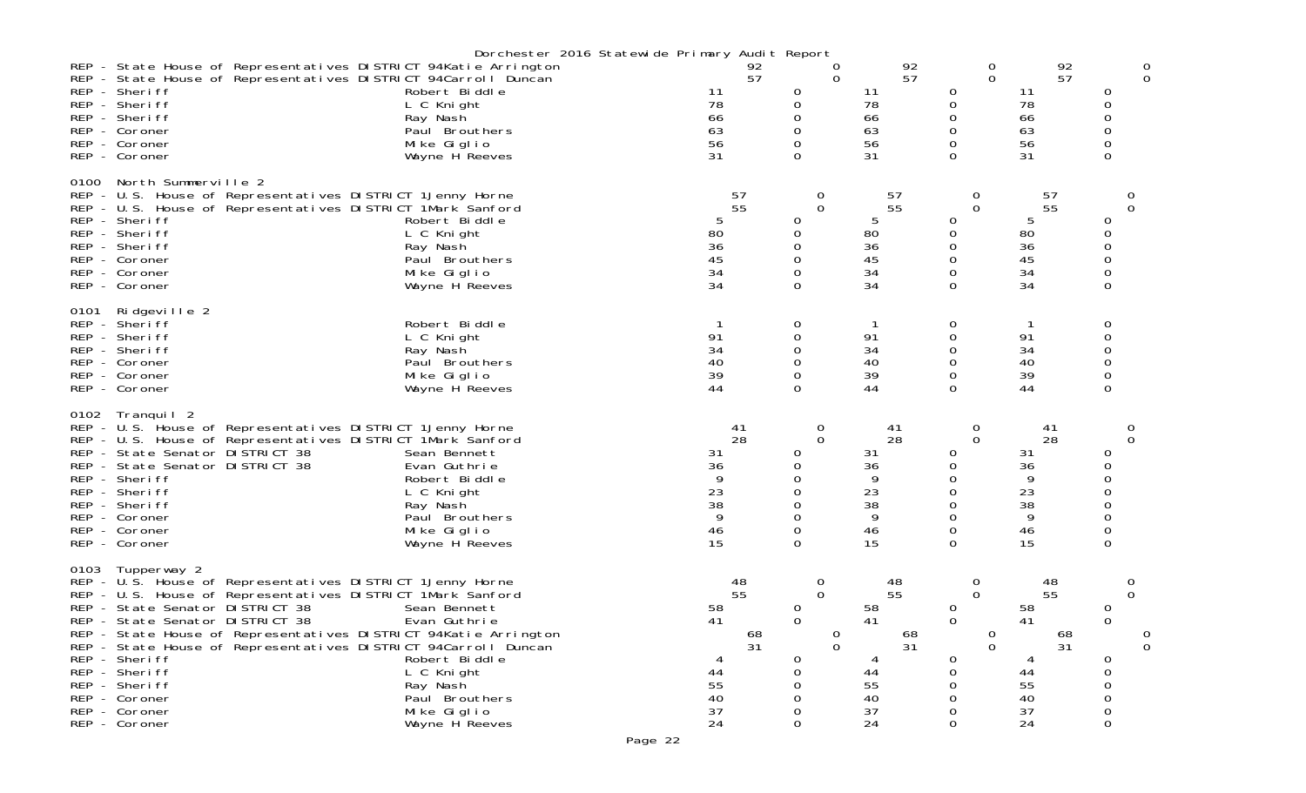|      |                                                                                                                                                                                                                                                                                                                                                                                                                                                          | Dorchester 2016 Statewide Primary Audit Report                                                                             |                                                                |                                                                                         |                                                                |                                                                                                     |                                                                |                                                           |
|------|----------------------------------------------------------------------------------------------------------------------------------------------------------------------------------------------------------------------------------------------------------------------------------------------------------------------------------------------------------------------------------------------------------------------------------------------------------|----------------------------------------------------------------------------------------------------------------------------|----------------------------------------------------------------|-----------------------------------------------------------------------------------------|----------------------------------------------------------------|-----------------------------------------------------------------------------------------------------|----------------------------------------------------------------|-----------------------------------------------------------|
|      | REP - State House of Representatives DISTRICT 94Katie Arrington<br>REP - State House of Representatives DISTRICT 94Carroll Duncan<br>REP - Sheriff<br>REP - Sheriff<br>REP - Sheriff<br>REP - Coroner<br>REP - Coroner<br>REP - Coroner                                                                                                                                                                                                                  | Robert Biddle<br>L C Knight<br>Ray Nash<br>Paul Brouthers<br>Mike Giglio<br>Wayne H Reeves                                 | 92<br>57<br>11<br>78<br>66<br>63<br>56<br>31                   | $\Omega$<br>0<br>0<br>0<br>0<br>$\Omega$<br>0<br>$\Omega$                               | 92<br>57<br>11<br>78<br>66<br>63<br>56<br>31                   | $\mathbf 0$<br>$\mathbf 0$<br>0<br>0<br>0<br>0<br>0<br>0                                            | 92<br>57<br>11<br>78<br>66<br>63<br>56<br>31                   | 0<br>$\Omega$<br>0<br>0<br>0<br>0<br>0<br>$\Omega$        |
| 0100 | North Summerville 2<br>REP - U.S. House of Representatives DISTRICT 1 Jenny Horne<br>REP - U.S. House of Representatives DISTRICT 1Mark Sanford<br>REP - Sheriff<br>REP - Sheriff<br>REP - Sheriff<br>REP - Coroner<br>REP - Coroner<br>REP - Coroner                                                                                                                                                                                                    | Robert Biddle<br>L C Knight<br>Ray Nash<br>Paul Brouthers<br>Mike Giglio<br>Wayne H Reeves                                 | 57<br>55<br>5<br>80<br>36<br>45<br>34<br>34                    | 0<br>$\Omega$<br>0<br>0<br>0<br>0<br>0<br>$\Omega$                                      | 57<br>55<br>5<br>80<br>36<br>45<br>34<br>34                    | 0<br>$\Omega$<br>0<br>0<br>0<br>0<br>0<br>$\Omega$                                                  | 57<br>55<br>5<br>80<br>36<br>45<br>34<br>34                    | O<br>$\Omega$<br>0<br>0<br>0<br>0<br>0<br>0               |
| 0101 | Ridgeville 2<br>REP - Sheriff<br>REP - Sheriff<br>REP - Sheriff<br>REP - Coroner<br>REP - Coroner<br>REP - Coroner                                                                                                                                                                                                                                                                                                                                       | Robert Biddle<br>L C Knight<br>Ray Nash<br>Paul Brouthers<br>Mike Giglio<br>Wayne H Reeves                                 | 91<br>34<br>40<br>39<br>44                                     | 0<br>0<br>0<br>0<br>0<br>$\Omega$                                                       | $\mathbf{1}$<br>91<br>34<br>40<br>39<br>44                     | 0<br>0<br>0<br>0<br>0<br>$\Omega$                                                                   | 91<br>34<br>40<br>39<br>44                                     | 0<br>0<br>0<br>0<br>0<br>0                                |
| 0102 | Tranquil <sub>2</sub><br>REP - U.S. House of Representatives DISTRICT 1Jenny Horne<br>REP - U.S. House of Representatives DISTRICT 1Mark Sanford<br>REP - State Senator DISTRICT 38<br>REP - State Senator DISTRICT 38<br>REP - Sheriff<br>REP - Sheriff<br>REP - Sheriff<br>REP - Coroner<br>REP - Coroner<br>REP - Coroner                                                                                                                             | Sean Bennett<br>Evan Guthrie<br>Robert Biddle<br>L C Knight<br>Ray Nash<br>Paul Brouthers<br>Mike Giglio<br>Wayne H Reeves | 41<br>28<br>31<br>36<br>9<br>23<br>38<br>9<br>46<br>15         | 0<br>$\Omega$<br>0<br>0<br>0<br>0<br>$\Omega$<br>0<br>0<br>$\Omega$                     | 41<br>28<br>31<br>36<br>9<br>23<br>38<br>9<br>46<br>15         | 0<br>$\Omega$<br>0<br>0<br>0<br>0<br>0<br>0<br>0<br>$\Omega$                                        | 41<br>28<br>31<br>36<br>9<br>23<br>38<br>9<br>46<br>15         | O<br>$\Omega$<br>O<br>0<br>$\Omega$<br>0<br>0<br>$\Omega$ |
| 0103 | Tupperway 2<br>REP - U.S. House of Representatives DISTRICT 1 Jenny Horne<br>REP - U.S. House of Representatives DISTRICT 1Mark Sanford<br>REP - State Senator DISTRICT 38<br>REP - State Senator DISTRICT 38<br>REP - State House of Representatives DISTRICT 94Katie Arrington<br>REP - State House of Representatives DISTRICT 94Carroll Duncan<br>REP - Sheriff<br>REP - Sheriff<br>REP - Sheriff<br>REP - Coroner<br>REP - Coroner<br>REP - Coroner | Sean Bennett<br>Evan Guthrie<br>Robert Biddle<br>L C Knight<br>Ray Nash<br>Paul Brouthers<br>Mike Giglio<br>Wayne H Reeves | 48<br>55<br>58<br>41<br>68<br>31<br>44<br>55<br>40<br>37<br>24 | 0<br>$\Omega$<br>0<br>$\Omega$<br>0<br>$\Omega$<br>0<br>0<br>0<br>0<br>0<br>$\mathbf 0$ | 48<br>55<br>58<br>41<br>68<br>31<br>44<br>55<br>40<br>37<br>24 | 0<br>$\mathbf 0$<br>$\overline{0}$<br>$\Omega$<br>0<br>$\overline{0}$<br>0<br>0<br>0<br>0<br>0<br>0 | 48<br>55<br>58<br>41<br>68<br>31<br>44<br>55<br>40<br>37<br>24 | 0<br>0<br>0<br>$\Omega$<br>0<br>$\mathbf 0$<br>O<br>0     |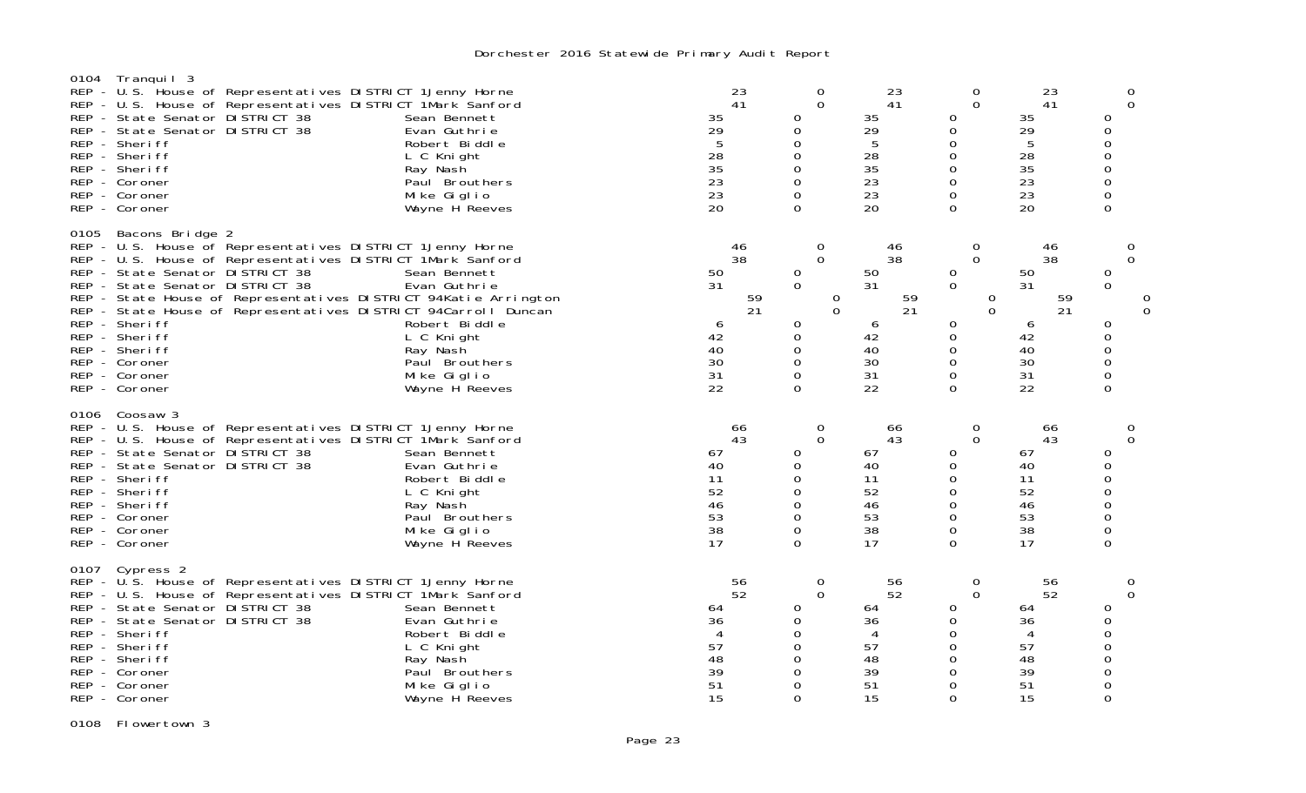| 0104 | Tranquil 3<br>REP - U.S. House of Representatives DISTRICT 1Jenny Horne<br>REP - U.S. House of Representatives DISTRICT 1Mark Sanford<br>REP - State Senator DISTRICT 38<br>REP - State Senator DISTRICT 38<br>REP - Sheriff<br>REP - Sheriff<br>REP - Sheriff<br>REP - Coroner<br>REP - Coroner<br>REP - Coroner                                                                                                                                            | Sean Bennett<br>Evan Guthrie<br>Robert Biddle<br>L C Knight<br>Ray Nash<br>Paul Brouthers<br>Mike Giglio<br>Wayne H Reeves | 23<br>41<br>35<br>29<br>5<br>28<br>35<br>23<br>23<br>20             | 0<br>$\Omega$<br>0<br>0<br>0<br>0<br>0<br>$\Omega$<br>0<br>$\mathbf 0$                   | 23<br>41<br>35<br>29<br>5<br>28<br>35<br>23<br>23<br>20             | 0<br>$\overline{0}$<br>0<br>0<br>0<br>$\mathbf 0$<br>$\overline{0}$<br>$\overline{0}$<br>0<br>$\Omega$   | $^{23}_{41}$<br>35<br>29<br>5<br>28<br>35<br>23<br>23<br>20         | 0<br>$\Omega$<br>0<br>0<br>$\Omega$<br>0<br>$\Omega$<br>$\Omega$<br>0<br>0           |
|------|--------------------------------------------------------------------------------------------------------------------------------------------------------------------------------------------------------------------------------------------------------------------------------------------------------------------------------------------------------------------------------------------------------------------------------------------------------------|----------------------------------------------------------------------------------------------------------------------------|---------------------------------------------------------------------|------------------------------------------------------------------------------------------|---------------------------------------------------------------------|----------------------------------------------------------------------------------------------------------|---------------------------------------------------------------------|--------------------------------------------------------------------------------------|
| 0105 | Bacons Bridge 2<br>REP - U.S. House of Representatives DISTRICT 1 Jenny Horne<br>REP - U.S. House of Representatives DISTRICT 1Mark Sanford<br>REP - State Senator DISTRICT 38<br>REP - State Senator DISTRICT 38<br>REP - State House of Representatives DISTRICT 94Katie Arrington<br>REP - State House of Representatives DISTRICT 94Carroll Duncan<br>REP - Sheriff<br>REP - Sheriff<br>REP - Sheriff<br>REP - Coroner<br>REP - Coroner<br>REP - Coroner | Sean Bennett<br>Evan Guthrie<br>Robert Biddle<br>L C Knight<br>Ray Nash<br>Paul Brouthers<br>Mike Giglio<br>Wayne H Reeves | 46<br>38<br>50<br>31<br>59<br>21<br>6<br>42<br>40<br>30<br>31<br>22 | 0<br>$\Omega$<br>0<br>0<br>0<br>$\Omega$<br>0<br>0<br>0<br>$\Omega$<br>0<br>$\Omega$     | 46<br>38<br>50<br>31<br>59<br>21<br>6<br>42<br>40<br>30<br>31<br>22 | 0<br>$\Omega$<br>0<br>$\Omega$<br>0<br>$\Omega$<br>0<br>0<br>0<br>$\Omega$<br>$\overline{0}$<br>$\Omega$ | 46<br>38<br>50<br>31<br>59<br>21<br>6<br>42<br>40<br>30<br>31<br>22 | 0<br>$\Omega$<br>0<br>$\Omega$<br>0<br>0<br>0<br>0<br>$\Omega$<br>0<br>$\Omega$      |
| 0106 | Coosaw 3<br>REP - U.S. House of Representatives DISTRICT 1 Jenny Horne<br>REP - U.S. House of Representatives DISTRICT 1Mark Sanford<br>REP - State Senator DISTRICT 38<br>REP - State Senator DISTRICT 38<br>REP - Sheriff<br>REP - Sheriff<br>REP - Sheriff<br>REP - Coroner<br>REP - Coroner<br>REP - Coroner                                                                                                                                             | Sean Bennett<br>Evan Guthrie<br>Robert Biddle<br>L C Knight<br>Ray Nash<br>Paul Brouthers<br>Mike Giglio<br>Wayne H Reeves | 66<br>43<br>67<br>40<br>11<br>52<br>46<br>53<br>38<br>17            | 0<br>$\Omega$<br>0<br>0<br>$\Omega$<br>0<br>$\Omega$<br>$\Omega$<br>$\Omega$<br>$\Omega$ | 66<br>43<br>67<br>40<br>11<br>52<br>46<br>53<br>38<br>17            | 0<br>$\Omega$<br>0<br>0<br>0<br>0<br>$\overline{0}$<br>0<br>$\Omega$<br>$\Omega$                         | 66<br>43<br>67<br>40<br>11<br>52<br>46<br>53<br>38<br>17            | 0<br>$\Omega$<br>$\Omega$<br>0<br>0<br>0<br>$\Omega$<br>$\mathbf 0$<br>$\Omega$<br>0 |
| 0107 | Cypress 2<br>REP - U.S. House of Representatives DISTRICT 1 Jenny Horne<br>REP - U.S. House of Representatives DISTRICT 1Mark Sanford<br>REP - State Senator DISTRICT 38<br>REP - State Senator DISTRICT 38<br>REP - Sheriff<br>REP - Sheriff<br>REP - Sheriff<br>REP - Coroner<br>REP - Coroner<br>REP - Coroner                                                                                                                                            | Sean Bennett<br>Evan Guthrie<br>Robert Biddle<br>L C Knight<br>Ray Nash<br>Paul Brouthers<br>Mike Giglio<br>Wayne H Reeves | 56<br>52<br>64<br>36<br>4<br>57<br>48<br>39<br>51<br>15             | 0<br>$\Omega$<br>ი<br>0<br>0<br>0<br>0<br>0<br>$\Omega$<br>$\Omega$                      | 56<br>52<br>64<br>36<br>4<br>57<br>48<br>39<br>51<br>15             | 0<br>$\Omega$<br>0<br>0<br>0<br>0<br>0<br>0<br>0<br>$\Omega$                                             | 56<br>52<br>64<br>36<br>4<br>57<br>48<br>39<br>51<br>15             | 0<br>$\Omega$<br>0<br>0<br>0<br>0<br>0<br>0<br>0                                     |

0108 Flowertown 3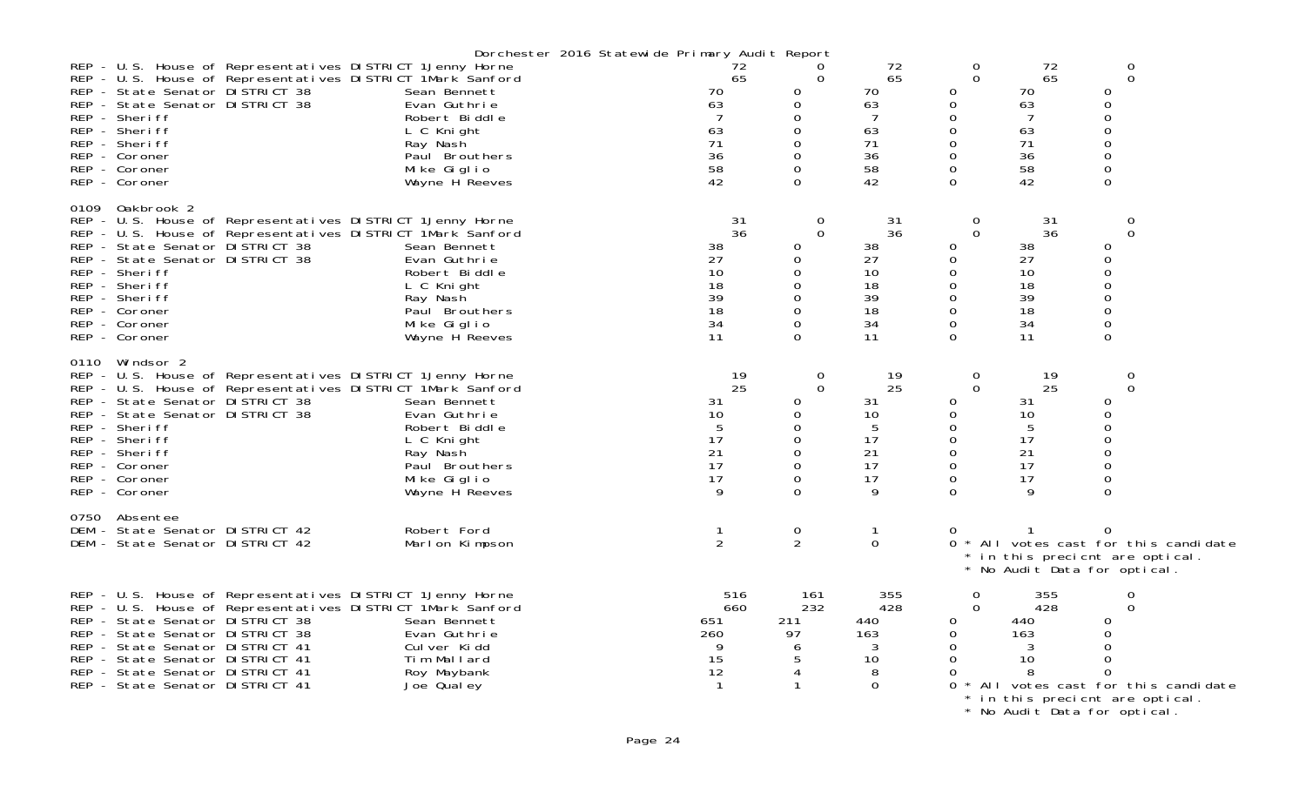|      |                                                                                                                                                                                                                                                                                                                                           |                                                                                                                                         | Dorchester 2016 Statewide Primary Audit Report |                                                                      |                                                                                                                                    |                                                          |                                                                                                                                     |                                                                          |                                                                   |                                                                                           |
|------|-------------------------------------------------------------------------------------------------------------------------------------------------------------------------------------------------------------------------------------------------------------------------------------------------------------------------------------------|-----------------------------------------------------------------------------------------------------------------------------------------|------------------------------------------------|----------------------------------------------------------------------|------------------------------------------------------------------------------------------------------------------------------------|----------------------------------------------------------|-------------------------------------------------------------------------------------------------------------------------------------|--------------------------------------------------------------------------|-------------------------------------------------------------------|-------------------------------------------------------------------------------------------|
|      | REP - U.S. House of Representatives DISTRICT 1Jenny Horne<br>REP - U.S. House of Representatives DISTRICT 1Mark Sanford<br>REP - State Senator DISTRICT 38<br>REP - State Senator DISTRICT 38<br>REP - Sheriff<br>REP - Sheriff<br>REP - Sheriff<br>REP - Coroner<br>REP - Coroner<br>REP - Coroner                                       | Sean Bennett<br>Evan Guthrie<br>Robert Biddle<br>L C Knight<br>Ray Nash<br>Paul Brouthers<br>Mike Giglio<br>Wayne H Reeves              |                                                | 72<br>65<br>70<br>63<br>$\overline{7}$<br>63<br>71<br>36<br>58<br>42 | 0<br>0<br>$\mathbf 0$<br>$\mathbf 0$<br>$\mathbf 0$<br>0<br>$\mathbf 0$<br>$\mathbf 0$<br>$\Omega$                                 | 72<br>65<br>70<br>63<br>7<br>63<br>71<br>36<br>58<br>42  | 0<br>$\overline{0}$<br>0<br>0<br>$\mathbf 0$<br>$\boldsymbol{0}$<br>$\boldsymbol{0}$<br>$\mathbf 0$<br>$\boldsymbol{0}$<br>$\Omega$ | 72<br>65<br>70<br>63<br>- 7<br>63<br>71<br>36<br>58<br>42                | 0<br>0<br>0<br>0<br>0<br>$\hbox{O}$<br>0<br>$\mathbf 0$           | $\mathbf 0$<br>$\overline{0}$                                                             |
| 0109 | Oakbrook 2<br>REP - U.S. House of Representatives DISTRICT 1Jenny Horne<br>REP - U.S. House of Representatives DISTRICT 1Mark Sanford<br>REP - State Senator DISTRICT 38<br>REP - State Senator DISTRICT 38<br>REP - Sheriff<br>REP - Sheriff<br>REP - Sheriff<br>REP - Coroner<br>REP - Coroner<br>REP - Coroner                         | Sean Bennett<br>Evan Guthrie<br>Robert Biddle<br>L C Knight<br>Ray Nash<br>Paul Brouthers<br>Mike Giglio<br>Wayne H <sup>o</sup> Reeves |                                                | 31<br>36<br>38<br>27<br>10<br>18<br>39<br>18<br>34<br>11             | 0<br>$\Omega$<br>0<br>$\mathbf 0$<br>0<br>$\mathbf 0$<br>$\overline{0}$<br>$\mathbf 0$<br>$\mathbf 0$<br>$\Omega$                  | 31<br>36<br>38<br>27<br>10<br>18<br>39<br>18<br>34<br>11 | 0<br>$\Omega$<br>0<br>0<br>0<br>$\boldsymbol{0}$<br>$\mathsf{O}\xspace$<br>$\mathbf 0$<br>$\mathbf 0$<br>$\Omega$                   | 31<br>36<br>38<br>27<br>10<br>18<br>39<br>18<br>34<br>11                 | 0<br>0<br>0<br>0<br>$\mathbf 0$<br>0<br>$\mbox{O}$<br>$\mathbf 0$ | 0<br>$\Omega$                                                                             |
|      | 0110 Windsor 2<br>REP - U.S. House of Representatives DISTRICT 1Jenny Horne<br>REP - U.S. House of Representatives DISTRICT 1Mark Sanford<br>REP - State Senator DISTRICT 38<br>REP - State Senator DISTRICT 38<br>REP - Sheriff<br>REP - Sheriff<br>REP - Sheriff<br>REP - Coroner<br>REP - Coroner<br>REP - Coroner                     | Sean Bennett<br>Evan Guthrie<br>Robert Biddle<br>L C Knight<br>Ray Nash<br>Paul Brouthers<br>Mike Giglio<br>Wayne H Reeves              |                                                | 19<br>25<br>31<br>10<br>5<br>17<br>21<br>17<br>17<br>9               | $\mathbf 0$<br>$\Omega$<br>$\Omega$<br>$\mathbf 0$<br>0<br>$\mathbf 0$<br>$\mathbf 0$<br>$\mathbf 0$<br>$\mathbf 0$<br>$\mathbf 0$ | 19<br>25<br>31<br>10<br>5<br>17<br>21<br>17<br>17<br>9   | 0<br>$\Omega$<br>0<br>0<br>0<br>0<br>$\mathsf{O}\xspace$<br>$\mathsf{O}\xspace$<br>0<br>$\Omega$                                    | 19<br>25<br>31<br>10<br>5<br>17<br>21<br>17<br>17<br>9                   | 0<br>0<br>0<br>0<br>0<br>0<br>$\boldsymbol{0}$<br>$\mathbf 0$     | 0<br>$\Omega$                                                                             |
| 0750 | Absentee<br>DEM - State Senator DISTRICT 42<br>DEM - State Senator DISTRICT 42                                                                                                                                                                                                                                                            | Robert Ford<br>Marlon Kimpson                                                                                                           |                                                | $\mathbf{1}$<br>2                                                    | $\mathbf 0$<br>2                                                                                                                   | $\mathbf 0$                                              |                                                                                                                                     | * No Audit Data for optical.                                             | 0                                                                 | * All votes cast for this candidate<br>* in this precient are optical.                    |
|      | REP - U.S. House of Representatives DISTRICT 1Jenny Horne<br>REP - U.S. House of Representatives DISTRICT 1Mark Sanford<br>REP - State Senator DISTRICT 38<br>REP - State Senator DISTRICT 38<br>REP - State Senator DISTRICT 41<br>REP - State Senator DISTRICT 41<br>REP - State Senator DISTRICT 41<br>REP - State Senator DISTRICT 41 | Sean Bennett<br>Evan Guthrie<br>Culver Kidd<br>Tim Mallard<br>Roy Maybank<br>Joe Qualey                                                 |                                                | 516<br>660<br>651<br>260<br>9<br>15<br>12<br>$\mathbf{1}$            | 161<br>232<br>211<br>97<br>6<br>5<br>4<br>$\mathbf{1}$                                                                             | 355<br>428<br>440<br>163<br>3<br>10<br>8<br>$\Omega$     | 0<br>$\overline{0}$<br>0<br>0<br>$\boldsymbol{0}$<br>0<br>$\Omega$                                                                  | 355<br>428<br>440<br>163<br>3<br>10<br>8<br>* No Audit Data for optical. | 0<br>0<br>0<br>$\mathbf 0$<br>$\Omega$                            | O<br>$\overline{0}$<br>All votes cast for this candidate<br>in this precient are optical. |

Page 24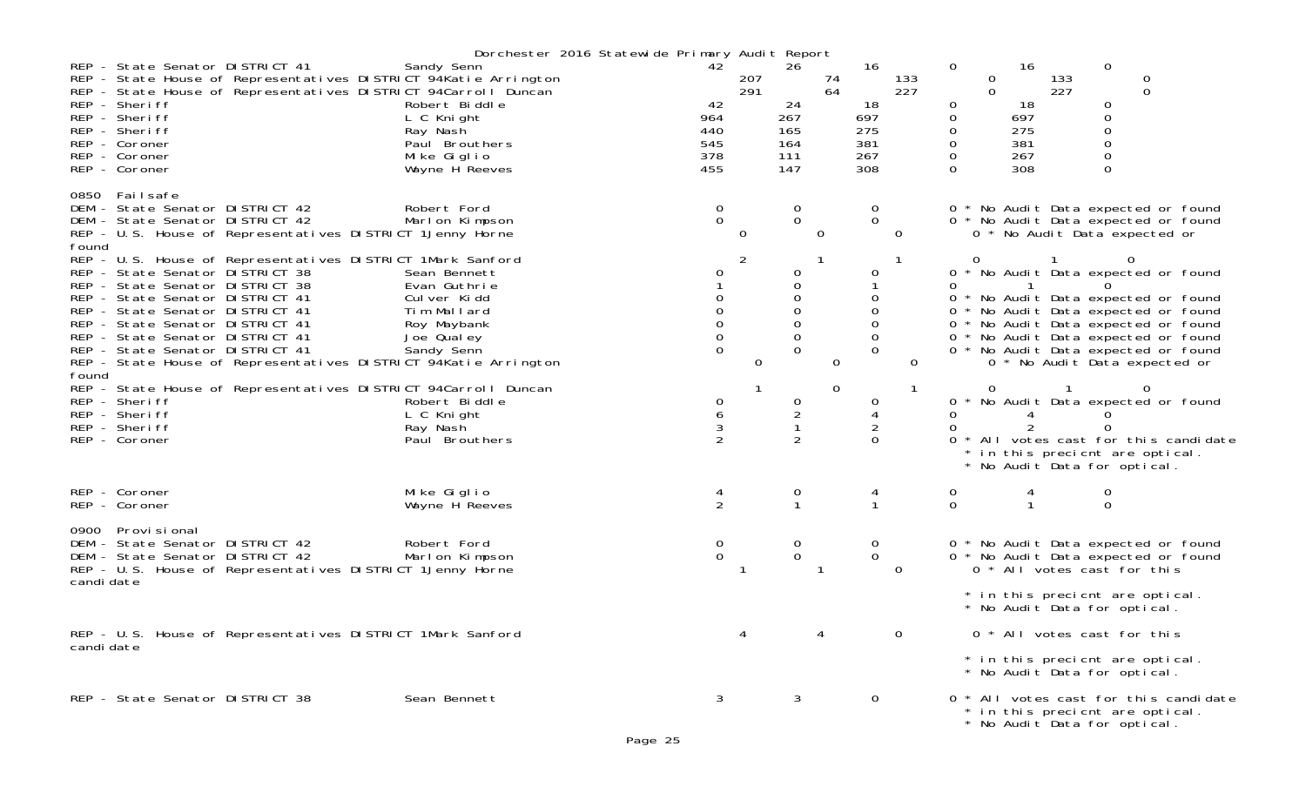|                    |                                                                                                                                                                                                                                                                                                                                                                                    |                                                                                                          | Dorchester 2016 Statewide Primary Audit Report |                                             |            |                                             |             |                                             |            |                                 |               |                                             |            |                                                                                                                                                                                                                                                                                 |          |  |
|--------------------|------------------------------------------------------------------------------------------------------------------------------------------------------------------------------------------------------------------------------------------------------------------------------------------------------------------------------------------------------------------------------------|----------------------------------------------------------------------------------------------------------|------------------------------------------------|---------------------------------------------|------------|---------------------------------------------|-------------|---------------------------------------------|------------|---------------------------------|---------------|---------------------------------------------|------------|---------------------------------------------------------------------------------------------------------------------------------------------------------------------------------------------------------------------------------------------------------------------------------|----------|--|
|                    | REP - State Senator DISTRICT 41<br>REP - State House of Representatives DISTRICT 94Katie Arrington<br>REP - State House of Representatives DISTRICT 94Carroll Duncan<br>REP - Sheriff<br>REP - Sheriff<br>REP - Sheriff<br>REP - Coroner<br>REP - Coroner<br>REP - Coroner                                                                                                         | Sandy Senn<br>Robert Biddle<br>L C Knight<br>Ray Nash<br>Paul Brouthers<br>Mike Giglio<br>Wayne H Reeves |                                                | 42<br>42<br>964<br>440<br>545<br>378<br>455 | 207<br>291 | 26<br>24<br>267<br>165<br>164<br>111<br>147 | 74<br>64    | 16<br>18<br>697<br>275<br>381<br>267<br>308 | 133<br>227 | 0<br>0<br>0<br>O<br>O<br>0<br>0 | 0<br>$\Omega$ | 16<br>18<br>697<br>275<br>381<br>267<br>308 | 133<br>227 | $\mathbf{0}$<br>0<br>$\Omega$<br>0<br>0<br>$\Omega$<br>0                                                                                                                                                                                                                        | 0        |  |
| found              | 0850 Failsafe<br>DEM - State Senator DISTRICT 42<br>DEM - State Senator DISTRICT 42<br>REP - U.S. House of Representatives DISTRICT 1 Jenny Horne                                                                                                                                                                                                                                  | Robert Ford<br>Marlon Kimpson                                                                            |                                                | $\mathbf 0$<br>$\Omega$                     | $\Omega$   | 0<br>$\mathbf 0$                            | 0           | $\boldsymbol{0}$<br>$\mathbf 0$             | 0          |                                 |               |                                             |            | 0 * No Audit Data expected or found<br>0 * No Audit Data expected or found<br>0 * No Audit Data expected or                                                                                                                                                                     |          |  |
| found              | REP - U.S. House of Representatives DISTRICT 1Mark Sanford<br>REP - State Senator DISTRICT 38<br>REP - State Senator DISTRICT 38<br>REP - State Senator DISTRICT 41<br>REP - State Senator DISTRICT 41<br>REP - State Senator DISTRICT 41<br>REP - State Senator DISTRICT 41<br>REP - State Senator DISTRICT 41<br>REP - State House of Representatives DISTRICT 94Katie Arrington | Sean Bennett<br>Evan Guthrie<br>Culver Kidd<br>Tim Mallard<br>Roy Maybank<br>Joe Qualey<br>Sandy Senn    |                                                | 0<br>0<br>0<br>$\mathbf 0$<br>$\mathbf 0$   | 2<br>0     | 0<br>$\Omega$<br>$\Omega$<br>$\Omega$<br>0  | 0           | 0<br>$\Omega$<br>O<br>0<br>0<br>$\Omega$    | 0          | 0<br>0 *                        | 0             | $\overline{1}$                              |            | 0 * No Audit Data expected or found<br>$\Omega$<br>0 * No Audit Data expected or found<br>0 * No Audit Data expected or found<br>0 * No Audit Data expected or found<br>No Audit Data expected or found<br>0 * No Audit Data expected or found<br>0 * No Audit Data expected or |          |  |
|                    | REP - State House of Representatives DISTRICT 94Carroll Duncan<br>REP - Sheriff<br>REP - Sheriff<br>REP - Sheriff<br>REP - Coroner                                                                                                                                                                                                                                                 | Robert Biddle<br>L C Knight<br>Ray Nash<br>Paul Brouthers                                                |                                                | 0<br>6<br>3<br>2                            | 1          | 0<br>$\overline{c}$<br>-1<br>$\overline{2}$ | $\mathbf 0$ | $\mathbf 0$<br>4<br>2<br>$\Omega$           | 1          | 0<br>0<br>0<br>0                | 0             | 4<br>$\overline{2}$                         |            | * No Audit Data expected or found<br>$\Omega$<br>All votes cast for this candidate<br>in this precient are optical.<br>* No Audit Data for optical.                                                                                                                             | $\Omega$ |  |
|                    | REP - Coroner<br>REP - Coroner                                                                                                                                                                                                                                                                                                                                                     | Mike Giglio<br>Wayne H Reeves                                                                            |                                                | 4<br>$\overline{2}$                         |            | $\overline{O}$<br>$\mathbf{1}$              |             | 4<br>$\mathbf{1}$                           |            | $\circ$<br>$\mathbf 0$          |               |                                             |            | 0<br>$\mathbf 0$                                                                                                                                                                                                                                                                |          |  |
| 0900<br>candi date | Provi si onal<br>DEM - State Senator DISTRICT 42<br>DEM - State Senator DISTRICT 42<br>REP - U.S. House of Representatives DISTRICT 1 Jenny Horne                                                                                                                                                                                                                                  | Robert Ford<br>Marlon Kimpson                                                                            |                                                | 0<br>0                                      | -1         | 0<br>0                                      | -1          | $\overline{0}$<br>$\mathbf 0$               | $\Omega$   |                                 |               |                                             |            | 0 * No Audit Data expected or found<br>0 * No Audit Data expected or found<br>0 * All votes cast for this                                                                                                                                                                       |          |  |
|                    |                                                                                                                                                                                                                                                                                                                                                                                    |                                                                                                          |                                                |                                             |            |                                             |             |                                             |            |                                 |               |                                             |            | * in this precient are optical.<br>* No Audit Data for optical.                                                                                                                                                                                                                 |          |  |
| candi date         | REP - U.S. House of Representatives DISTRICT 1Mark Sanford                                                                                                                                                                                                                                                                                                                         |                                                                                                          |                                                |                                             | 4          |                                             | 4           |                                             | $\Omega$   |                                 |               |                                             |            | 0 * All votes cast for this                                                                                                                                                                                                                                                     |          |  |
|                    |                                                                                                                                                                                                                                                                                                                                                                                    |                                                                                                          |                                                |                                             |            |                                             |             |                                             |            |                                 |               |                                             |            | * in this precient are optical.<br>* No Audit Data for optical.                                                                                                                                                                                                                 |          |  |
|                    | REP - State Senator DISTRICT 38                                                                                                                                                                                                                                                                                                                                                    | Sean Bennett                                                                                             |                                                | 3                                           |            | 3                                           |             | $\mathsf{O}$                                |            |                                 |               |                                             |            | 0 * All votes cast for this candidate<br>* in this precient are optical.<br>* No Audit Data for optical.                                                                                                                                                                        |          |  |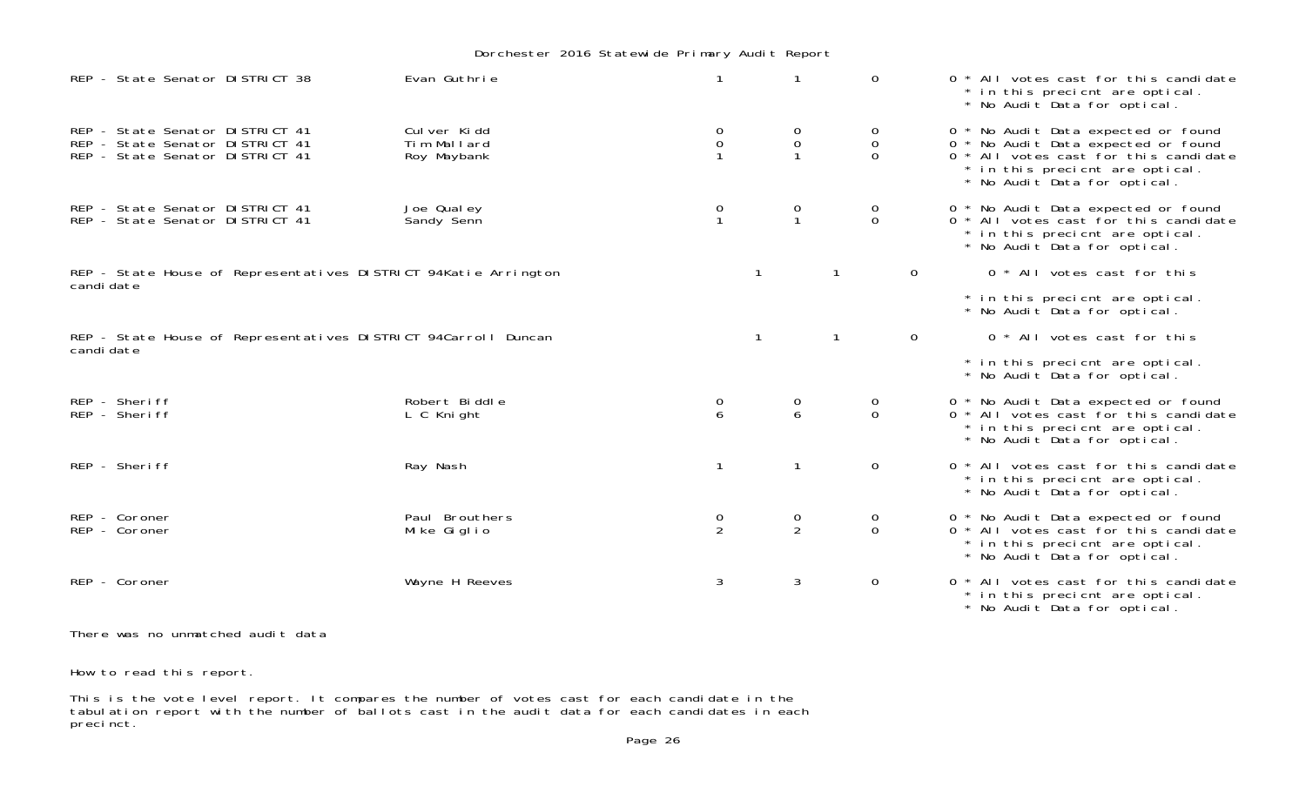| REP - State Senator DISTRICT 38                                                                       | Evan Guthrie                              |                     | $\mathbf{1}$           | $\mathsf{O}$                        | 0 * All votes cast for this candidate<br>* in this precient are optical.<br>* No Audit Data for optical.                                                                               |
|-------------------------------------------------------------------------------------------------------|-------------------------------------------|---------------------|------------------------|-------------------------------------|----------------------------------------------------------------------------------------------------------------------------------------------------------------------------------------|
| REP - State Senator DISTRICT 41<br>REP - State Senator DISTRICT 41<br>REP - State Senator DISTRICT 41 | Culver Kidd<br>Tim Mallard<br>Roy Maybank | 0<br>0              | 0<br>0<br>$\mathbf{1}$ | $\sigma$<br>$\mathbf 0$<br>$\Omega$ | 0 * No Audit Data expected or found<br>0 * No Audit Data expected or found<br>0 * All votes cast for this candidate<br>* in this precient are optical.<br>* No Audit Data for optical. |
| REP - State Senator DISTRICT 41<br>REP - State Senator DISTRICT 41                                    | Joe Qualey<br>Sandy Senn                  | 0                   | 0<br>$\mathbf{1}$      | 0<br>$\Omega$                       | 0 * No Audit Data expected or found<br>0 * All votes cast for this candidate<br>* in this precient are optical.<br>* No Audit Data for optical.                                        |
| REP - State House of Representatives DISTRICT 94Katie Arrington<br>candi date                         |                                           |                     |                        | -1                                  | $\mathbf 0$<br>0 * All votes cast for this                                                                                                                                             |
|                                                                                                       |                                           |                     |                        |                                     | * in this precient are optical.<br>* No Audit Data for optical.                                                                                                                        |
| REP - State House of Representatives DISTRICT 94Carroll Duncan<br>candi date                          |                                           |                     |                        | $\mathbf{1}$                        | $\mathsf{O}$<br>0 * All votes cast for this                                                                                                                                            |
|                                                                                                       |                                           |                     |                        |                                     | * in this precient are optical.<br>* No Audit Data for optical.                                                                                                                        |
| REP - Sheriff<br>REP - Sheriff                                                                        | Robert Biddle<br>L C Knight               | 0<br>6              | 0<br>6                 | 0<br>$\Omega$                       | 0 * No Audit Data expected or found<br>0 * All votes cast for this candidate<br>* in this precient are optical.<br>* No Audit Data for optical.                                        |
| REP - Sheriff                                                                                         | Ray Nash                                  | 1                   | $\mathbf{1}$           | $\overline{0}$                      | 0 * All votes cast for this candidate<br>* in this precient are optical.<br>* No Audit Data for optical.                                                                               |
| REP - Coroner<br>REP - Coroner                                                                        | Paul Brouthers<br>Mike Giglio             | 0<br>$\overline{2}$ | 0<br>$\overline{2}$    | $\mathbf 0$<br>$\overline{0}$       | 0 * No Audit Data expected or found<br>0 * All votes cast for this candidate<br>* in this precient are optical.<br>* No Audit Data for optical.                                        |
| REP - Coroner                                                                                         | Wayne H Reeves                            | $\mathfrak{Z}$      | $\mathbf{3}$           | $\overline{0}$                      | 0 * All votes cast for this candidate<br>* in this precient are optical.                                                                                                               |

\* No Audit Data for optical.

There was no unmatched audit data

How to read this report.

This is the vote level report. It compares the number of votes cast for each candidate in the tabulation report with the number of ballots cast in the audit data for each candidates in each preci nct.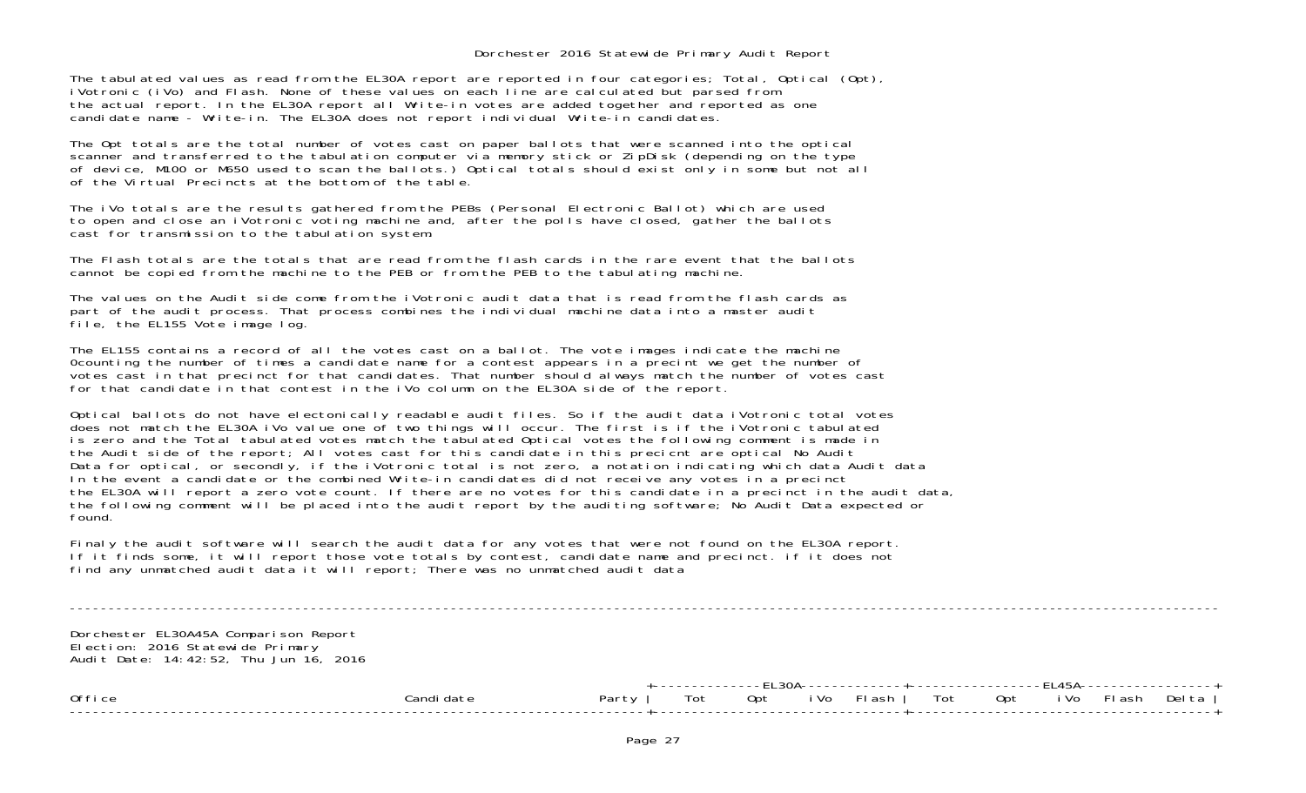The tabulated values as read from the EL30A report are reported in four categories; Total, Optical (Opt), iVotronic (iVo) and Flash. None of these values on each line are calculated but parsed from the actual report. In the EL30A report all Write-in votes are added together and reported as one candidate name - Write-in. The EL30A does not report individual Write-in candidates.

The Opt totals are the total number of votes cast on paper ballots that were scanned into the optical scanner and transferred to the tabulation computer via memory stick or ZipDisk (depending on the type of device, M100 or M650 used to scan the ballots.) Optical totals should exist only in some but not all of the Virtual Precincts at the bottom of the table.

The iVo totals are the results gathered from the PEBs (Personal Electronic Ballot) which are used to open and close an iVotronic voting machine and, after the polls have closed, gather the ballots cast for transmission to the tabulation system.

The Flash totals are the totals that are read from the flash cards in the rare event that the ballotscannot be copied from the machine to the PEB or from the PEB to the tabulating machine.

The values on the Audit side come from the iVotronic audit data that is read from the flash cards as part of the audit process. That process combines the individual machine data into a master audit file, the EL155 Vote image log.

The EL155 contains a record of all the votes cast on a ballot. The vote images indicate the machine 0counting the number of times a candidate name for a contest appears in a precint we get the number of votes cast in that precinct for that candidates. That number should always match the number of votes cast for that candidate in that contest in the iVo column on the EL30A side of the report.

Optical ballots do not have electonically readable audit files. So if the audit data iVotronic total votes does not match the EL30A iVo value one of two things will occur. The first is if the iVotronic tabulated is zero and the Total tabulated votes match the tabulated Optical votes the following comment is made in the Audit side of the report; All votes cast for this candidate in this precicnt are optical No Audit Data for optical, or secondly, if the iVotronic total is not zero, a notation indicating which data Audit data In the event a candidate or the combined Write-in candidates did not receive any votes in a precinct the EL30A will report a zero vote count. If there are no votes for this candidate in a precinct in the audit data, the following comment will be placed into the audit report by the auditing software; No Audit Data expected or found.

Finaly the audit software will search the audit data for any votes that were not found on the EL30A report. If it finds some, it will report those vote totals by contest, candidate name and precinct. if it does not find any unmatched audit data it will report; There was no unmatched audit data

Dorchester EL30A45A Comparison Report Election: 2016 Statewide Primary Audit Date: 14:42:52, Thu Jun 16, 2016

|        |       |     | +-------------FI 304------------- |                             |           |  |            | ----+----------------EL45A------------------- |
|--------|-------|-----|-----------------------------------|-----------------------------|-----------|--|------------|-----------------------------------------------|
| Office | Party | Tot | <u>LLUVI</u>                      | <sup>**</sup> Opt iVo Flash | , Tot Opt |  | i Vo Flash | Del ta                                        |
|        |       |     |                                   |                             |           |  |            |                                               |
|        |       |     |                                   |                             |           |  |            |                                               |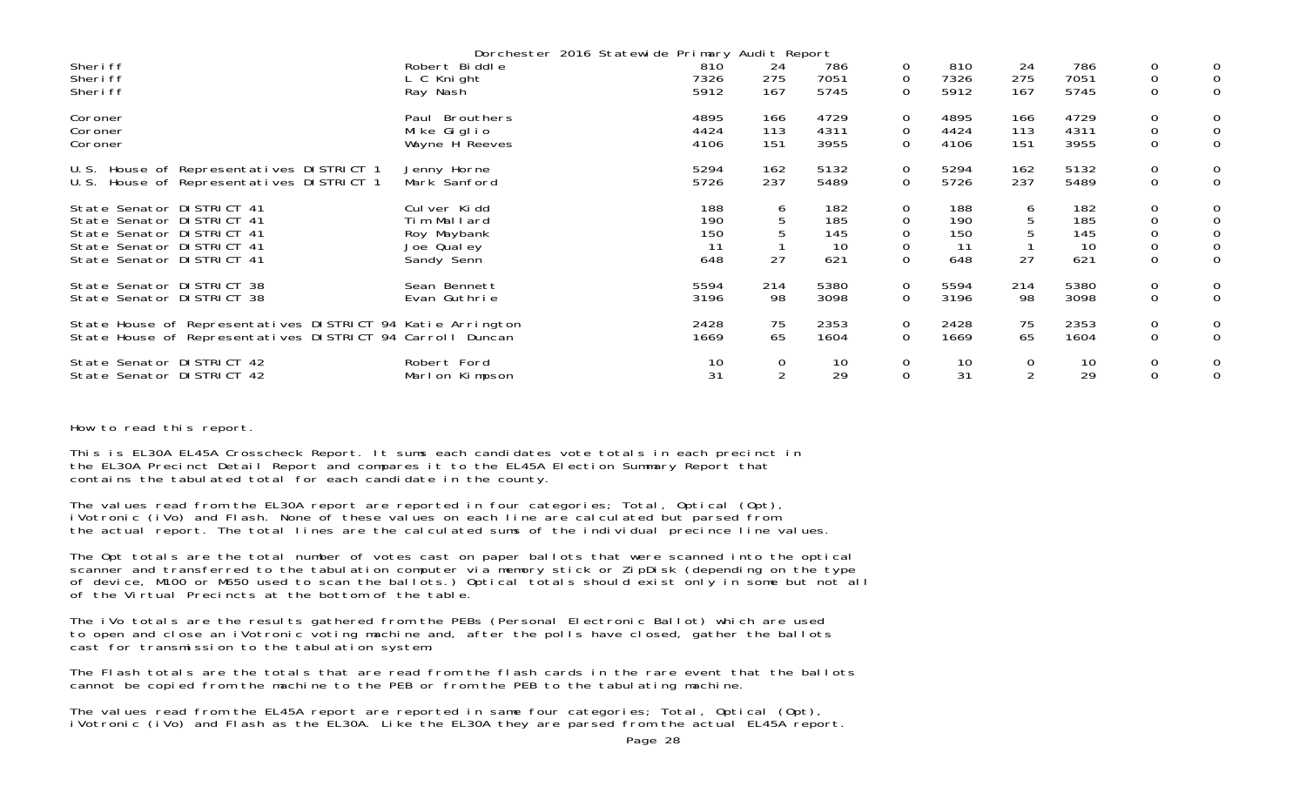|                                                            |                               | Dorchester 2016 Statewide Primary Audit Report |                |              |              |              |            |              |                     |                  |
|------------------------------------------------------------|-------------------------------|------------------------------------------------|----------------|--------------|--------------|--------------|------------|--------------|---------------------|------------------|
| Sheri ff<br>Sheri ff                                       | Robert Biddle<br>L C Knight   | 810<br>7326                                    | -24<br>275     | 786<br>7051  | 0<br>0       | 810<br>7326  | 24<br>275  | 786<br>7051  | 0<br>0              | 0<br>0           |
| Sheri ff                                                   | Ray Nash                      | 5912                                           | 167            | 5745         | $\mathsf{O}$ | 5912         | 167        | 5745         | $\mathbf 0$         | 0                |
| Coroner<br>Coroner                                         | Paul Brouthers<br>Mike Giglio | 4895<br>4424                                   | 166<br>113     | 4729<br>4311 | 0<br>0       | 4895<br>4424 | 166<br>113 | 4729<br>4311 | 0<br>0              | $\mathbf 0$<br>0 |
| Coroner                                                    | Wayne H Reeves                | 4106                                           | 151            | 3955         | 0            | 4106         | 151        | 3955         | $\mathbf 0$         | 0                |
| U.S. House of Representatives DISTRICT 1                   | Jenny Horne                   | 5294                                           | 162            | 5132         | $\mathbf{0}$ | 5294         | 162        | 5132         | $\mathbf 0$         | 0                |
| U.S. House of Representatives DISTRICT 1                   | Mark Sanford                  | 5726                                           | 237            | 5489         | 0            | 5726         | 237        | 5489         | $\mathbf 0$         | 0                |
| State Senator DISTRICT 41                                  | Culver Kidd                   | 188                                            | 6              | 182          | 0            | 188          | O          | 182          | 0                   | 0                |
| State Senator DISTRICT 41<br>State Senator DISTRICT 41     | Tim Mallard<br>Roy Maybank    | 190<br>150                                     |                | 185<br>145   | 0<br>0       | 190<br>150   | 5          | 185<br>145   | $\mathbf 0$<br>0    | 0<br>0           |
| State Senator DISTRICT 41                                  | Joe Qualey                    | 11                                             |                | 10           | $\mathbf 0$  | 11           |            | 10           | $\mathsf{O}\xspace$ | 0                |
| State Senator DISTRICT 41                                  | Sandy Senn                    | 648                                            | 27             | 621          | 0            | 648          | 27         | 621          | $\mathbf 0$         | 0                |
| State Senator DISTRICT 38                                  | Sean Bennett                  | 5594                                           | 214            | 5380         | 0            | 5594         | 214        | 5380         | 0                   | 0                |
| State Senator DISTRICT 38                                  | Evan Guthrie                  | 3196                                           | 98             | 3098         | 0            | 3196         | 98         | 3098         | $\mathbf 0$         | 0                |
| State House of Representatives DISTRICT 94 Katie Arrington |                               | 2428                                           | 75             | 2353         | 0            | 2428         | 75         | 2353         | 0                   | 0                |
| State House of Representatives DISTRICT 94 Carroll Duncan  |                               | 1669                                           | 65             | 1604         | $\mathsf{O}$ | 1669         | 65         | 1604         | $\mathbf 0$         | 0                |
| State Senator DISTRICT 42                                  | Robert Ford                   | 10                                             | $\overline{0}$ | 10           | 0            | 10           | 0          | 10           | 0                   | $\mathbf 0$      |
| State Senator DISTRICT 42                                  | Marlon Kimpson                | 31                                             | $\mathcal{D}$  | 29           | $\Omega$     | 31           | 2          | 29           | 0                   | 0                |

## How to read this report.

This is EL30A EL45A Crosscheck Report. It sums each candidates vote totals in each precinct in the EL30A Precinct Detail Report and compares it to the EL45A Election Summary Report that contains the tabulated total for each candidate in the county.

The values read from the EL30A report are reported in four categories; Total, Optical (Opt), iVotronic (iVo) and Flash. None of these values on each line are calculated but parsed from the actual report. The total lines are the calculated sums of the individual precince line values.

The Opt totals are the total number of votes cast on paper ballots that were scanned into the optical scanner and transferred to the tabulation computer via memory stick or ZipDisk (depending on the type of device, M100 or M650 used to scan the ballots.) Optical totals should exist only in some but not all of the Virtual Precincts at the bottom of the table.

The iVo totals are the results gathered from the PEBs (Personal Electronic Ballot) which are used to open and close an iVotronic voting machine and, after the polls have closed, gather the ballots cast for transmission to the tabulation system.

The Flash totals are the totals that are read from the flash cards in the rare event that the ballots cannot be copied from the machine to the PEB or from the PEB to the tabulating machine.

The values read from the EL45A report are reported in same four categories; Total, Optical (Opt),<br>iVotronic (iVo) and Flash as the EL30A. Like the EL30A they are parsed from the actual EL45A report.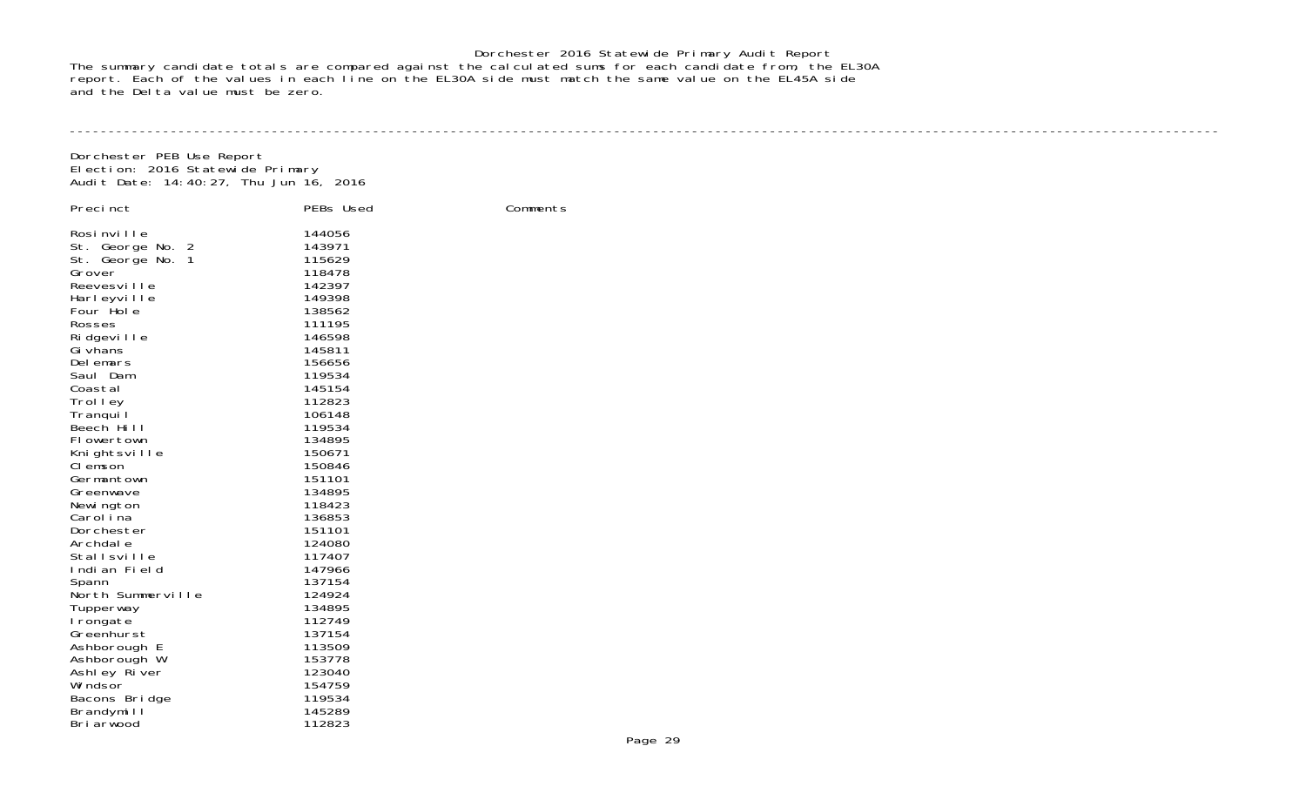Dorchester 2016 Statewide Primary Audit Report The summary candidate totals are compared against the calculated sums for each candidate from, the EL30A report. Each of the values in each line on the EL30A side must match the same value on the EL45A side and the Delta value must be zero.

----------------------------------------------------------------------------------------------------------------------------------------------------

Dorchester PEB Use Report Election: 2016 Statewide Primary Audit Date: 14:40:27, Thu Jun 16, 2016

| Precinct                   | PEBs Used        | Comments |
|----------------------------|------------------|----------|
| Rosi nville                | 144056           |          |
| St. George No. 2           | 143971           |          |
| St. George No. 1           | 115629           |          |
| Grover                     | 118478           |          |
| Reevesville                | 142397           |          |
| Harleyville                | 149398           |          |
| Four Hole                  | 138562           |          |
| Rosses                     | 111195           |          |
| Ri dgevi I I e<br>Gi vhans | 146598<br>145811 |          |
| Delemars                   | 156656           |          |
| Saul Dam                   | 119534           |          |
| Coastal                    | 145154           |          |
| Trol I ey                  | 112823           |          |
| Tranqui I                  | 106148           |          |
| Beech Hill                 | 119534           |          |
| Flowertown                 | 134895           |          |
| Knightsville               | 150671           |          |
| CI emson                   | 150846           |          |
| Germantown                 | 151101           |          |
| Greenwave                  | 134895           |          |
| Newi ngton                 | 118423           |          |
| Carol i na                 | 136853           |          |
| Dorchester                 | 151101           |          |
| Archdal e                  | 124080           |          |
| Stallsville                | 117407           |          |
| Indian Field               | 147966           |          |
| Spann                      | 137154           |          |
| North Summerville          | 124924           |          |
| Tupperway                  | 134895           |          |
| I rongate                  | 112749           |          |
| Greenhurst                 | 137154           |          |
| Ashborough E               | 113509           |          |
| Ashborough W               | 153778           |          |
| Ashl ey River<br>Wi ndsor  | 123040<br>154759 |          |
|                            | 119534           |          |
| Bacons Bridge              | 145289           |          |
| Brandymill<br>Bri arwood   | 112823           |          |
|                            |                  |          |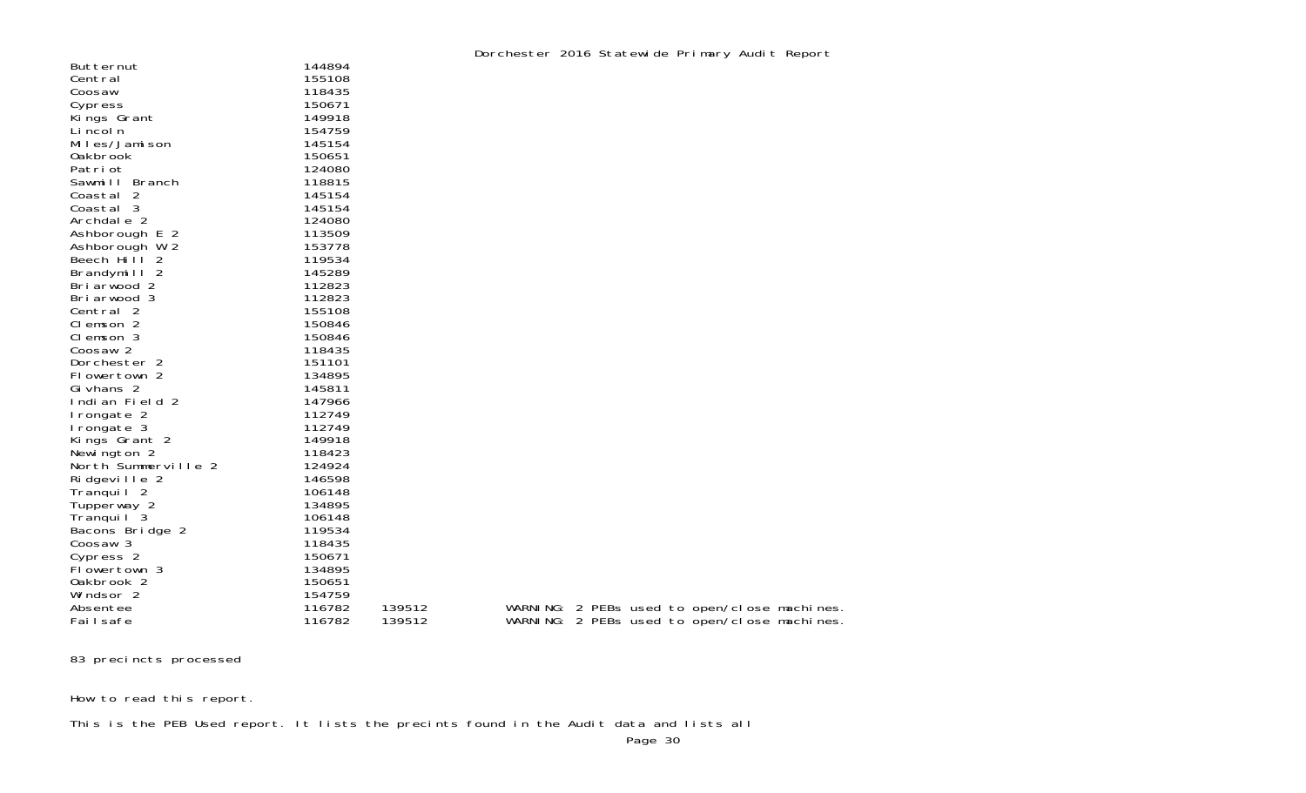| Butternut           | 144894 |        |  |  |                                             |  |
|---------------------|--------|--------|--|--|---------------------------------------------|--|
| Central             | 155108 |        |  |  |                                             |  |
| Coosaw              | 118435 |        |  |  |                                             |  |
| Cypress             | 150671 |        |  |  |                                             |  |
| Kings Grant         | 149918 |        |  |  |                                             |  |
| Li ncol n           | 154759 |        |  |  |                                             |  |
| Miles/Jamison       | 145154 |        |  |  |                                             |  |
| <b>Oakbrook</b>     | 150651 |        |  |  |                                             |  |
| Patri ot            | 124080 |        |  |  |                                             |  |
| Sawmill Branch      | 118815 |        |  |  |                                             |  |
| Coastal 2           | 145154 |        |  |  |                                             |  |
| Coastal 3           | 145154 |        |  |  |                                             |  |
| Archdale 2          | 124080 |        |  |  |                                             |  |
| Ashborough E 2      | 113509 |        |  |  |                                             |  |
| Ashborough W 2      | 153778 |        |  |  |                                             |  |
| Beech Hill 2        | 119534 |        |  |  |                                             |  |
| Brandymill 2        | 145289 |        |  |  |                                             |  |
| Briarwood 2         | 112823 |        |  |  |                                             |  |
| Briarwood 3         | 112823 |        |  |  |                                             |  |
| Central 2           | 155108 |        |  |  |                                             |  |
| Clemson 2           | 150846 |        |  |  |                                             |  |
| Clemson 3           | 150846 |        |  |  |                                             |  |
| Coosaw <sub>2</sub> | 118435 |        |  |  |                                             |  |
| Dorchester 2        | 151101 |        |  |  |                                             |  |
| Flowertown 2        | 134895 |        |  |  |                                             |  |
| Gi vhans 2          | 145811 |        |  |  |                                             |  |
| Indian Field 2      | 147966 |        |  |  |                                             |  |
| I rongate 2         | 112749 |        |  |  |                                             |  |
| I rongate 3         | 112749 |        |  |  |                                             |  |
| Kings Grant 2       | 149918 |        |  |  |                                             |  |
| Newington 2         | 118423 |        |  |  |                                             |  |
| North Summerville 2 | 124924 |        |  |  |                                             |  |
| Ridgeville 2        | 146598 |        |  |  |                                             |  |
| Tranqui   2         | 106148 |        |  |  |                                             |  |
| Tupperway 2         | 134895 |        |  |  |                                             |  |
| Tranqui I 3         | 106148 |        |  |  |                                             |  |
| Bacons Bridge 2     | 119534 |        |  |  |                                             |  |
| Coosaw 3            | 118435 |        |  |  |                                             |  |
| Cypress 2           | 150671 |        |  |  |                                             |  |
| Flowertown 3        | 134895 |        |  |  |                                             |  |
| Oakbrook 2          | 150651 |        |  |  |                                             |  |
| Windsor 2           | 154759 |        |  |  |                                             |  |
| Absentee            | 116782 | 139512 |  |  | WARNING: 2 PEBs used to open/close machines |  |
| Fai I safe          | 116782 | 139512 |  |  | WARNING: 2 PEBs used to open/close machines |  |
|                     |        |        |  |  |                                             |  |

83 precincts processed

How to read this report.

This is the PEB Used report. It lists the precints found in the Audit data and lists all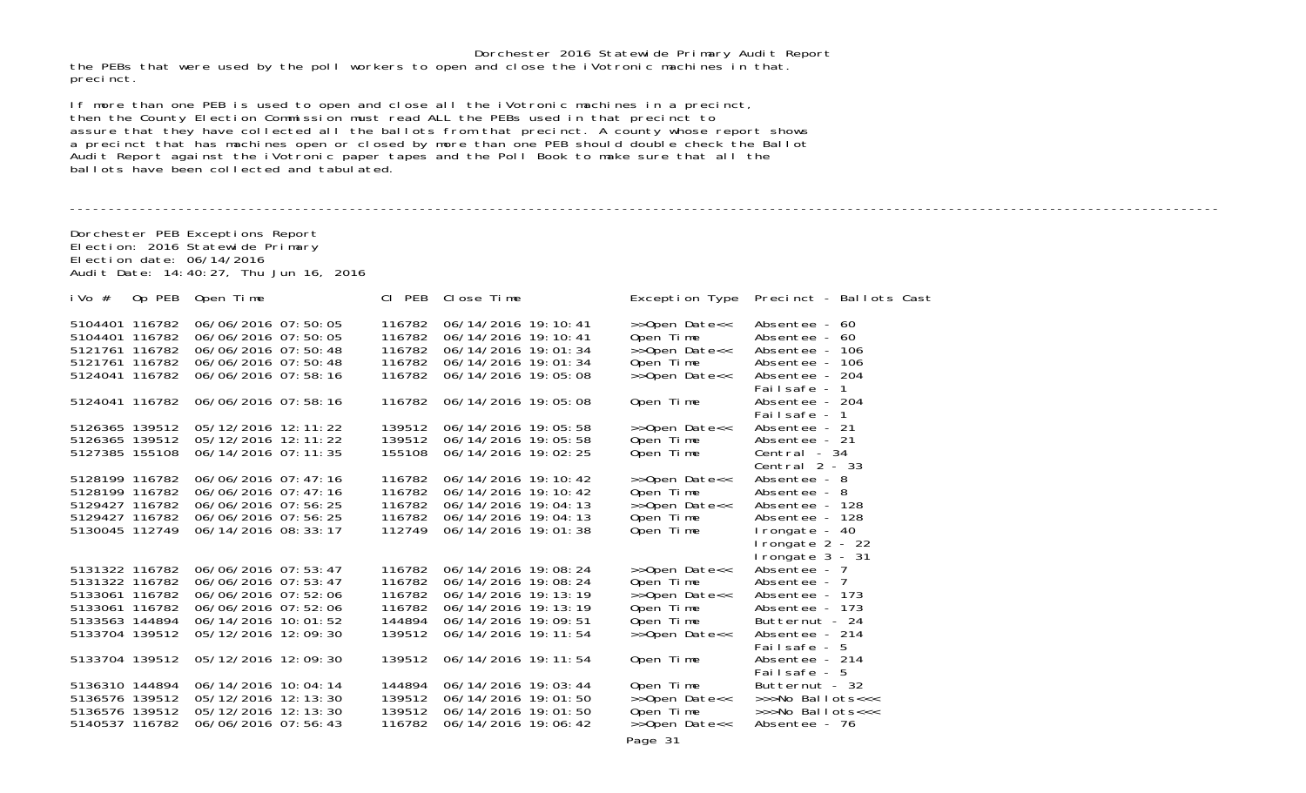Dorchester 2016 Statewide Primary Audit Report the PEBs that were used by the poll workers to open and close the iVotronic machines in that. precinct.

If more than one PEB is used to open and close all the iVotronic machines in a precinct, then the County Election Commission must read ALL the PEBs used in that precinct to assure that they have collected all the ballots from that precinct. A county whose report shows a precinct that has machines open or closed by more than one PEB should double check the Ballot Audit Report against the iVotronic paper tapes and the Poll Book to make sure that all the ballots have been collected and tabulated.

Dorchester PEB Exceptions Report Election: 2016 Statewide Primary Election date: 06/14/2016Audit Date: 14:40:27, Thu Jun 16, 2016 iVo # Op PEB Open Time Cl PEB Close Time Exception Type Precinct - Ballots Cast 5104401 116782 06/06/2016 07:50:05 116782 06/14/2016 19:10:41 >>Open Date<< Absentee - 60 5104401 116782 06/06/2016 07:50:05 116782 06/14/2016 19:10:41 Open Time Absentee - 60 5121761 116782 06/06/2016 07:50:48 116782 06/14/2016 19:01:34 >>Open Date<< Absentee - 106 5121761 116782 06/06/2016 07:50:48 116782 06/14/2016 19:01:34 Open Time Absentee - 106 5124041 116782 06/06/2016 07:58:16 Failsafe - 15124041 116782 06/06/2016 07:58:16 116782 06/14/2016 19:05:08 Open Time Absentee - 204 Failsafe - 1Absentee - 21 5126365 139512 05/12/2016 12:11:22 139512 06/14/2016 19:05:58 >>Open Date<< Absentee - 21 5126365 139512 05/12/2016 12:11:22 139512 06/14/2016 19:05:58 Open Time Absentee - 21 5127385 155108 06/14/2016 07:11:35 155108 06/14/2016 19:02:25 0pen Time Central 2 - 335128199 116782 06/06/2016 07:47:16 116782 06/14/2016 19:10:42 >>Open Date<< Absentee - 8 5128199 116782 06/06/2016 07:47:16 116782 06/14/2016 19:10:42 Open Time Absentee - 8 5129427 116782 06/06/2016 07:56:25 116782 06/14/2016 19:04:13 >>Open Date<< Absentee - 128 5129427 116782 06/06/2016 07:56:25 116782 06/14/2016 19:04:13 Open Time Absentee - 128 5130045 112749 06/14/2016 08:33:17 Irongate 2 - 22 Irongate 3 - 31<br>Absentee - 7 5131322 116782 06/06/2016 07:53:47 116782 06/14/2016 19:08:24 >>Open Date<< Absentee - 7 5131322 116782 06/06/2016 07:53:47 116782 06/14/2016 19:08:24 Open Time Absentee - 7 5133061 116782 06/06/2016 07:52:06 116782 06/14/2016 19:13:19 >>Open Date<< Absentee - 173 5133061 116782 06/06/2016 07:52:06 116782 06/14/2016 19:13:19 Open Time Absentee - 173 5133563 144894 06/14/2016 10:01:52 144894 06/14/2016 19:09:51 Open Time Butternut - 24 5133704 139512 05/12/2016 12:09:30 Failsafe - 55133704 139512 05/12/2016 12:09:30 139512 06/14/2016 19:11:54 Open Time Absentee - 214 Failsafe - 55136310 144894 06/14/2016 10:04:14 144894 06/14/2016 19:03:44 Open Time Butternut - 32 5136576 139512 05/12/2016 12:13:30 139512 06/14/2016 19:01:50 >>Open Date<< >>>No Ballots<<< 5136576 139512 05/12/2016 12:13:30 139512 06/14/2016 19:01:50 Open Time >>>No Ballots<<< 5140537 116782 06/06/2016 07:56:43

----------------------------------------------------------------------------------------------------------------------------------------------------